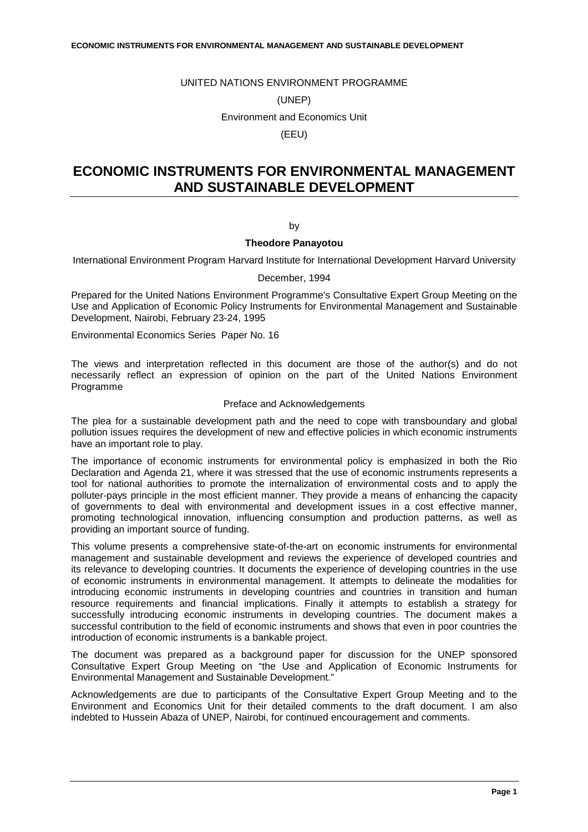UNITED NATIONS ENVIRONMENT PROGRAMME

(UNEP)

Environment and Economics Unit

(EEU)

# **ECONOMIC INSTRUMENTS FOR ENVIRONMENTAL MANAGEMENT AND SUSTAINABLE DEVELOPMENT**

by

### **Theodore Panayotou**

International Environment Program Harvard Institute for International Development Harvard University

### December, 1994

Prepared for the United Nations Environment Programme's Consultative Expert Group Meeting on the Use and Application of Economic Policy Instruments for Environmental Management and Sustainable Development, Nairobi, February 23-24, 1995

Environmental Economics Series Paper No. 16

The views and interpretation reflected in this document are those of the author(s) and do not necessarily reflect an expression of opinion on the part of the United Nations Environment Programme

#### Preface and Acknowledgements

The plea for a sustainable development path and the need to cope with transboundary and global pollution issues requires the development of new and effective policies in which economic instruments have an important role to play.

The importance of economic instruments for environmental policy is emphasized in both the Rio Declaration and Agenda 21, where it was stressed that the use of economic instruments represents a tool for national authorities to promote the internalization of environmental costs and to apply the polluter-pays principle in the most efficient manner. They provide a means of enhancing the capacity of governments to deal with environmental and development issues in a cost effective manner, promoting technological innovation, influencing consumption and production patterns, as well as providing an important source of funding.

This volume presents a comprehensive state-of-the-art on economic instruments for environmental management and sustainable development and reviews the experience of developed countries and its relevance to developing countries. It documents the experience of developing countries in the use of economic instruments in environmental management. It attempts to delineate the modalities for introducing economic instruments in developing countries and countries in transition and human resource requirements and financial implications. Finally it attempts to establish a strategy for successfully introducing economic instruments in developing countries. The document makes a successful contribution to the field of economic instruments and shows that even in poor countries the introduction of economic instruments is a bankable project.

The document was prepared as a background paper for discussion for the UNEP sponsored Consultative Expert Group Meeting on "the Use and Application of Economic Instruments for Environmental Management and Sustainable Development."

Acknowledgements are due to participants of the Consultative Expert Group Meeting and to the Environment and Economics Unit for their detailed comments to the draft document. I am also indebted to Hussein Abaza of UNEP, Nairobi, for continued encouragement and comments.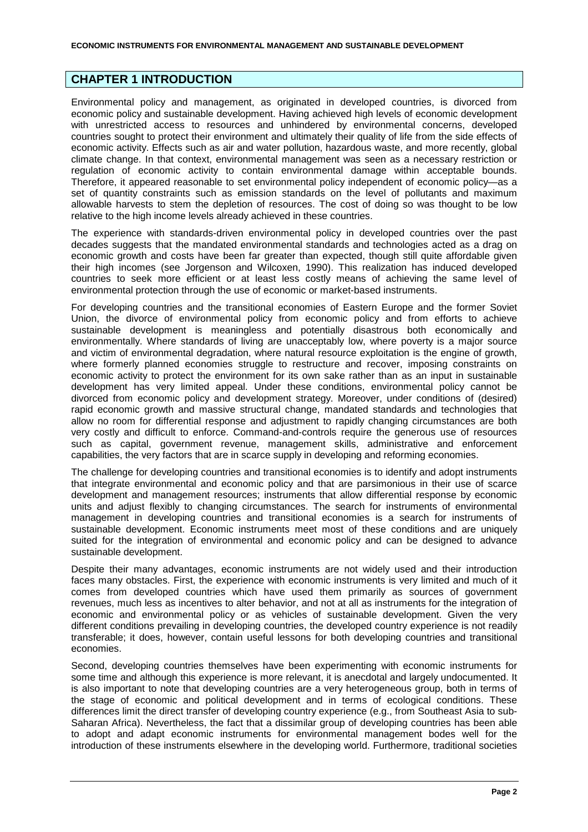# **CHAPTER 1 INTRODUCTION**

Environmental policy and management, as originated in developed countries, is divorced from economic policy and sustainable development. Having achieved high levels of economic development with unrestricted access to resources and unhindered by environmental concerns, developed countries sought to protect their environment and ultimately their quality of life from the side effects of economic activity. Effects such as air and water pollution, hazardous waste, and more recently, global climate change. In that context, environmental management was seen as a necessary restriction or regulation of economic activity to contain environmental damage within acceptable bounds. Therefore, it appeared reasonable to set environmental policy independent of economic policy—as a set of quantity constraints such as emission standards on the level of pollutants and maximum allowable harvests to stem the depletion of resources. The cost of doing so was thought to be low relative to the high income levels already achieved in these countries.

The experience with standards-driven environmental policy in developed countries over the past decades suggests that the mandated environmental standards and technologies acted as a drag on economic growth and costs have been far greater than expected, though still quite affordable given their high incomes (see Jorgenson and Wilcoxen, 1990). This realization has induced developed countries to seek more efficient or at least less costly means of achieving the same level of environmental protection through the use of economic or market-based instruments.

For developing countries and the transitional economies of Eastern Europe and the former Soviet Union, the divorce of environmental policy from economic policy and from efforts to achieve sustainable development is meaningless and potentially disastrous both economically and environmentally. Where standards of living are unacceptably low, where poverty is a major source and victim of environmental degradation, where natural resource exploitation is the engine of growth, where formerly planned economies struggle to restructure and recover, imposing constraints on economic activity to protect the environment for its own sake rather than as an input in sustainable development has very limited appeal. Under these conditions, environmental policy cannot be divorced from economic policy and development strategy. Moreover, under conditions of (desired) rapid economic growth and massive structural change, mandated standards and technologies that allow no room for differential response and adjustment to rapidly changing circumstances are both very costly and difficult to enforce. Command-and-controls require the generous use of resources such as capital, government revenue, management skills, administrative and enforcement capabilities, the very factors that are in scarce supply in developing and reforming economies.

The challenge for developing countries and transitional economies is to identify and adopt instruments that integrate environmental and economic policy and that are parsimonious in their use of scarce development and management resources; instruments that allow differential response by economic units and adjust flexibly to changing circumstances. The search for instruments of environmental management in developing countries and transitional economies is a search for instruments of sustainable development. Economic instruments meet most of these conditions and are uniquely suited for the integration of environmental and economic policy and can be designed to advance sustainable development.

Despite their many advantages, economic instruments are not widely used and their introduction faces many obstacles. First, the experience with economic instruments is very limited and much of it comes from developed countries which have used them primarily as sources of government revenues, much less as incentives to alter behavior, and not at all as instruments for the integration of economic and environmental policy or as vehicles of sustainable development. Given the very different conditions prevailing in developing countries, the developed country experience is not readily transferable; it does, however, contain useful lessons for both developing countries and transitional economies.

Second, developing countries themselves have been experimenting with economic instruments for some time and although this experience is more relevant, it is anecdotal and largely undocumented. It is also important to note that developing countries are a very heterogeneous group, both in terms of the stage of economic and political development and in terms of ecological conditions. These differences limit the direct transfer of developing country experience (e.g., from Southeast Asia to sub-Saharan Africa). Nevertheless, the fact that a dissimilar group of developing countries has been able to adopt and adapt economic instruments for environmental management bodes well for the introduction of these instruments elsewhere in the developing world. Furthermore, traditional societies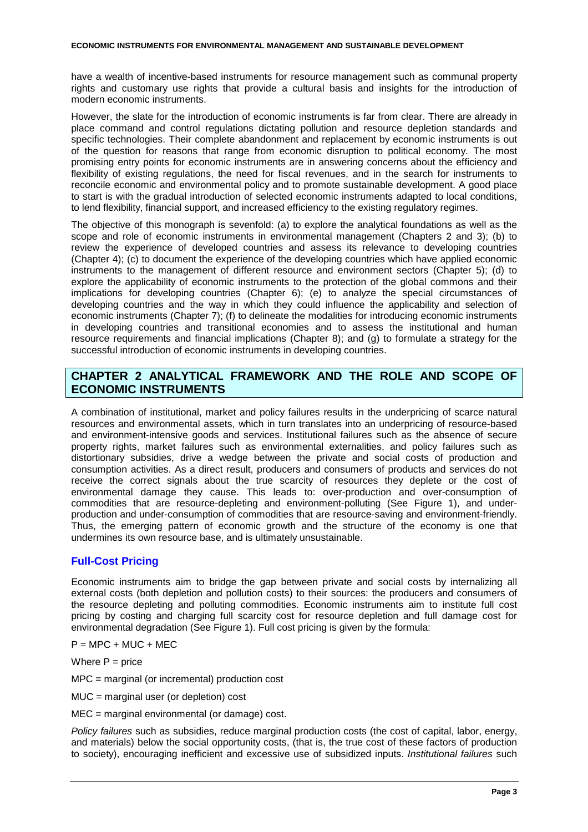have a wealth of incentive-based instruments for resource management such as communal property rights and customary use rights that provide a cultural basis and insights for the introduction of modern economic instruments.

However, the slate for the introduction of economic instruments is far from clear. There are already in place command and control regulations dictating pollution and resource depletion standards and specific technologies. Their complete abandonment and replacement by economic instruments is out of the question for reasons that range from economic disruption to political economy. The most promising entry points for economic instruments are in answering concerns about the efficiency and flexibility of existing regulations, the need for fiscal revenues, and in the search for instruments to reconcile economic and environmental policy and to promote sustainable development. A good place to start is with the gradual introduction of selected economic instruments adapted to local conditions, to lend flexibility, financial support, and increased efficiency to the existing regulatory regimes.

The objective of this monograph is sevenfold: (a) to explore the analytical foundations as well as the scope and role of economic instruments in environmental management (Chapters 2 and 3); (b) to review the experience of developed countries and assess its relevance to developing countries (Chapter 4); (c) to document the experience of the developing countries which have applied economic instruments to the management of different resource and environment sectors (Chapter 5); (d) to explore the applicability of economic instruments to the protection of the global commons and their implications for developing countries (Chapter 6); (e) to analyze the special circumstances of developing countries and the way in which they could influence the applicability and selection of economic instruments (Chapter 7); (f) to delineate the modalities for introducing economic instruments in developing countries and transitional economies and to assess the institutional and human resource requirements and financial implications (Chapter 8); and (g) to formulate a strategy for the successful introduction of economic instruments in developing countries.

# **CHAPTER 2 ANALYTICAL FRAMEWORK AND THE ROLE AND SCOPE OF ECONOMIC INSTRUMENTS**

A combination of institutional, market and policy failures results in the underpricing of scarce natural resources and environmental assets, which in turn translates into an underpricing of resource-based and environment-intensive goods and services. Institutional failures such as the absence of secure property rights, market failures such as environmental externalities, and policy failures such as distortionary subsidies, drive a wedge between the private and social costs of production and consumption activities. As a direct result, producers and consumers of products and services do not receive the correct signals about the true scarcity of resources they deplete or the cost of environmental damage they cause. This leads to: over-production and over-consumption of commodities that are resource-depleting and environment-polluting (See Figure 1), and underproduction and under-consumption of commodities that are resource-saving and environment-friendly. Thus, the emerging pattern of economic growth and the structure of the economy is one that undermines its own resource base, and is ultimately unsustainable.

# **Full-Cost Pricing**

Economic instruments aim to bridge the gap between private and social costs by internalizing all external costs (both depletion and pollution costs) to their sources: the producers and consumers of the resource depleting and polluting commodities. Economic instruments aim to institute full cost pricing by costing and charging full scarcity cost for resource depletion and full damage cost for environmental degradation (See Figure 1). Full cost pricing is given by the formula:

 $P = MPC + MUC + MEC$ 

Where  $P = price$ 

MPC = marginal (or incremental) production cost

MUC = marginal user (or depletion) cost

MEC = marginal environmental (or damage) cost.

*Policy failures* such as subsidies, reduce marginal production costs (the cost of capital, labor, energy, and materials) below the social opportunity costs, (that is, the true cost of these factors of production to society), encouraging inefficient and excessive use of subsidized inputs. *Institutional failures* such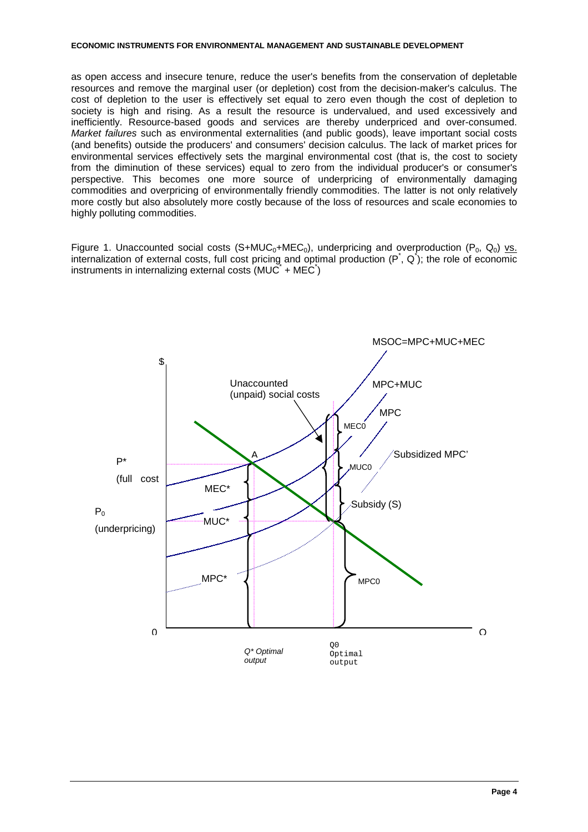as open access and insecure tenure, reduce the user's benefits from the conservation of depletable resources and remove the marginal user (or depletion) cost from the decision-maker's calculus. The cost of depletion to the user is effectively set equal to zero even though the cost of depletion to society is high and rising. As a result the resource is undervalued, and used excessively and inefficiently. Resource-based goods and services are thereby underpriced and over-consumed. *Market failures* such as environmental externalities (and public goods), leave important social costs (and benefits) outside the producers' and consumers' decision calculus. The lack of market prices for environmental services effectively sets the marginal environmental cost (that is, the cost to society from the diminution of these services) equal to zero from the individual producer's or consumer's perspective. This becomes one more source of underpricing of environmentally damaging commodities and overpricing of environmentally friendly commodities. The latter is not only relatively more costly but also absolutely more costly because of the loss of resources and scale economies to highly polluting commodities.

Figure 1. Unaccounted social costs (S+MUC<sub>0</sub>+MEC<sub>0</sub>), underpricing and overproduction (P<sub>0</sub>, Q<sub>0</sub>) vs. internalization of external costs, full cost pricing and optimal production  $(P, Q)$ ; the role of economic instruments in internalizing external costs (MUC + MEC)

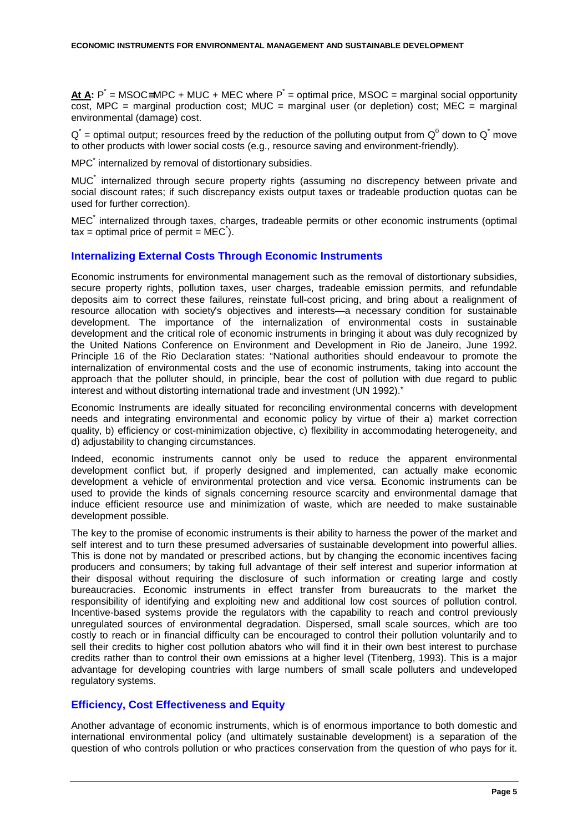At A:  $P^*$  = MSOC≡MPC + MUC + MEC where  $P^*$  = optimal price, MSOC = marginal social opportunity  $cost$ , MPC = marginal production cost; MUC = marginal user (or depletion) cost; MEC = marginal environmental (damage) cost.

 $Q^*$  = optimal output; resources freed by the reduction of the polluting output from  $Q^0$  down to  $Q^*$  move to other products with lower social costs (e.g., resource saving and environment-friendly).

MPC<sup>\*</sup> internalized by removal of distortionary subsidies.

MUC<sup>\*</sup> internalized through secure property rights (assuming no discrepency between private and social discount rates; if such discrepancy exists output taxes or tradeable production quotas can be used for further correction).

MEC<sup>\*</sup> internalized through taxes, charges, tradeable permits or other economic instruments (optimal  $tax = optimal price of permit = MEC<sup>†</sup>).$ 

### **Internalizing External Costs Through Economic Instruments**

Economic instruments for environmental management such as the removal of distortionary subsidies, secure property rights, pollution taxes, user charges, tradeable emission permits, and refundable deposits aim to correct these failures, reinstate full-cost pricing, and bring about a realignment of resource allocation with society's objectives and interests—a necessary condition for sustainable development. The importance of the internalization of environmental costs in sustainable development and the critical role of economic instruments in bringing it about was duly recognized by the United Nations Conference on Environment and Development in Rio de Janeiro, June 1992. Principle 16 of the Rio Declaration states: "National authorities should endeavour to promote the internalization of environmental costs and the use of economic instruments, taking into account the approach that the polluter should, in principle, bear the cost of pollution with due regard to public interest and without distorting international trade and investment (UN 1992)."

Economic Instruments are ideally situated for reconciling environmental concerns with development needs and integrating environmental and economic policy by virtue of their a) market correction quality, b) efficiency or cost-minimization objective, c) flexibility in accommodating heterogeneity, and d) adjustability to changing circumstances.

Indeed, economic instruments cannot only be used to reduce the apparent environmental development conflict but, if properly designed and implemented, can actually make economic development a vehicle of environmental protection and vice versa. Economic instruments can be used to provide the kinds of signals concerning resource scarcity and environmental damage that induce efficient resource use and minimization of waste, which are needed to make sustainable development possible.

The key to the promise of economic instruments is their ability to harness the power of the market and self interest and to turn these presumed adversaries of sustainable development into powerful allies. This is done not by mandated or prescribed actions, but by changing the economic incentives facing producers and consumers; by taking full advantage of their self interest and superior information at their disposal without requiring the disclosure of such information or creating large and costly bureaucracies. Economic instruments in effect transfer from bureaucrats to the market the responsibility of identifying and exploiting new and additional low cost sources of pollution control. Incentive-based systems provide the regulators with the capability to reach and control previously unregulated sources of environmental degradation. Dispersed, small scale sources, which are too costly to reach or in financial difficulty can be encouraged to control their pollution voluntarily and to sell their credits to higher cost pollution abators who will find it in their own best interest to purchase credits rather than to control their own emissions at a higher level (Titenberg, 1993). This is a major advantage for developing countries with large numbers of small scale polluters and undeveloped regulatory systems.

# **Efficiency, Cost Effectiveness and Equity**

Another advantage of economic instruments, which is of enormous importance to both domestic and international environmental policy (and ultimately sustainable development) is a separation of the question of who controls pollution or who practices conservation from the question of who pays for it.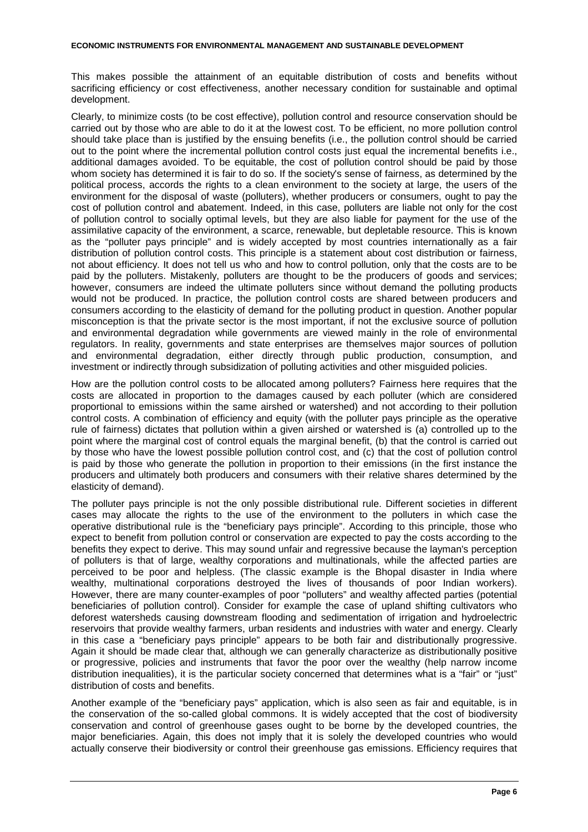This makes possible the attainment of an equitable distribution of costs and benefits without sacrificing efficiency or cost effectiveness, another necessary condition for sustainable and optimal development.

Clearly, to minimize costs (to be cost effective), pollution control and resource conservation should be carried out by those who are able to do it at the lowest cost. To be efficient, no more pollution control should take place than is justified by the ensuing benefits (i.e., the pollution control should be carried out to the point where the incremental pollution control costs just equal the incremental benefits i.e., additional damages avoided. To be equitable, the cost of pollution control should be paid by those whom society has determined it is fair to do so. If the society's sense of fairness, as determined by the political process, accords the rights to a clean environment to the society at large, the users of the environment for the disposal of waste (polluters), whether producers or consumers, ought to pay the cost of pollution control and abatement. Indeed, in this case, polluters are liable not only for the cost of pollution control to socially optimal levels, but they are also liable for payment for the use of the assimilative capacity of the environment, a scarce, renewable, but depletable resource. This is known as the "polluter pays principle" and is widely accepted by most countries internationally as a fair distribution of pollution control costs. This principle is a statement about cost distribution or fairness, not about efficiency. It does not tell us who and how to control pollution, only that the costs are to be paid by the polluters. Mistakenly, polluters are thought to be the producers of goods and services; however, consumers are indeed the ultimate polluters since without demand the polluting products would not be produced. In practice, the pollution control costs are shared between producers and consumers according to the elasticity of demand for the polluting product in question. Another popular misconception is that the private sector is the most important, if not the exclusive source of pollution and environmental degradation while governments are viewed mainly in the role of environmental regulators. In reality, governments and state enterprises are themselves major sources of pollution and environmental degradation, either directly through public production, consumption, and investment or indirectly through subsidization of polluting activities and other misguided policies.

How are the pollution control costs to be allocated among polluters? Fairness here requires that the costs are allocated in proportion to the damages caused by each polluter (which are considered proportional to emissions within the same airshed or watershed) and not according to their pollution control costs. A combination of efficiency and equity (with the polluter pays principle as the operative rule of fairness) dictates that pollution within a given airshed or watershed is (a) controlled up to the point where the marginal cost of control equals the marginal benefit. (b) that the control is carried out by those who have the lowest possible pollution control cost, and (c) that the cost of pollution control is paid by those who generate the pollution in proportion to their emissions (in the first instance the producers and ultimately both producers and consumers with their relative shares determined by the elasticity of demand).

The polluter pays principle is not the only possible distributional rule. Different societies in different cases may allocate the rights to the use of the environment to the polluters in which case the operative distributional rule is the "beneficiary pays principle". According to this principle, those who expect to benefit from pollution control or conservation are expected to pay the costs according to the benefits they expect to derive. This may sound unfair and regressive because the layman's perception of polluters is that of large, wealthy corporations and multinationals, while the affected parties are perceived to be poor and helpless. (The classic example is the Bhopal disaster in India where wealthy, multinational corporations destroyed the lives of thousands of poor Indian workers). However, there are many counter-examples of poor "polluters" and wealthy affected parties (potential beneficiaries of pollution control). Consider for example the case of upland shifting cultivators who deforest watersheds causing downstream flooding and sedimentation of irrigation and hydroelectric reservoirs that provide wealthy farmers, urban residents and industries with water and energy. Clearly in this case a "beneficiary pays principle" appears to be both fair and distributionally progressive. Again it should be made clear that, although we can generally characterize as distributionally positive or progressive, policies and instruments that favor the poor over the wealthy (help narrow income distribution inequalities), it is the particular society concerned that determines what is a "fair" or "just" distribution of costs and benefits.

Another example of the "beneficiary pays" application, which is also seen as fair and equitable, is in the conservation of the so-called global commons. It is widely accepted that the cost of biodiversity conservation and control of greenhouse gases ought to be borne by the developed countries, the major beneficiaries. Again, this does not imply that it is solely the developed countries who would actually conserve their biodiversity or control their greenhouse gas emissions. Efficiency requires that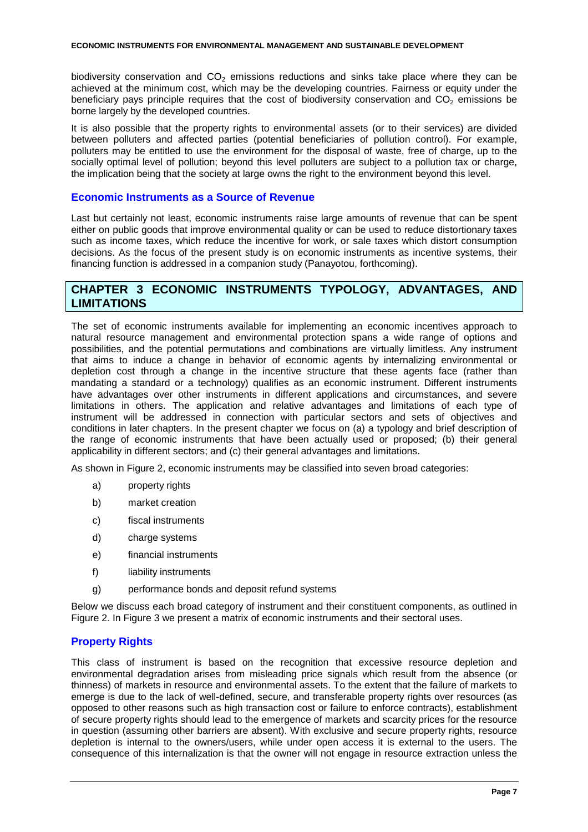biodiversity conservation and  $CO<sub>2</sub>$  emissions reductions and sinks take place where they can be achieved at the minimum cost, which may be the developing countries. Fairness or equity under the beneficiary pays principle requires that the cost of biodiversity conservation and  $CO<sub>2</sub>$  emissions be borne largely by the developed countries.

It is also possible that the property rights to environmental assets (or to their services) are divided between polluters and affected parties (potential beneficiaries of pollution control). For example, polluters may be entitled to use the environment for the disposal of waste, free of charge, up to the socially optimal level of pollution; beyond this level polluters are subject to a pollution tax or charge, the implication being that the society at large owns the right to the environment beyond this level.

### **Economic Instruments as a Source of Revenue**

Last but certainly not least, economic instruments raise large amounts of revenue that can be spent either on public goods that improve environmental quality or can be used to reduce distortionary taxes such as income taxes, which reduce the incentive for work, or sale taxes which distort consumption decisions. As the focus of the present study is on economic instruments as incentive systems, their financing function is addressed in a companion study (Panayotou, forthcoming).

# **CHAPTER 3 ECONOMIC INSTRUMENTS TYPOLOGY, ADVANTAGES, AND LIMITATIONS**

The set of economic instruments available for implementing an economic incentives approach to natural resource management and environmental protection spans a wide range of options and possibilities, and the potential permutations and combinations are virtually limitless. Any instrument that aims to induce a change in behavior of economic agents by internalizing environmental or depletion cost through a change in the incentive structure that these agents face (rather than mandating a standard or a technology) qualifies as an economic instrument. Different instruments have advantages over other instruments in different applications and circumstances, and severe limitations in others. The application and relative advantages and limitations of each type of instrument will be addressed in connection with particular sectors and sets of objectives and conditions in later chapters. In the present chapter we focus on (a) a typology and brief description of the range of economic instruments that have been actually used or proposed; (b) their general applicability in different sectors; and (c) their general advantages and limitations.

As shown in Figure 2, economic instruments may be classified into seven broad categories:

- a) property rights
- b) market creation
- c) fiscal instruments
- d) charge systems
- e) financial instruments
- f) liability instruments
- g) performance bonds and deposit refund systems

Below we discuss each broad category of instrument and their constituent components, as outlined in Figure 2. In Figure 3 we present a matrix of economic instruments and their sectoral uses.

### **Property Rights**

This class of instrument is based on the recognition that excessive resource depletion and environmental degradation arises from misleading price signals which result from the absence (or thinness) of markets in resource and environmental assets. To the extent that the failure of markets to emerge is due to the lack of well-defined, secure, and transferable property rights over resources (as opposed to other reasons such as high transaction cost or failure to enforce contracts), establishment of secure property rights should lead to the emergence of markets and scarcity prices for the resource in question (assuming other barriers are absent). With exclusive and secure property rights, resource depletion is internal to the owners/users, while under open access it is external to the users. The consequence of this internalization is that the owner will not engage in resource extraction unless the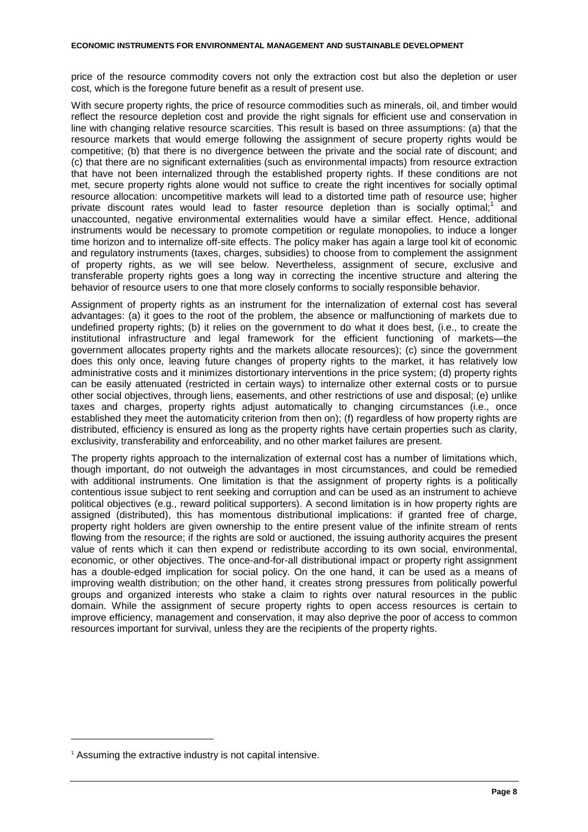price of the resource commodity covers not only the extraction cost but also the depletion or user cost, which is the foregone future benefit as a result of present use.

With secure property rights, the price of resource commodities such as minerals, oil, and timber would reflect the resource depletion cost and provide the right signals for efficient use and conservation in line with changing relative resource scarcities. This result is based on three assumptions: (a) that the resource markets that would emerge following the assignment of secure property rights would be competitive; (b) that there is no divergence between the private and the social rate of discount; and (c) that there are no significant externalities (such as environmental impacts) from resource extraction that have not been internalized through the established property rights. If these conditions are not met, secure property rights alone would not suffice to create the right incentives for socially optimal resource allocation: uncompetitive markets will lead to a distorted time path of resource use; higher private discount rates would lead to faster resource depletion than is socially optimal;<sup>1</sup> and unaccounted, negative environmental externalities would have a similar effect. Hence, additional instruments would be necessary to promote competition or regulate monopolies, to induce a longer time horizon and to internalize off-site effects. The policy maker has again a large tool kit of economic and regulatory instruments (taxes, charges, subsidies) to choose from to complement the assignment of property rights, as we will see below. Nevertheless, assignment of secure, exclusive and transferable property rights goes a long way in correcting the incentive structure and altering the behavior of resource users to one that more closely conforms to socially responsible behavior.

Assignment of property rights as an instrument for the internalization of external cost has several advantages: (a) it goes to the root of the problem, the absence or malfunctioning of markets due to undefined property rights; (b) it relies on the government to do what it does best, (i.e., to create the institutional infrastructure and legal framework for the efficient functioning of markets—the government allocates property rights and the markets allocate resources); (c) since the government does this only once, leaving future changes of property rights to the market, it has relatively low administrative costs and it minimizes distortionary interventions in the price system; (d) property rights can be easily attenuated (restricted in certain ways) to internalize other external costs or to pursue other social objectives, through liens, easements, and other restrictions of use and disposal; (e) unlike taxes and charges, property rights adjust automatically to changing circumstances (i.e., once established they meet the automaticity criterion from then on); (f) regardless of how property rights are distributed, efficiency is ensured as long as the property rights have certain properties such as clarity, exclusivity, transferability and enforceability, and no other market failures are present.

The property rights approach to the internalization of external cost has a number of limitations which, though important, do not outweigh the advantages in most circumstances, and could be remedied with additional instruments. One limitation is that the assignment of property rights is a politically contentious issue subject to rent seeking and corruption and can be used as an instrument to achieve political objectives (e.g., reward political supporters). A second limitation is in how property rights are assigned (distributed), this has momentous distributional implications: if granted free of charge, property right holders are given ownership to the entire present value of the infinite stream of rents flowing from the resource; if the rights are sold or auctioned, the issuing authority acquires the present value of rents which it can then expend or redistribute according to its own social, environmental, economic, or other objectives. The once-and-for-all distributional impact or property right assignment has a double-edged implication for social policy. On the one hand, it can be used as a means of improving wealth distribution; on the other hand, it creates strong pressures from politically powerful groups and organized interests who stake a claim to rights over natural resources in the public domain. While the assignment of secure property rights to open access resources is certain to improve efficiency, management and conservation, it may also deprive the poor of access to common resources important for survival, unless they are the recipients of the property rights.

l

<sup>&</sup>lt;sup>1</sup> Assuming the extractive industry is not capital intensive.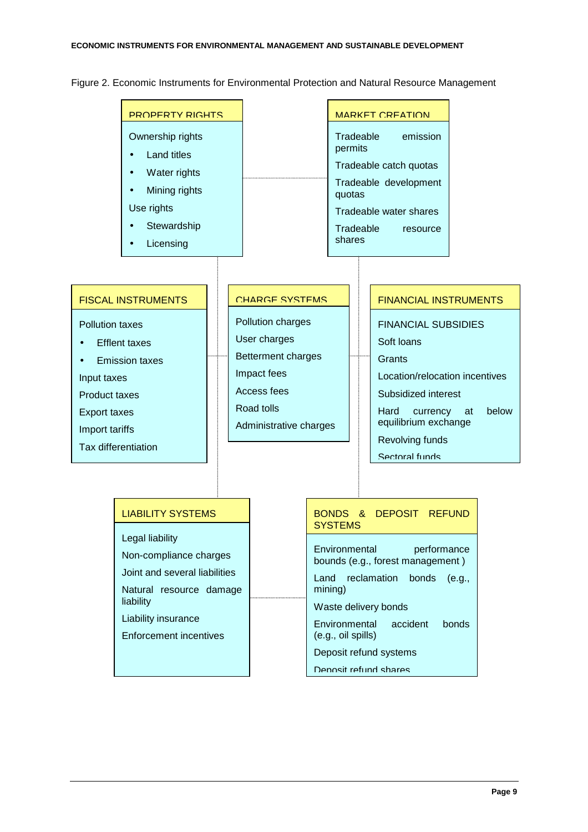Figure 2. Economic Instruments for Environmental Protection and Natural Resource Management

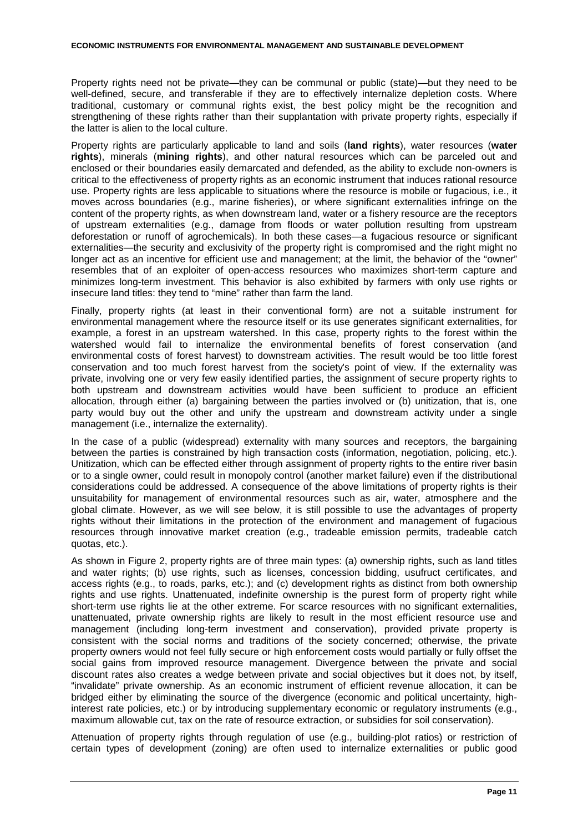Property rights need not be private—they can be communal or public (state)—but they need to be well-defined, secure, and transferable if they are to effectively internalize depletion costs. Where traditional, customary or communal rights exist, the best policy might be the recognition and strengthening of these rights rather than their supplantation with private property rights, especially if the latter is alien to the local culture.

Property rights are particularly applicable to land and soils (**land rights**), water resources (**water rights**), minerals (**mining rights**), and other natural resources which can be parceled out and enclosed or their boundaries easily demarcated and defended, as the ability to exclude non-owners is critical to the effectiveness of property rights as an economic instrument that induces rational resource use. Property rights are less applicable to situations where the resource is mobile or fugacious, i.e., it moves across boundaries (e.g., marine fisheries), or where significant externalities infringe on the content of the property rights, as when downstream land, water or a fishery resource are the receptors of upstream externalities (e.g., damage from floods or water pollution resulting from upstream deforestation or runoff of agrochemicals). In both these cases—a fugacious resource or significant externalities—the security and exclusivity of the property right is compromised and the right might no longer act as an incentive for efficient use and management; at the limit, the behavior of the "owner" resembles that of an exploiter of open-access resources who maximizes short-term capture and minimizes long-term investment. This behavior is also exhibited by farmers with only use rights or insecure land titles: they tend to "mine" rather than farm the land.

Finally, property rights (at least in their conventional form) are not a suitable instrument for environmental management where the resource itself or its use generates significant externalities, for example, a forest in an upstream watershed. In this case, property rights to the forest within the watershed would fail to internalize the environmental benefits of forest conservation (and environmental costs of forest harvest) to downstream activities. The result would be too little forest conservation and too much forest harvest from the society's point of view. If the externality was private, involving one or very few easily identified parties, the assignment of secure property rights to both upstream and downstream activities would have been sufficient to produce an efficient allocation, through either (a) bargaining between the parties involved or (b) unitization, that is, one party would buy out the other and unify the upstream and downstream activity under a single management (i.e., internalize the externality).

In the case of a public (widespread) externality with many sources and receptors, the bargaining between the parties is constrained by high transaction costs (information, negotiation, policing, etc.). Unitization, which can be effected either through assignment of property rights to the entire river basin or to a single owner, could result in monopoly control (another market failure) even if the distributional considerations could be addressed. A consequence of the above limitations of property rights is their unsuitability for management of environmental resources such as air, water, atmosphere and the global climate. However, as we will see below, it is still possible to use the advantages of property rights without their limitations in the protection of the environment and management of fugacious resources through innovative market creation (e.g., tradeable emission permits, tradeable catch quotas, etc.).

As shown in Figure 2, property rights are of three main types: (a) ownership rights, such as land titles and water rights; (b) use rights, such as licenses, concession bidding, usufruct certificates, and access rights (e.g., to roads, parks, etc.); and (c) development rights as distinct from both ownership rights and use rights. Unattenuated, indefinite ownership is the purest form of property right while short-term use rights lie at the other extreme. For scarce resources with no significant externalities, unattenuated, private ownership rights are likely to result in the most efficient resource use and management (including long-term investment and conservation), provided private property is consistent with the social norms and traditions of the society concerned; otherwise, the private property owners would not feel fully secure or high enforcement costs would partially or fully offset the social gains from improved resource management. Divergence between the private and social discount rates also creates a wedge between private and social objectives but it does not, by itself, "invalidate" private ownership. As an economic instrument of efficient revenue allocation, it can be bridged either by eliminating the source of the divergence (economic and political uncertainty, highinterest rate policies, etc.) or by introducing supplementary economic or regulatory instruments (e.g., maximum allowable cut, tax on the rate of resource extraction, or subsidies for soil conservation).

Attenuation of property rights through regulation of use (e.g., building-plot ratios) or restriction of certain types of development (zoning) are often used to internalize externalities or public good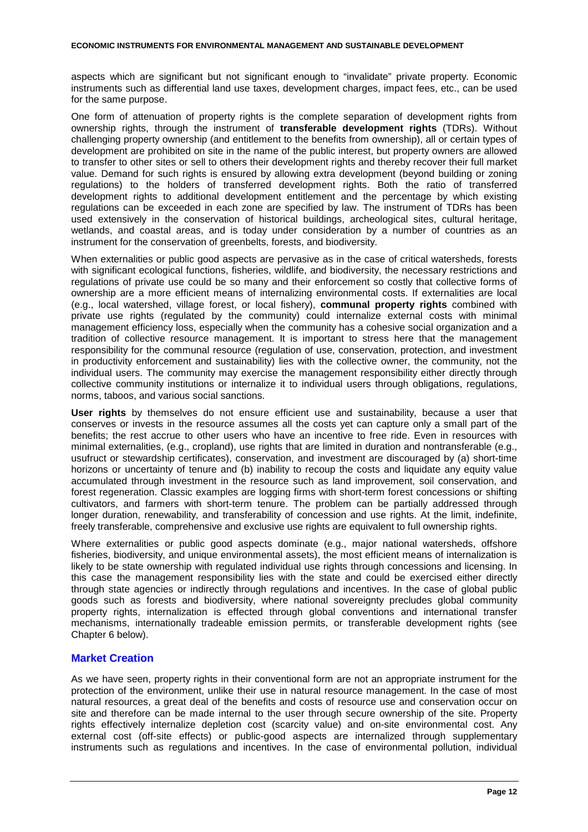aspects which are significant but not significant enough to "invalidate" private property. Economic instruments such as differential land use taxes, development charges, impact fees, etc., can be used for the same purpose.

One form of attenuation of property rights is the complete separation of development rights from ownership rights, through the instrument of **transferable development rights** (TDRs). Without challenging property ownership (and entitlement to the benefits from ownership), all or certain types of development are prohibited on site in the name of the public interest, but property owners are allowed to transfer to other sites or sell to others their development rights and thereby recover their full market value. Demand for such rights is ensured by allowing extra development (beyond building or zoning regulations) to the holders of transferred development rights. Both the ratio of transferred development rights to additional development entitlement and the percentage by which existing regulations can be exceeded in each zone are specified by law. The instrument of TDRs has been used extensively in the conservation of historical buildings, archeological sites, cultural heritage, wetlands, and coastal areas, and is today under consideration by a number of countries as an instrument for the conservation of greenbelts, forests, and biodiversity.

When externalities or public good aspects are pervasive as in the case of critical watersheds, forests with significant ecological functions, fisheries, wildlife, and biodiversity, the necessary restrictions and regulations of private use could be so many and their enforcement so costly that collective forms of ownership are a more efficient means of internalizing environmental costs. If externalities are local (e.g., local watershed, village forest, or local fishery), **communal property rights** combined with private use rights (regulated by the community) could internalize external costs with minimal management efficiency loss, especially when the community has a cohesive social organization and a tradition of collective resource management. It is important to stress here that the management responsibility for the communal resource (regulation of use, conservation, protection, and investment in productivity enforcement and sustainability) lies with the collective owner, the community, not the individual users. The community may exercise the management responsibility either directly through collective community institutions or internalize it to individual users through obligations, regulations, norms, taboos, and various social sanctions.

**User rights** by themselves do not ensure efficient use and sustainability, because a user that conserves or invests in the resource assumes all the costs yet can capture only a small part of the benefits; the rest accrue to other users who have an incentive to free ride. Even in resources with minimal externalities, (e.g., cropland), use rights that are limited in duration and nontransferable (e.g., usufruct or stewardship certificates), conservation, and investment are discouraged by (a) short-time horizons or uncertainty of tenure and (b) inability to recoup the costs and liquidate any equity value accumulated through investment in the resource such as land improvement, soil conservation, and forest regeneration. Classic examples are logging firms with short-term forest concessions or shifting cultivators, and farmers with short-term tenure. The problem can be partially addressed through longer duration, renewability, and transferability of concession and use rights. At the limit, indefinite, freely transferable, comprehensive and exclusive use rights are equivalent to full ownership rights.

Where externalities or public good aspects dominate (e.g., major national watersheds, offshore fisheries, biodiversity, and unique environmental assets), the most efficient means of internalization is likely to be state ownership with regulated individual use rights through concessions and licensing. In this case the management responsibility lies with the state and could be exercised either directly through state agencies or indirectly through regulations and incentives. In the case of global public goods such as forests and biodiversity, where national sovereignty precludes global community property rights, internalization is effected through global conventions and international transfer mechanisms, internationally tradeable emission permits, or transferable development rights (see Chapter 6 below).

# **Market Creation**

As we have seen, property rights in their conventional form are not an appropriate instrument for the protection of the environment, unlike their use in natural resource management. In the case of most natural resources, a great deal of the benefits and costs of resource use and conservation occur on site and therefore can be made internal to the user through secure ownership of the site. Property rights effectively internalize depletion cost (scarcity value) and on-site environmental cost. Any external cost (off-site effects) or public-good aspects are internalized through supplementary instruments such as regulations and incentives. In the case of environmental pollution, individual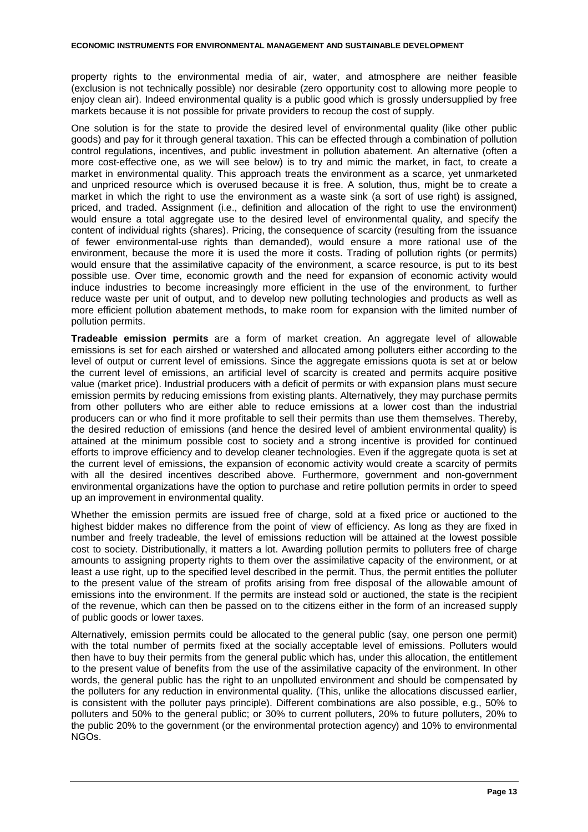property rights to the environmental media of air, water, and atmosphere are neither feasible (exclusion is not technically possible) nor desirable (zero opportunity cost to allowing more people to enjoy clean air). Indeed environmental quality is a public good which is grossly undersupplied by free markets because it is not possible for private providers to recoup the cost of supply.

One solution is for the state to provide the desired level of environmental quality (like other public goods) and pay for it through general taxation. This can be effected through a combination of pollution control regulations, incentives, and public investment in pollution abatement. An alternative (often a more cost-effective one, as we will see below) is to try and mimic the market, in fact, to create a market in environmental quality. This approach treats the environment as a scarce, yet unmarketed and unpriced resource which is overused because it is free. A solution, thus, might be to create a market in which the right to use the environment as a waste sink (a sort of use right) is assigned, priced, and traded. Assignment (i.e., definition and allocation of the right to use the environment) would ensure a total aggregate use to the desired level of environmental quality, and specify the content of individual rights (shares). Pricing, the consequence of scarcity (resulting from the issuance of fewer environmental-use rights than demanded), would ensure a more rational use of the environment, because the more it is used the more it costs. Trading of pollution rights (or permits) would ensure that the assimilative capacity of the environment, a scarce resource, is put to its best possible use. Over time, economic growth and the need for expansion of economic activity would induce industries to become increasingly more efficient in the use of the environment, to further reduce waste per unit of output, and to develop new polluting technologies and products as well as more efficient pollution abatement methods, to make room for expansion with the limited number of pollution permits.

**Tradeable emission permits** are a form of market creation. An aggregate level of allowable emissions is set for each airshed or watershed and allocated among polluters either according to the level of output or current level of emissions. Since the aggregate emissions quota is set at or below the current level of emissions, an artificial level of scarcity is created and permits acquire positive value (market price). Industrial producers with a deficit of permits or with expansion plans must secure emission permits by reducing emissions from existing plants. Alternatively, they may purchase permits from other polluters who are either able to reduce emissions at a lower cost than the industrial producers can or who find it more profitable to sell their permits than use them themselves. Thereby, the desired reduction of emissions (and hence the desired level of ambient environmental quality) is attained at the minimum possible cost to society and a strong incentive is provided for continued efforts to improve efficiency and to develop cleaner technologies. Even if the aggregate quota is set at the current level of emissions, the expansion of economic activity would create a scarcity of permits with all the desired incentives described above. Furthermore, government and non-government environmental organizations have the option to purchase and retire pollution permits in order to speed up an improvement in environmental quality.

Whether the emission permits are issued free of charge, sold at a fixed price or auctioned to the highest bidder makes no difference from the point of view of efficiency. As long as they are fixed in number and freely tradeable, the level of emissions reduction will be attained at the lowest possible cost to society. Distributionally, it matters a lot. Awarding pollution permits to polluters free of charge amounts to assigning property rights to them over the assimilative capacity of the environment, or at least a use right, up to the specified level described in the permit. Thus, the permit entitles the polluter to the present value of the stream of profits arising from free disposal of the allowable amount of emissions into the environment. If the permits are instead sold or auctioned, the state is the recipient of the revenue, which can then be passed on to the citizens either in the form of an increased supply of public goods or lower taxes.

Alternatively, emission permits could be allocated to the general public (say, one person one permit) with the total number of permits fixed at the socially acceptable level of emissions. Polluters would then have to buy their permits from the general public which has, under this allocation, the entitlement to the present value of benefits from the use of the assimilative capacity of the environment. In other words, the general public has the right to an unpolluted environment and should be compensated by the polluters for any reduction in environmental quality. (This, unlike the allocations discussed earlier, is consistent with the polluter pays principle). Different combinations are also possible, e.g., 50% to polluters and 50% to the general public; or 30% to current polluters, 20% to future polluters, 20% to the public 20% to the government (or the environmental protection agency) and 10% to environmental NGOs.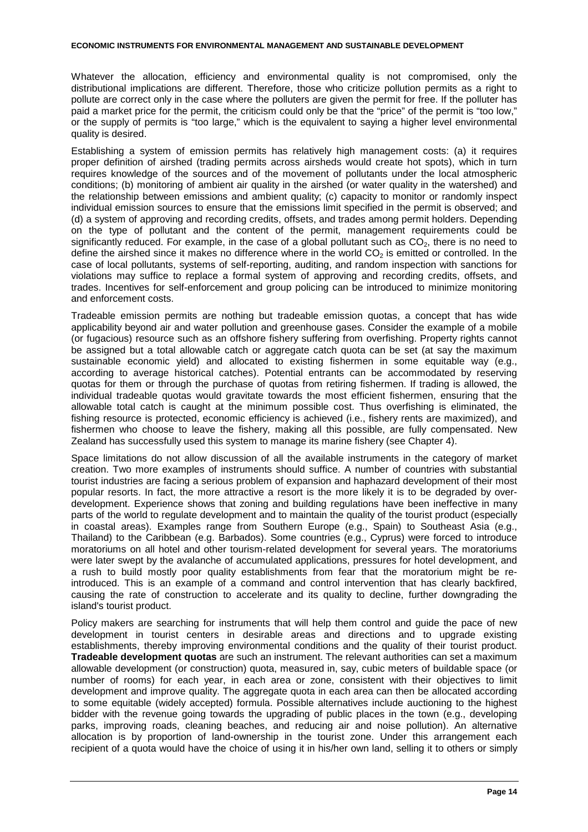Whatever the allocation, efficiency and environmental quality is not compromised, only the distributional implications are different. Therefore, those who criticize pollution permits as a right to pollute are correct only in the case where the polluters are given the permit for free. If the polluter has paid a market price for the permit, the criticism could only be that the "price" of the permit is "too low," or the supply of permits is "too large," which is the equivalent to saying a higher level environmental quality is desired.

Establishing a system of emission permits has relatively high management costs: (a) it requires proper definition of airshed (trading permits across airsheds would create hot spots), which in turn requires knowledge of the sources and of the movement of pollutants under the local atmospheric conditions; (b) monitoring of ambient air quality in the airshed (or water quality in the watershed) and the relationship between emissions and ambient quality; (c) capacity to monitor or randomly inspect individual emission sources to ensure that the emissions limit specified in the permit is observed; and (d) a system of approving and recording credits, offsets, and trades among permit holders. Depending on the type of pollutant and the content of the permit, management requirements could be significantly reduced. For example, in the case of a global pollutant such as  $CO<sub>2</sub>$ , there is no need to define the airshed since it makes no difference where in the world  $CO<sub>2</sub>$  is emitted or controlled. In the case of local pollutants, systems of self-reporting, auditing, and random inspection with sanctions for violations may suffice to replace a formal system of approving and recording credits, offsets, and trades. Incentives for self-enforcement and group policing can be introduced to minimize monitoring and enforcement costs.

Tradeable emission permits are nothing but tradeable emission quotas, a concept that has wide applicability beyond air and water pollution and greenhouse gases. Consider the example of a mobile (or fugacious) resource such as an offshore fishery suffering from overfishing. Property rights cannot be assigned but a total allowable catch or aggregate catch quota can be set (at say the maximum sustainable economic yield) and allocated to existing fishermen in some equitable way (e.g., according to average historical catches). Potential entrants can be accommodated by reserving quotas for them or through the purchase of quotas from retiring fishermen. If trading is allowed, the individual tradeable quotas would gravitate towards the most efficient fishermen, ensuring that the allowable total catch is caught at the minimum possible cost. Thus overfishing is eliminated, the fishing resource is protected, economic efficiency is achieved (i.e., fishery rents are maximized), and fishermen who choose to leave the fishery, making all this possible, are fully compensated. New Zealand has successfully used this system to manage its marine fishery (see Chapter 4).

Space limitations do not allow discussion of all the available instruments in the category of market creation. Two more examples of instruments should suffice. A number of countries with substantial tourist industries are facing a serious problem of expansion and haphazard development of their most popular resorts. In fact, the more attractive a resort is the more likely it is to be degraded by overdevelopment. Experience shows that zoning and building regulations have been ineffective in many parts of the world to regulate development and to maintain the quality of the tourist product (especially in coastal areas). Examples range from Southern Europe (e.g., Spain) to Southeast Asia (e.g., Thailand) to the Caribbean (e.g. Barbados). Some countries (e.g., Cyprus) were forced to introduce moratoriums on all hotel and other tourism-related development for several years. The moratoriums were later swept by the avalanche of accumulated applications, pressures for hotel development, and a rush to build mostly poor quality establishments from fear that the moratorium might be reintroduced. This is an example of a command and control intervention that has clearly backfired, causing the rate of construction to accelerate and its quality to decline, further downgrading the island's tourist product.

Policy makers are searching for instruments that will help them control and guide the pace of new development in tourist centers in desirable areas and directions and to upgrade existing establishments, thereby improving environmental conditions and the quality of their tourist product. **Tradeable development quotas** are such an instrument. The relevant authorities can set a maximum allowable development (or construction) quota, measured in, say, cubic meters of buildable space (or number of rooms) for each year, in each area or zone, consistent with their objectives to limit development and improve quality. The aggregate quota in each area can then be allocated according to some equitable (widely accepted) formula. Possible alternatives include auctioning to the highest bidder with the revenue going towards the upgrading of public places in the town (e.g., developing parks, improving roads, cleaning beaches, and reducing air and noise pollution). An alternative allocation is by proportion of land-ownership in the tourist zone. Under this arrangement each recipient of a quota would have the choice of using it in his/her own land, selling it to others or simply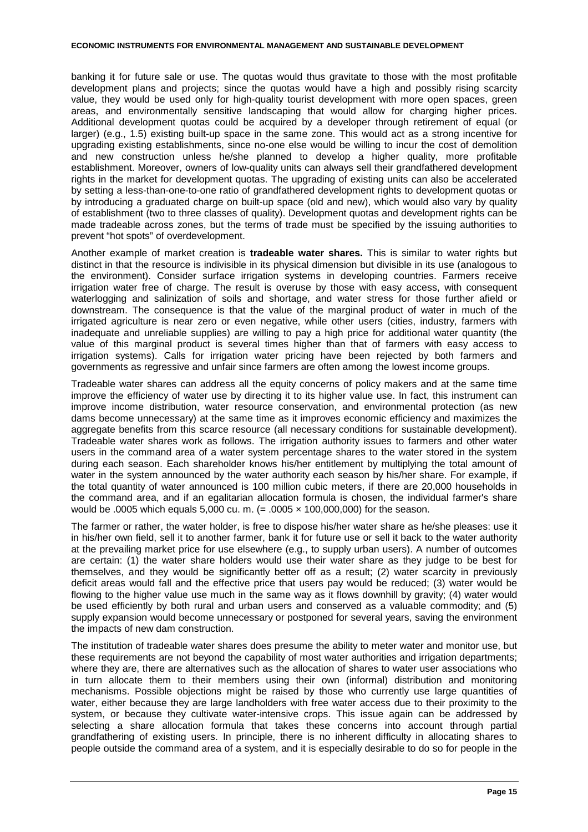banking it for future sale or use. The quotas would thus gravitate to those with the most profitable development plans and projects; since the quotas would have a high and possibly rising scarcity value, they would be used only for high-quality tourist development with more open spaces, green areas, and environmentally sensitive landscaping that would allow for charging higher prices. Additional development quotas could be acquired by a developer through retirement of equal (or larger) (e.g., 1.5) existing built-up space in the same zone. This would act as a strong incentive for upgrading existing establishments, since no-one else would be willing to incur the cost of demolition and new construction unless he/she planned to develop a higher quality, more profitable establishment. Moreover, owners of low-quality units can always sell their grandfathered development rights in the market for development quotas. The upgrading of existing units can also be accelerated by setting a less-than-one-to-one ratio of grandfathered development rights to development quotas or by introducing a graduated charge on built-up space (old and new), which would also vary by quality of establishment (two to three classes of quality). Development quotas and development rights can be made tradeable across zones, but the terms of trade must be specified by the issuing authorities to prevent "hot spots" of overdevelopment.

Another example of market creation is **tradeable water shares.** This is similar to water rights but distinct in that the resource is indivisible in its physical dimension but divisible in its use (analogous to the environment). Consider surface irrigation systems in developing countries. Farmers receive irrigation water free of charge. The result is overuse by those with easy access, with consequent waterlogging and salinization of soils and shortage, and water stress for those further afield or downstream. The consequence is that the value of the marginal product of water in much of the irrigated agriculture is near zero or even negative, while other users (cities, industry, farmers with inadequate and unreliable supplies) are willing to pay a high price for additional water quantity (the value of this marginal product is several times higher than that of farmers with easy access to irrigation systems). Calls for irrigation water pricing have been rejected by both farmers and governments as regressive and unfair since farmers are often among the lowest income groups.

Tradeable water shares can address all the equity concerns of policy makers and at the same time improve the efficiency of water use by directing it to its higher value use. In fact, this instrument can improve income distribution, water resource conservation, and environmental protection (as new dams become unnecessary) at the same time as it improves economic efficiency and maximizes the aggregate benefits from this scarce resource (all necessary conditions for sustainable development). Tradeable water shares work as follows. The irrigation authority issues to farmers and other water users in the command area of a water system percentage shares to the water stored in the system during each season. Each shareholder knows his/her entitlement by multiplying the total amount of water in the system announced by the water authority each season by his/her share. For example, if the total quantity of water announced is 100 million cubic meters, if there are 20,000 households in the command area, and if an egalitarian allocation formula is chosen, the individual farmer's share would be .0005 which equals 5,000 cu. m. (= .0005 × 100,000,000) for the season.

The farmer or rather, the water holder, is free to dispose his/her water share as he/she pleases: use it in his/her own field, sell it to another farmer, bank it for future use or sell it back to the water authority at the prevailing market price for use elsewhere (e.g., to supply urban users). A number of outcomes are certain: (1) the water share holders would use their water share as they judge to be best for themselves, and they would be significantly better off as a result; (2) water scarcity in previously deficit areas would fall and the effective price that users pay would be reduced; (3) water would be flowing to the higher value use much in the same way as it flows downhill by gravity; (4) water would be used efficiently by both rural and urban users and conserved as a valuable commodity; and (5) supply expansion would become unnecessary or postponed for several years, saving the environment the impacts of new dam construction.

The institution of tradeable water shares does presume the ability to meter water and monitor use, but these requirements are not beyond the capability of most water authorities and irrigation departments; where they are, there are alternatives such as the allocation of shares to water user associations who in turn allocate them to their members using their own (informal) distribution and monitoring mechanisms. Possible objections might be raised by those who currently use large quantities of water, either because they are large landholders with free water access due to their proximity to the system, or because they cultivate water-intensive crops. This issue again can be addressed by selecting a share allocation formula that takes these concerns into account through partial grandfathering of existing users. In principle, there is no inherent difficulty in allocating shares to people outside the command area of a system, and it is especially desirable to do so for people in the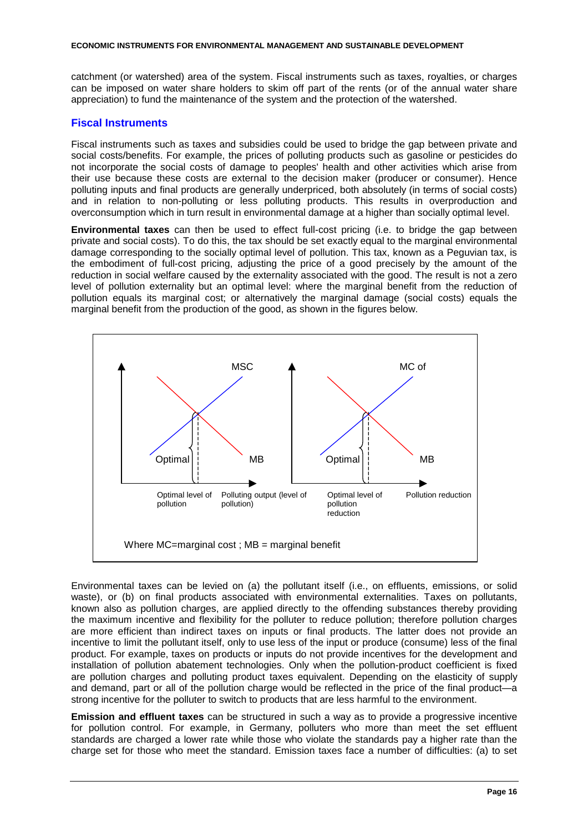catchment (or watershed) area of the system. Fiscal instruments such as taxes, royalties, or charges can be imposed on water share holders to skim off part of the rents (or of the annual water share appreciation) to fund the maintenance of the system and the protection of the watershed.

# **Fiscal Instruments**

Fiscal instruments such as taxes and subsidies could be used to bridge the gap between private and social costs/benefits. For example, the prices of polluting products such as gasoline or pesticides do not incorporate the social costs of damage to peoples' health and other activities which arise from their use because these costs are external to the decision maker (producer or consumer). Hence polluting inputs and final products are generally underpriced, both absolutely (in terms of social costs) and in relation to non-polluting or less polluting products. This results in overproduction and overconsumption which in turn result in environmental damage at a higher than socially optimal level.

**Environmental taxes** can then be used to effect full-cost pricing (i.e. to bridge the gap between private and social costs). To do this, the tax should be set exactly equal to the marginal environmental damage corresponding to the socially optimal level of pollution. This tax, known as a Peguvian tax, is the embodiment of full-cost pricing, adjusting the price of a good precisely by the amount of the reduction in social welfare caused by the externality associated with the good. The result is not a zero level of pollution externality but an optimal level: where the marginal benefit from the reduction of pollution equals its marginal cost; or alternatively the marginal damage (social costs) equals the marginal benefit from the production of the good, as shown in the figures below.



Environmental taxes can be levied on (a) the pollutant itself (i.e., on effluents, emissions, or solid waste), or (b) on final products associated with environmental externalities. Taxes on pollutants, known also as pollution charges, are applied directly to the offending substances thereby providing the maximum incentive and flexibility for the polluter to reduce pollution; therefore pollution charges are more efficient than indirect taxes on inputs or final products. The latter does not provide an incentive to limit the pollutant itself, only to use less of the input or produce (consume) less of the final product. For example, taxes on products or inputs do not provide incentives for the development and installation of pollution abatement technologies. Only when the pollution-product coefficient is fixed are pollution charges and polluting product taxes equivalent. Depending on the elasticity of supply and demand, part or all of the pollution charge would be reflected in the price of the final product—a strong incentive for the polluter to switch to products that are less harmful to the environment.

**Emission and effluent taxes** can be structured in such a way as to provide a progressive incentive for pollution control. For example, in Germany, polluters who more than meet the set effluent standards are charged a lower rate while those who violate the standards pay a higher rate than the charge set for those who meet the standard. Emission taxes face a number of difficulties: (a) to set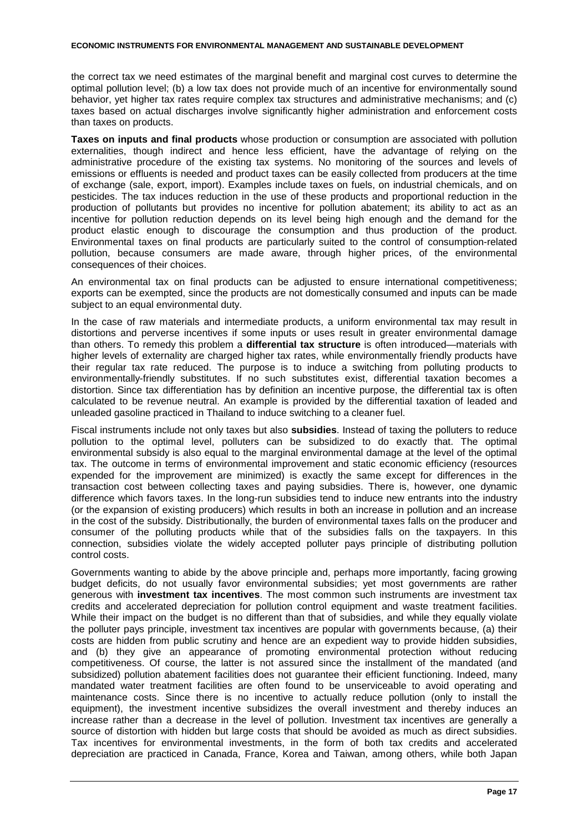the correct tax we need estimates of the marginal benefit and marginal cost curves to determine the optimal pollution level; (b) a low tax does not provide much of an incentive for environmentally sound behavior, yet higher tax rates require complex tax structures and administrative mechanisms; and (c) taxes based on actual discharges involve significantly higher administration and enforcement costs than taxes on products.

**Taxes on inputs and final products** whose production or consumption are associated with pollution externalities, though indirect and hence less efficient, have the advantage of relying on the administrative procedure of the existing tax systems. No monitoring of the sources and levels of emissions or effluents is needed and product taxes can be easily collected from producers at the time of exchange (sale, export, import). Examples include taxes on fuels, on industrial chemicals, and on pesticides. The tax induces reduction in the use of these products and proportional reduction in the production of pollutants but provides no incentive for pollution abatement; its ability to act as an incentive for pollution reduction depends on its level being high enough and the demand for the product elastic enough to discourage the consumption and thus production of the product. Environmental taxes on final products are particularly suited to the control of consumption-related pollution, because consumers are made aware, through higher prices, of the environmental consequences of their choices.

An environmental tax on final products can be adjusted to ensure international competitiveness; exports can be exempted, since the products are not domestically consumed and inputs can be made subject to an equal environmental duty.

In the case of raw materials and intermediate products, a uniform environmental tax may result in distortions and perverse incentives if some inputs or uses result in greater environmental damage than others. To remedy this problem a **differential tax structure** is often introduced—materials with higher levels of externality are charged higher tax rates, while environmentally friendly products have their regular tax rate reduced. The purpose is to induce a switching from polluting products to environmentally-friendly substitutes. If no such substitutes exist, differential taxation becomes a distortion. Since tax differentiation has by definition an incentive purpose, the differential tax is often calculated to be revenue neutral. An example is provided by the differential taxation of leaded and unleaded gasoline practiced in Thailand to induce switching to a cleaner fuel.

Fiscal instruments include not only taxes but also **subsidies**. Instead of taxing the polluters to reduce pollution to the optimal level, polluters can be subsidized to do exactly that. The optimal environmental subsidy is also equal to the marginal environmental damage at the level of the optimal tax. The outcome in terms of environmental improvement and static economic efficiency (resources expended for the improvement are minimized) is exactly the same except for differences in the transaction cost between collecting taxes and paying subsidies. There is, however, one dynamic difference which favors taxes. In the long-run subsidies tend to induce new entrants into the industry (or the expansion of existing producers) which results in both an increase in pollution and an increase in the cost of the subsidy. Distributionally, the burden of environmental taxes falls on the producer and consumer of the polluting products while that of the subsidies falls on the taxpayers. In this connection, subsidies violate the widely accepted polluter pays principle of distributing pollution control costs.

Governments wanting to abide by the above principle and, perhaps more importantly, facing growing budget deficits, do not usually favor environmental subsidies; yet most governments are rather generous with **investment tax incentives**. The most common such instruments are investment tax credits and accelerated depreciation for pollution control equipment and waste treatment facilities. While their impact on the budget is no different than that of subsidies, and while they equally violate the polluter pays principle, investment tax incentives are popular with governments because, (a) their costs are hidden from public scrutiny and hence are an expedient way to provide hidden subsidies, and (b) they give an appearance of promoting environmental protection without reducing competitiveness. Of course, the latter is not assured since the installment of the mandated (and subsidized) pollution abatement facilities does not guarantee their efficient functioning. Indeed, many mandated water treatment facilities are often found to be unserviceable to avoid operating and maintenance costs. Since there is no incentive to actually reduce pollution (only to install the equipment), the investment incentive subsidizes the overall investment and thereby induces an increase rather than a decrease in the level of pollution. Investment tax incentives are generally a source of distortion with hidden but large costs that should be avoided as much as direct subsidies. Tax incentives for environmental investments, in the form of both tax credits and accelerated depreciation are practiced in Canada, France, Korea and Taiwan, among others, while both Japan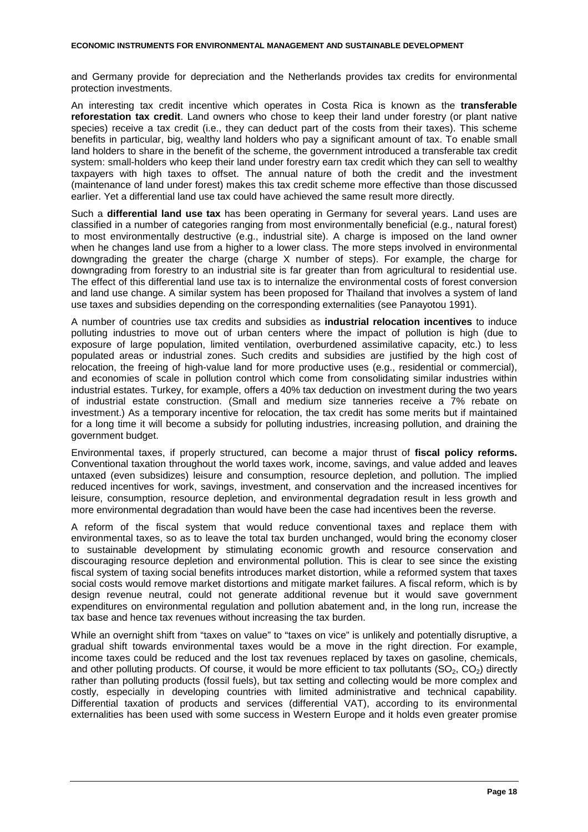and Germany provide for depreciation and the Netherlands provides tax credits for environmental protection investments.

An interesting tax credit incentive which operates in Costa Rica is known as the **transferable reforestation tax credit**. Land owners who chose to keep their land under forestry (or plant native species) receive a tax credit (i.e., they can deduct part of the costs from their taxes). This scheme benefits in particular, big, wealthy land holders who pay a significant amount of tax. To enable small land holders to share in the benefit of the scheme, the government introduced a transferable tax credit system: small-holders who keep their land under forestry earn tax credit which they can sell to wealthy taxpayers with high taxes to offset. The annual nature of both the credit and the investment (maintenance of land under forest) makes this tax credit scheme more effective than those discussed earlier. Yet a differential land use tax could have achieved the same result more directly.

Such a **differential land use tax** has been operating in Germany for several years. Land uses are classified in a number of categories ranging from most environmentally beneficial (e.g., natural forest) to most environmentally destructive (e.g., industrial site). A charge is imposed on the land owner when he changes land use from a higher to a lower class. The more steps involved in environmental downgrading the greater the charge (charge X number of steps). For example, the charge for downgrading from forestry to an industrial site is far greater than from agricultural to residential use. The effect of this differential land use tax is to internalize the environmental costs of forest conversion and land use change. A similar system has been proposed for Thailand that involves a system of land use taxes and subsidies depending on the corresponding externalities (see Panayotou 1991).

A number of countries use tax credits and subsidies as **industrial relocation incentives** to induce polluting industries to move out of urban centers where the impact of pollution is high (due to exposure of large population, limited ventilation, overburdened assimilative capacity, etc.) to less populated areas or industrial zones. Such credits and subsidies are justified by the high cost of relocation, the freeing of high-value land for more productive uses (e.g., residential or commercial), and economies of scale in pollution control which come from consolidating similar industries within industrial estates. Turkey, for example, offers a 40% tax deduction on investment during the two years of industrial estate construction. (Small and medium size tanneries receive a 7% rebate on investment.) As a temporary incentive for relocation, the tax credit has some merits but if maintained for a long time it will become a subsidy for polluting industries, increasing pollution, and draining the government budget.

Environmental taxes, if properly structured, can become a major thrust of **fiscal policy reforms.** Conventional taxation throughout the world taxes work, income, savings, and value added and leaves untaxed (even subsidizes) leisure and consumption, resource depletion, and pollution. The implied reduced incentives for work, savings, investment, and conservation and the increased incentives for leisure, consumption, resource depletion, and environmental degradation result in less growth and more environmental degradation than would have been the case had incentives been the reverse.

A reform of the fiscal system that would reduce conventional taxes and replace them with environmental taxes, so as to leave the total tax burden unchanged, would bring the economy closer to sustainable development by stimulating economic growth and resource conservation and discouraging resource depletion and environmental pollution. This is clear to see since the existing fiscal system of taxing social benefits introduces market distortion, while a reformed system that taxes social costs would remove market distortions and mitigate market failures. A fiscal reform, which is by design revenue neutral, could not generate additional revenue but it would save government expenditures on environmental regulation and pollution abatement and, in the long run, increase the tax base and hence tax revenues without increasing the tax burden.

While an overnight shift from "taxes on value" to "taxes on vice" is unlikely and potentially disruptive, a gradual shift towards environmental taxes would be a move in the right direction. For example, income taxes could be reduced and the lost tax revenues replaced by taxes on gasoline, chemicals, and other polluting products. Of course, it would be more efficient to tax pollutants ( $SO<sub>2</sub>$ ,  $CO<sub>2</sub>$ ) directly rather than polluting products (fossil fuels), but tax setting and collecting would be more complex and costly, especially in developing countries with limited administrative and technical capability. Differential taxation of products and services (differential VAT), according to its environmental externalities has been used with some success in Western Europe and it holds even greater promise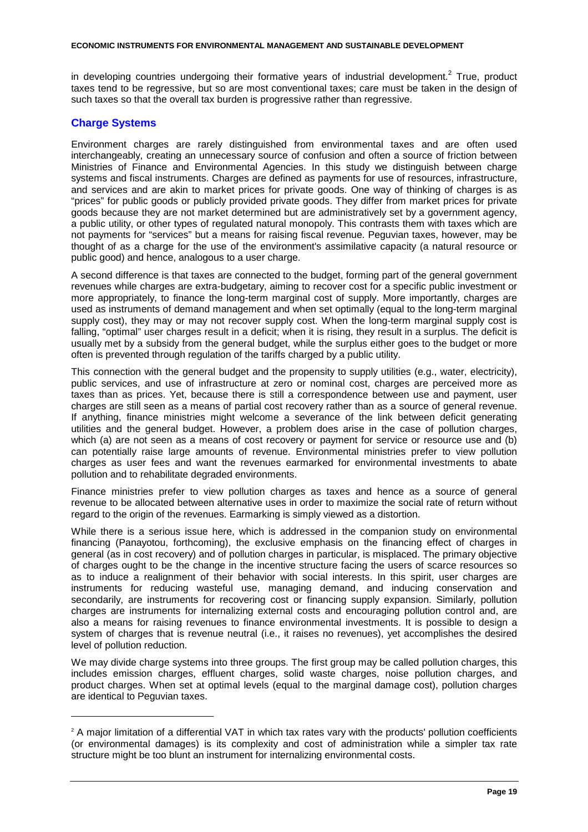in developing countries undergoing their formative years of industrial development.<sup>2</sup> True, product taxes tend to be regressive, but so are most conventional taxes; care must be taken in the design of such taxes so that the overall tax burden is progressive rather than regressive.

# **Charge Systems**

l

Environment charges are rarely distinguished from environmental taxes and are often used interchangeably, creating an unnecessary source of confusion and often a source of friction between Ministries of Finance and Environmental Agencies. In this study we distinguish between charge systems and fiscal instruments. Charges are defined as payments for use of resources, infrastructure, and services and are akin to market prices for private goods. One way of thinking of charges is as "prices" for public goods or publicly provided private goods. They differ from market prices for private goods because they are not market determined but are administratively set by a government agency, a public utility, or other types of regulated natural monopoly. This contrasts them with taxes which are not payments for "services" but a means for raising fiscal revenue. Peguvian taxes, however, may be thought of as a charge for the use of the environment's assimilative capacity (a natural resource or public good) and hence, analogous to a user charge.

A second difference is that taxes are connected to the budget, forming part of the general government revenues while charges are extra-budgetary, aiming to recover cost for a specific public investment or more appropriately, to finance the long-term marginal cost of supply. More importantly, charges are used as instruments of demand management and when set optimally (equal to the long-term marginal supply cost), they may or may not recover supply cost. When the long-term marginal supply cost is falling, "optimal" user charges result in a deficit; when it is rising, they result in a surplus. The deficit is usually met by a subsidy from the general budget, while the surplus either goes to the budget or more often is prevented through regulation of the tariffs charged by a public utility.

This connection with the general budget and the propensity to supply utilities (e.g., water, electricity), public services, and use of infrastructure at zero or nominal cost, charges are perceived more as taxes than as prices. Yet, because there is still a correspondence between use and payment, user charges are still seen as a means of partial cost recovery rather than as a source of general revenue. If anything, finance ministries might welcome a severance of the link between deficit generating utilities and the general budget. However, a problem does arise in the case of pollution charges, which (a) are not seen as a means of cost recovery or payment for service or resource use and (b) can potentially raise large amounts of revenue. Environmental ministries prefer to view pollution charges as user fees and want the revenues earmarked for environmental investments to abate pollution and to rehabilitate degraded environments.

Finance ministries prefer to view pollution charges as taxes and hence as a source of general revenue to be allocated between alternative uses in order to maximize the social rate of return without regard to the origin of the revenues. Earmarking is simply viewed as a distortion.

While there is a serious issue here, which is addressed in the companion study on environmental financing (Panayotou, forthcoming), the exclusive emphasis on the financing effect of charges in general (as in cost recovery) and of pollution charges in particular, is misplaced. The primary objective of charges ought to be the change in the incentive structure facing the users of scarce resources so as to induce a realignment of their behavior with social interests. In this spirit, user charges are instruments for reducing wasteful use, managing demand, and inducing conservation and secondarily, are instruments for recovering cost or financing supply expansion. Similarly, pollution charges are instruments for internalizing external costs and encouraging pollution control and, are also a means for raising revenues to finance environmental investments. It is possible to design a system of charges that is revenue neutral (i.e., it raises no revenues), yet accomplishes the desired level of pollution reduction.

We may divide charge systems into three groups. The first group may be called pollution charges, this includes emission charges, effluent charges, solid waste charges, noise pollution charges, and product charges. When set at optimal levels (equal to the marginal damage cost), pollution charges are identical to Peguvian taxes.

<sup>&</sup>lt;sup>2</sup> A major limitation of a differential VAT in which tax rates vary with the products' pollution coefficients (or environmental damages) is its complexity and cost of administration while a simpler tax rate structure might be too blunt an instrument for internalizing environmental costs.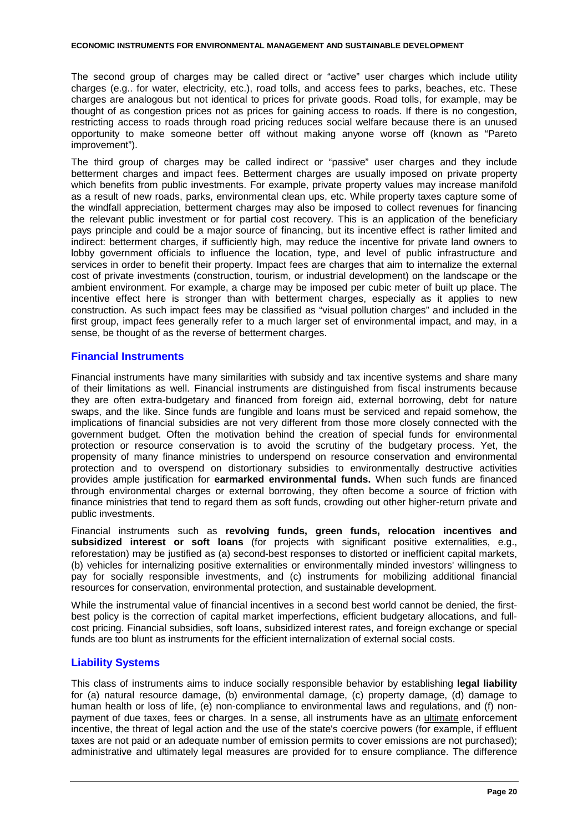The second group of charges may be called direct or "active" user charges which include utility charges (e.g.. for water, electricity, etc.), road tolls, and access fees to parks, beaches, etc. These charges are analogous but not identical to prices for private goods. Road tolls, for example, may be thought of as congestion prices not as prices for gaining access to roads. If there is no congestion, restricting access to roads through road pricing reduces social welfare because there is an unused opportunity to make someone better off without making anyone worse off (known as "Pareto improvement").

The third group of charges may be called indirect or "passive" user charges and they include betterment charges and impact fees. Betterment charges are usually imposed on private property which benefits from public investments. For example, private property values may increase manifold as a result of new roads, parks, environmental clean ups, etc. While property taxes capture some of the windfall appreciation, betterment charges may also be imposed to collect revenues for financing the relevant public investment or for partial cost recovery. This is an application of the beneficiary pays principle and could be a major source of financing, but its incentive effect is rather limited and indirect: betterment charges, if sufficiently high, may reduce the incentive for private land owners to lobby government officials to influence the location, type, and level of public infrastructure and services in order to benefit their property. Impact fees are charges that aim to internalize the external cost of private investments (construction, tourism, or industrial development) on the landscape or the ambient environment. For example, a charge may be imposed per cubic meter of built up place. The incentive effect here is stronger than with betterment charges, especially as it applies to new construction. As such impact fees may be classified as "visual pollution charges" and included in the first group, impact fees generally refer to a much larger set of environmental impact, and may, in a sense, be thought of as the reverse of betterment charges.

### **Financial Instruments**

Financial instruments have many similarities with subsidy and tax incentive systems and share many of their limitations as well. Financial instruments are distinguished from fiscal instruments because they are often extra-budgetary and financed from foreign aid, external borrowing, debt for nature swaps, and the like. Since funds are fungible and loans must be serviced and repaid somehow, the implications of financial subsidies are not very different from those more closely connected with the government budget. Often the motivation behind the creation of special funds for environmental protection or resource conservation is to avoid the scrutiny of the budgetary process. Yet, the propensity of many finance ministries to underspend on resource conservation and environmental protection and to overspend on distortionary subsidies to environmentally destructive activities provides ample justification for **earmarked environmental funds.** When such funds are financed through environmental charges or external borrowing, they often become a source of friction with finance ministries that tend to regard them as soft funds, crowding out other higher-return private and public investments.

Financial instruments such as **revolving funds, green funds, relocation incentives and subsidized interest or soft loans** (for projects with significant positive externalities, e.g., reforestation) may be justified as (a) second-best responses to distorted or inefficient capital markets, (b) vehicles for internalizing positive externalities or environmentally minded investors' willingness to pay for socially responsible investments, and (c) instruments for mobilizing additional financial resources for conservation, environmental protection, and sustainable development.

While the instrumental value of financial incentives in a second best world cannot be denied, the firstbest policy is the correction of capital market imperfections, efficient budgetary allocations, and fullcost pricing. Financial subsidies, soft loans, subsidized interest rates, and foreign exchange or special funds are too blunt as instruments for the efficient internalization of external social costs.

# **Liability Systems**

This class of instruments aims to induce socially responsible behavior by establishing **legal liability** for (a) natural resource damage, (b) environmental damage, (c) property damage, (d) damage to human health or loss of life, (e) non-compliance to environmental laws and regulations, and (f) nonpayment of due taxes, fees or charges. In a sense, all instruments have as an ultimate enforcement incentive, the threat of legal action and the use of the state's coercive powers (for example, if effluent taxes are not paid or an adequate number of emission permits to cover emissions are not purchased); administrative and ultimately legal measures are provided for to ensure compliance. The difference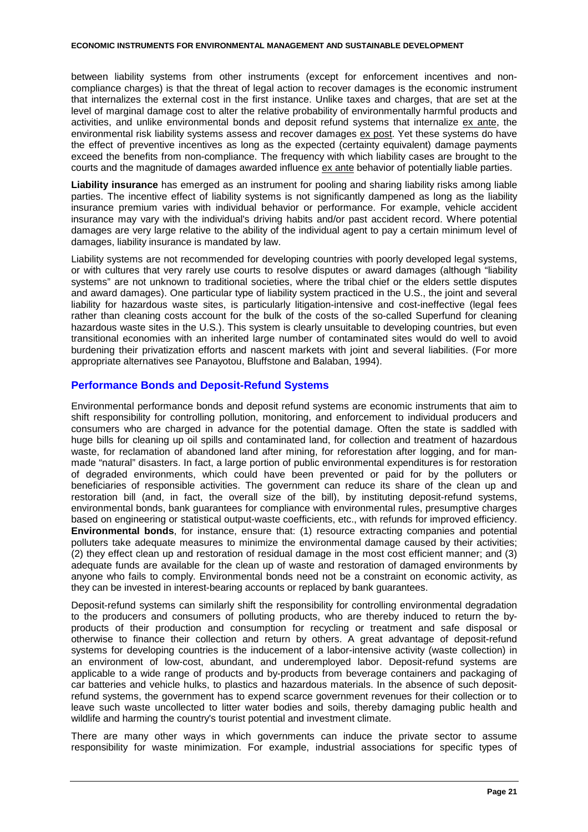between liability systems from other instruments (except for enforcement incentives and noncompliance charges) is that the threat of legal action to recover damages is the economic instrument that internalizes the external cost in the first instance. Unlike taxes and charges, that are set at the level of marginal damage cost to alter the relative probability of environmentally harmful products and activities, and unlike environmental bonds and deposit refund systems that internalize ex ante, the environmental risk liability systems assess and recover damages ex post. Yet these systems do have the effect of preventive incentives as long as the expected (certainty equivalent) damage payments exceed the benefits from non-compliance. The frequency with which liability cases are brought to the courts and the magnitude of damages awarded influence ex ante behavior of potentially liable parties.

**Liability insurance** has emerged as an instrument for pooling and sharing liability risks among liable parties. The incentive effect of liability systems is not significantly dampened as long as the liability insurance premium varies with individual behavior or performance. For example, vehicle accident insurance may vary with the individual's driving habits and/or past accident record. Where potential damages are very large relative to the ability of the individual agent to pay a certain minimum level of damages, liability insurance is mandated by law.

Liability systems are not recommended for developing countries with poorly developed legal systems, or with cultures that very rarely use courts to resolve disputes or award damages (although "liability systems" are not unknown to traditional societies, where the tribal chief or the elders settle disputes and award damages). One particular type of liability system practiced in the U.S., the joint and several liability for hazardous waste sites, is particularly litigation-intensive and cost-ineffective (legal fees rather than cleaning costs account for the bulk of the costs of the so-called Superfund for cleaning hazardous waste sites in the U.S.). This system is clearly unsuitable to developing countries, but even transitional economies with an inherited large number of contaminated sites would do well to avoid burdening their privatization efforts and nascent markets with joint and several liabilities. (For more appropriate alternatives see Panayotou, Bluffstone and Balaban, 1994).

# **Performance Bonds and Deposit-Refund Systems**

Environmental performance bonds and deposit refund systems are economic instruments that aim to shift responsibility for controlling pollution, monitoring, and enforcement to individual producers and consumers who are charged in advance for the potential damage. Often the state is saddled with huge bills for cleaning up oil spills and contaminated land, for collection and treatment of hazardous waste, for reclamation of abandoned land after mining, for reforestation after logging, and for manmade "natural" disasters. In fact, a large portion of public environmental expenditures is for restoration of degraded environments, which could have been prevented or paid for by the polluters or beneficiaries of responsible activities. The government can reduce its share of the clean up and restoration bill (and, in fact, the overall size of the bill), by instituting deposit-refund systems, environmental bonds, bank guarantees for compliance with environmental rules, presumptive charges based on engineering or statistical output-waste coefficients, etc., with refunds for improved efficiency. **Environmental bonds**, for instance, ensure that: (1) resource extracting companies and potential polluters take adequate measures to minimize the environmental damage caused by their activities; (2) they effect clean up and restoration of residual damage in the most cost efficient manner; and (3) adequate funds are available for the clean up of waste and restoration of damaged environments by anyone who fails to comply. Environmental bonds need not be a constraint on economic activity, as they can be invested in interest-bearing accounts or replaced by bank guarantees.

Deposit-refund systems can similarly shift the responsibility for controlling environmental degradation to the producers and consumers of polluting products, who are thereby induced to return the byproducts of their production and consumption for recycling or treatment and safe disposal or otherwise to finance their collection and return by others. A great advantage of deposit-refund systems for developing countries is the inducement of a labor-intensive activity (waste collection) in an environment of low-cost, abundant, and underemployed labor. Deposit-refund systems are applicable to a wide range of products and by-products from beverage containers and packaging of car batteries and vehicle hulks, to plastics and hazardous materials. In the absence of such depositrefund systems, the government has to expend scarce government revenues for their collection or to leave such waste uncollected to litter water bodies and soils, thereby damaging public health and wildlife and harming the country's tourist potential and investment climate.

There are many other ways in which governments can induce the private sector to assume responsibility for waste minimization. For example, industrial associations for specific types of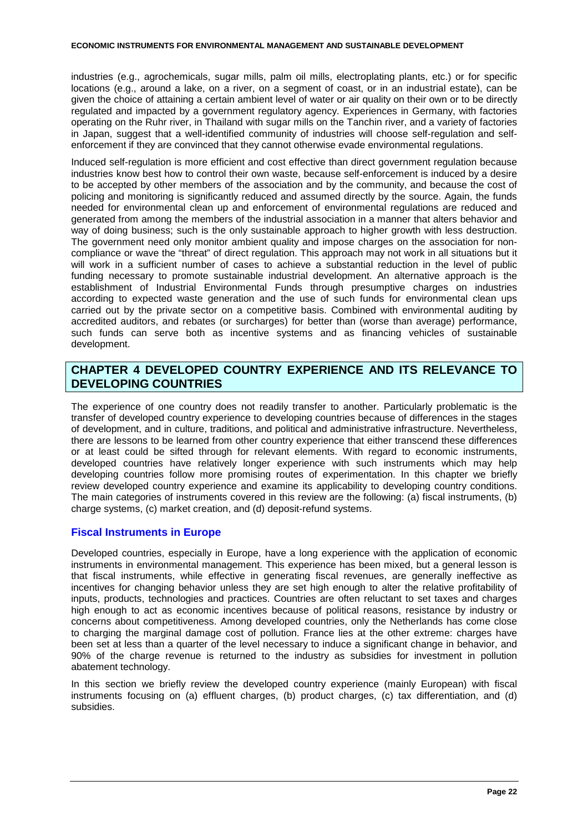industries (e.g., agrochemicals, sugar mills, palm oil mills, electroplating plants, etc.) or for specific locations (e.g., around a lake, on a river, on a segment of coast, or in an industrial estate), can be given the choice of attaining a certain ambient level of water or air quality on their own or to be directly regulated and impacted by a government regulatory agency. Experiences in Germany, with factories operating on the Ruhr river, in Thailand with sugar mills on the Tanchin river, and a variety of factories in Japan, suggest that a well-identified community of industries will choose self-regulation and selfenforcement if they are convinced that they cannot otherwise evade environmental regulations.

Induced self-regulation is more efficient and cost effective than direct government regulation because industries know best how to control their own waste, because self-enforcement is induced by a desire to be accepted by other members of the association and by the community, and because the cost of policing and monitoring is significantly reduced and assumed directly by the source. Again, the funds needed for environmental clean up and enforcement of environmental regulations are reduced and generated from among the members of the industrial association in a manner that alters behavior and way of doing business; such is the only sustainable approach to higher growth with less destruction. The government need only monitor ambient quality and impose charges on the association for noncompliance or wave the "threat" of direct regulation. This approach may not work in all situations but it will work in a sufficient number of cases to achieve a substantial reduction in the level of public funding necessary to promote sustainable industrial development. An alternative approach is the establishment of Industrial Environmental Funds through presumptive charges on industries according to expected waste generation and the use of such funds for environmental clean ups carried out by the private sector on a competitive basis. Combined with environmental auditing by accredited auditors, and rebates (or surcharges) for better than (worse than average) performance, such funds can serve both as incentive systems and as financing vehicles of sustainable development.

# **CHAPTER 4 DEVELOPED COUNTRY EXPERIENCE AND ITS RELEVANCE TO DEVELOPING COUNTRIES**

The experience of one country does not readily transfer to another. Particularly problematic is the transfer of developed country experience to developing countries because of differences in the stages of development, and in culture, traditions, and political and administrative infrastructure. Nevertheless, there are lessons to be learned from other country experience that either transcend these differences or at least could be sifted through for relevant elements. With regard to economic instruments, developed countries have relatively longer experience with such instruments which may help developing countries follow more promising routes of experimentation. In this chapter we briefly review developed country experience and examine its applicability to developing country conditions. The main categories of instruments covered in this review are the following: (a) fiscal instruments, (b) charge systems, (c) market creation, and (d) deposit-refund systems.

# **Fiscal Instruments in Europe**

Developed countries, especially in Europe, have a long experience with the application of economic instruments in environmental management. This experience has been mixed, but a general lesson is that fiscal instruments, while effective in generating fiscal revenues, are generally ineffective as incentives for changing behavior unless they are set high enough to alter the relative profitability of inputs, products, technologies and practices. Countries are often reluctant to set taxes and charges high enough to act as economic incentives because of political reasons, resistance by industry or concerns about competitiveness. Among developed countries, only the Netherlands has come close to charging the marginal damage cost of pollution. France lies at the other extreme: charges have been set at less than a quarter of the level necessary to induce a significant change in behavior, and 90% of the charge revenue is returned to the industry as subsidies for investment in pollution abatement technology.

In this section we briefly review the developed country experience (mainly European) with fiscal instruments focusing on (a) effluent charges, (b) product charges, (c) tax differentiation, and (d) subsidies.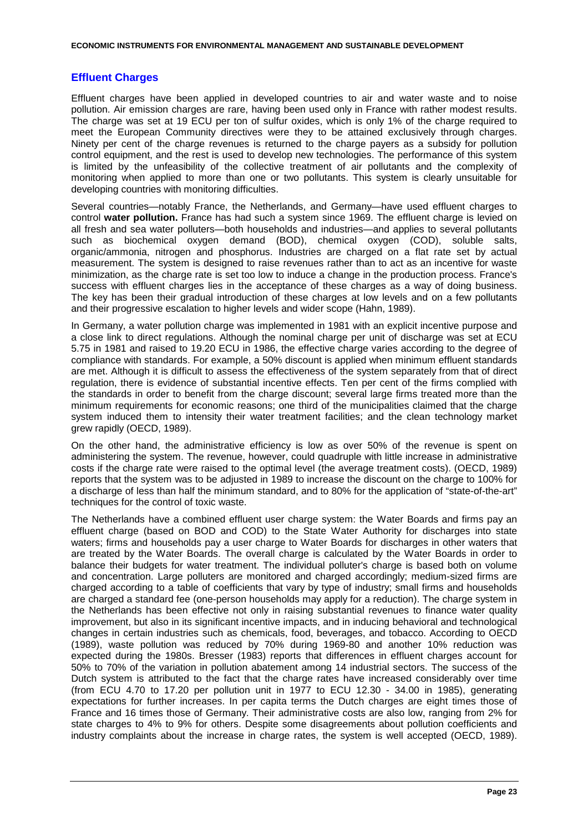# **Effluent Charges**

Effluent charges have been applied in developed countries to air and water waste and to noise pollution. Air emission charges are rare, having been used only in France with rather modest results. The charge was set at 19 ECU per ton of sulfur oxides, which is only 1% of the charge required to meet the European Community directives were they to be attained exclusively through charges. Ninety per cent of the charge revenues is returned to the charge payers as a subsidy for pollution control equipment, and the rest is used to develop new technologies. The performance of this system is limited by the unfeasibility of the collective treatment of air pollutants and the complexity of monitoring when applied to more than one or two pollutants. This system is clearly unsuitable for developing countries with monitoring difficulties.

Several countries—notably France, the Netherlands, and Germany—have used effluent charges to control **water pollution.** France has had such a system since 1969. The effluent charge is levied on all fresh and sea water polluters—both households and industries—and applies to several pollutants such as biochemical oxygen demand (BOD), chemical oxygen (COD), soluble salts, organic/ammonia, nitrogen and phosphorus. Industries are charged on a flat rate set by actual measurement. The system is designed to raise revenues rather than to act as an incentive for waste minimization, as the charge rate is set too low to induce a change in the production process. France's success with effluent charges lies in the acceptance of these charges as a way of doing business. The key has been their gradual introduction of these charges at low levels and on a few pollutants and their progressive escalation to higher levels and wider scope (Hahn, 1989).

In Germany, a water pollution charge was implemented in 1981 with an explicit incentive purpose and a close link to direct regulations. Although the nominal charge per unit of discharge was set at ECU 5.75 in 1981 and raised to 19.20 ECU in 1986, the effective charge varies according to the degree of compliance with standards. For example, a 50% discount is applied when minimum effluent standards are met. Although it is difficult to assess the effectiveness of the system separately from that of direct regulation, there is evidence of substantial incentive effects. Ten per cent of the firms complied with the standards in order to benefit from the charge discount; several large firms treated more than the minimum requirements for economic reasons; one third of the municipalities claimed that the charge system induced them to intensity their water treatment facilities; and the clean technology market grew rapidly (OECD, 1989).

On the other hand, the administrative efficiency is low as over 50% of the revenue is spent on administering the system. The revenue, however, could quadruple with little increase in administrative costs if the charge rate were raised to the optimal level (the average treatment costs). (OECD, 1989) reports that the system was to be adjusted in 1989 to increase the discount on the charge to 100% for a discharge of less than half the minimum standard, and to 80% for the application of "state-of-the-art" techniques for the control of toxic waste.

The Netherlands have a combined effluent user charge system: the Water Boards and firms pay an effluent charge (based on BOD and COD) to the State Water Authority for discharges into state waters; firms and households pay a user charge to Water Boards for discharges in other waters that are treated by the Water Boards. The overall charge is calculated by the Water Boards in order to balance their budgets for water treatment. The individual polluter's charge is based both on volume and concentration. Large polluters are monitored and charged accordingly; medium-sized firms are charged according to a table of coefficients that vary by type of industry; small firms and households are charged a standard fee (one-person households may apply for a reduction). The charge system in the Netherlands has been effective not only in raising substantial revenues to finance water quality improvement, but also in its significant incentive impacts, and in inducing behavioral and technological changes in certain industries such as chemicals, food, beverages, and tobacco. According to OECD (1989), waste pollution was reduced by 70% during 1969-80 and another 10% reduction was expected during the 1980s. Bresser (1983) reports that differences in effluent charges account for 50% to 70% of the variation in pollution abatement among 14 industrial sectors. The success of the Dutch system is attributed to the fact that the charge rates have increased considerably over time (from ECU 4.70 to 17.20 per pollution unit in 1977 to ECU 12.30 - 34.00 in 1985), generating expectations for further increases. In per capita terms the Dutch charges are eight times those of France and 16 times those of Germany. Their administrative costs are also low, ranging from 2% for state charges to 4% to 9% for others. Despite some disagreements about pollution coefficients and industry complaints about the increase in charge rates, the system is well accepted (OECD, 1989).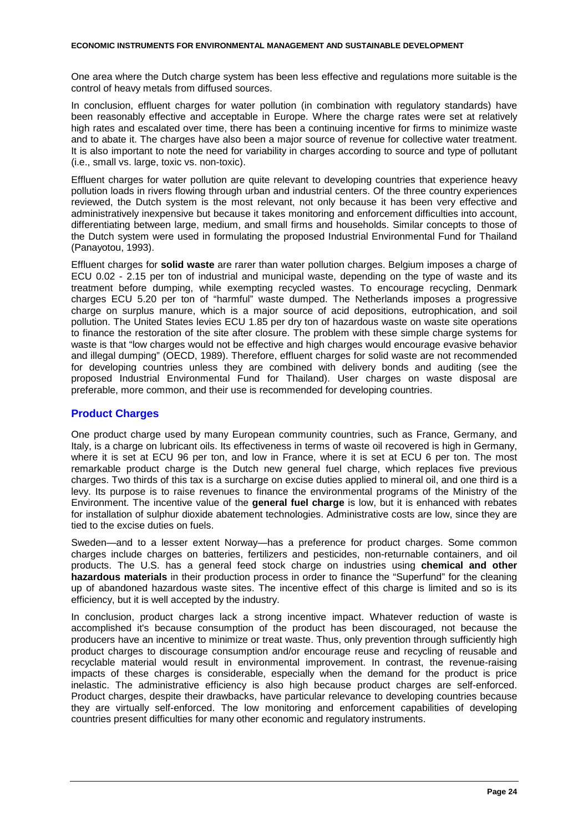One area where the Dutch charge system has been less effective and regulations more suitable is the control of heavy metals from diffused sources.

In conclusion, effluent charges for water pollution (in combination with regulatory standards) have been reasonably effective and acceptable in Europe. Where the charge rates were set at relatively high rates and escalated over time, there has been a continuing incentive for firms to minimize waste and to abate it. The charges have also been a major source of revenue for collective water treatment. It is also important to note the need for variability in charges according to source and type of pollutant (i.e., small vs. large, toxic vs. non-toxic).

Effluent charges for water pollution are quite relevant to developing countries that experience heavy pollution loads in rivers flowing through urban and industrial centers. Of the three country experiences reviewed, the Dutch system is the most relevant, not only because it has been very effective and administratively inexpensive but because it takes monitoring and enforcement difficulties into account, differentiating between large, medium, and small firms and households. Similar concepts to those of the Dutch system were used in formulating the proposed Industrial Environmental Fund for Thailand (Panayotou, 1993).

Effluent charges for **solid waste** are rarer than water pollution charges. Belgium imposes a charge of ECU 0.02 - 2.15 per ton of industrial and municipal waste, depending on the type of waste and its treatment before dumping, while exempting recycled wastes. To encourage recycling, Denmark charges ECU 5.20 per ton of "harmful" waste dumped. The Netherlands imposes a progressive charge on surplus manure, which is a major source of acid depositions, eutrophication, and soil pollution. The United States levies ECU 1.85 per dry ton of hazardous waste on waste site operations to finance the restoration of the site after closure. The problem with these simple charge systems for waste is that "low charges would not be effective and high charges would encourage evasive behavior and illegal dumping" (OECD, 1989). Therefore, effluent charges for solid waste are not recommended for developing countries unless they are combined with delivery bonds and auditing (see the proposed Industrial Environmental Fund for Thailand). User charges on waste disposal are preferable, more common, and their use is recommended for developing countries.

# **Product Charges**

One product charge used by many European community countries, such as France, Germany, and Italy, is a charge on lubricant oils. Its effectiveness in terms of waste oil recovered is high in Germany, where it is set at ECU 96 per ton, and low in France, where it is set at ECU 6 per ton. The most remarkable product charge is the Dutch new general fuel charge, which replaces five previous charges. Two thirds of this tax is a surcharge on excise duties applied to mineral oil, and one third is a levy. Its purpose is to raise revenues to finance the environmental programs of the Ministry of the Environment. The incentive value of the **general fuel charge** is low, but it is enhanced with rebates for installation of sulphur dioxide abatement technologies. Administrative costs are low, since they are tied to the excise duties on fuels.

Sweden—and to a lesser extent Norway—has a preference for product charges. Some common charges include charges on batteries, fertilizers and pesticides, non-returnable containers, and oil products. The U.S. has a general feed stock charge on industries using **chemical and other hazardous materials** in their production process in order to finance the "Superfund" for the cleaning up of abandoned hazardous waste sites. The incentive effect of this charge is limited and so is its efficiency, but it is well accepted by the industry.

In conclusion, product charges lack a strong incentive impact. Whatever reduction of waste is accomplished it's because consumption of the product has been discouraged, not because the producers have an incentive to minimize or treat waste. Thus, only prevention through sufficiently high product charges to discourage consumption and/or encourage reuse and recycling of reusable and recyclable material would result in environmental improvement. In contrast, the revenue-raising impacts of these charges is considerable, especially when the demand for the product is price inelastic. The administrative efficiency is also high because product charges are self-enforced. Product charges, despite their drawbacks, have particular relevance to developing countries because they are virtually self-enforced. The low monitoring and enforcement capabilities of developing countries present difficulties for many other economic and regulatory instruments.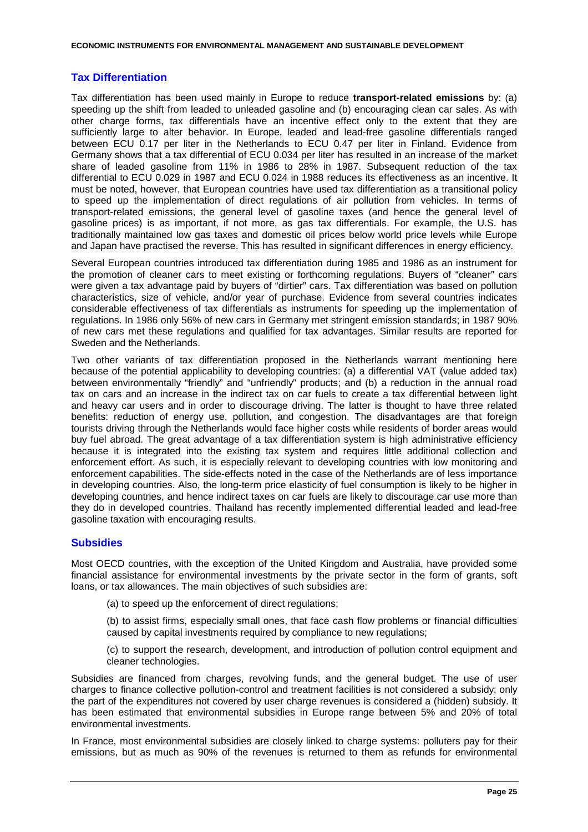# **Tax Differentiation**

Tax differentiation has been used mainly in Europe to reduce **transport-related emissions** by: (a) speeding up the shift from leaded to unleaded gasoline and (b) encouraging clean car sales. As with other charge forms, tax differentials have an incentive effect only to the extent that they are sufficiently large to alter behavior. In Europe, leaded and lead-free gasoline differentials ranged between ECU 0.17 per liter in the Netherlands to ECU 0.47 per liter in Finland. Evidence from Germany shows that a tax differential of ECU 0.034 per liter has resulted in an increase of the market share of leaded gasoline from 11% in 1986 to 28% in 1987. Subsequent reduction of the tax differential to ECU 0.029 in 1987 and ECU 0.024 in 1988 reduces its effectiveness as an incentive. It must be noted, however, that European countries have used tax differentiation as a transitional policy to speed up the implementation of direct regulations of air pollution from vehicles. In terms of transport-related emissions, the general level of gasoline taxes (and hence the general level of gasoline prices) is as important, if not more, as gas tax differentials. For example, the U.S. has traditionally maintained low gas taxes and domestic oil prices below world price levels while Europe and Japan have practised the reverse. This has resulted in significant differences in energy efficiency.

Several European countries introduced tax differentiation during 1985 and 1986 as an instrument for the promotion of cleaner cars to meet existing or forthcoming regulations. Buyers of "cleaner" cars were given a tax advantage paid by buyers of "dirtier" cars. Tax differentiation was based on pollution characteristics, size of vehicle, and/or year of purchase. Evidence from several countries indicates considerable effectiveness of tax differentials as instruments for speeding up the implementation of regulations. In 1986 only 56% of new cars in Germany met stringent emission standards; in 1987 90% of new cars met these regulations and qualified for tax advantages. Similar results are reported for Sweden and the Netherlands.

Two other variants of tax differentiation proposed in the Netherlands warrant mentioning here because of the potential applicability to developing countries: (a) a differential VAT (value added tax) between environmentally "friendly" and "unfriendly" products; and (b) a reduction in the annual road tax on cars and an increase in the indirect tax on car fuels to create a tax differential between light and heavy car users and in order to discourage driving. The latter is thought to have three related benefits: reduction of energy use, pollution, and congestion. The disadvantages are that foreign tourists driving through the Netherlands would face higher costs while residents of border areas would buy fuel abroad. The great advantage of a tax differentiation system is high administrative efficiency because it is integrated into the existing tax system and requires little additional collection and enforcement effort. As such, it is especially relevant to developing countries with low monitoring and enforcement capabilities. The side-effects noted in the case of the Netherlands are of less importance in developing countries. Also, the long-term price elasticity of fuel consumption is likely to be higher in developing countries, and hence indirect taxes on car fuels are likely to discourage car use more than they do in developed countries. Thailand has recently implemented differential leaded and lead-free gasoline taxation with encouraging results.

# **Subsidies**

Most OECD countries, with the exception of the United Kingdom and Australia, have provided some financial assistance for environmental investments by the private sector in the form of grants, soft loans, or tax allowances. The main objectives of such subsidies are:

(a) to speed up the enforcement of direct regulations;

(b) to assist firms, especially small ones, that face cash flow problems or financial difficulties caused by capital investments required by compliance to new regulations;

(c) to support the research, development, and introduction of pollution control equipment and cleaner technologies.

Subsidies are financed from charges, revolving funds, and the general budget. The use of user charges to finance collective pollution-control and treatment facilities is not considered a subsidy; only the part of the expenditures not covered by user charge revenues is considered a (hidden) subsidy. It has been estimated that environmental subsidies in Europe range between 5% and 20% of total environmental investments.

In France, most environmental subsidies are closely linked to charge systems: polluters pay for their emissions, but as much as 90% of the revenues is returned to them as refunds for environmental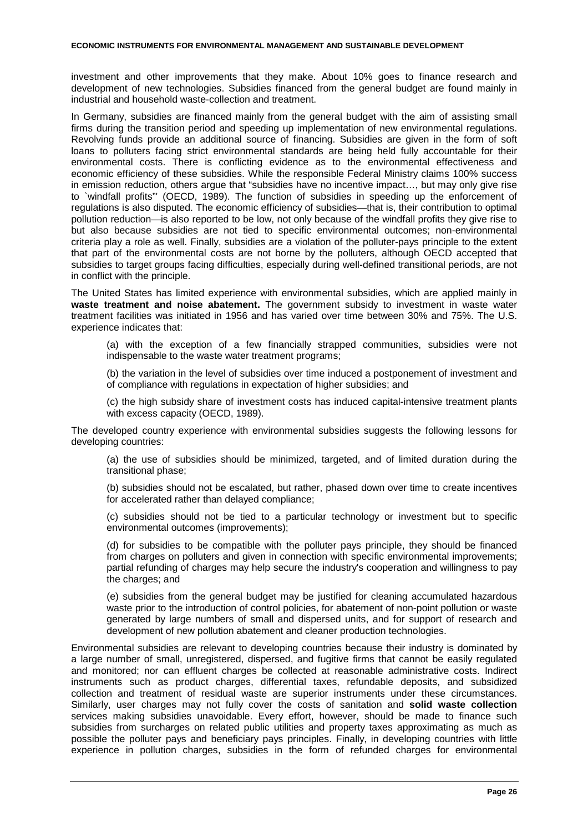investment and other improvements that they make. About 10% goes to finance research and development of new technologies. Subsidies financed from the general budget are found mainly in industrial and household waste-collection and treatment.

In Germany, subsidies are financed mainly from the general budget with the aim of assisting small firms during the transition period and speeding up implementation of new environmental regulations. Revolving funds provide an additional source of financing. Subsidies are given in the form of soft loans to polluters facing strict environmental standards are being held fully accountable for their environmental costs. There is conflicting evidence as to the environmental effectiveness and economic efficiency of these subsidies. While the responsible Federal Ministry claims 100% success in emission reduction, others argue that "subsidies have no incentive impact…, but may only give rise to `windfall profits"' (OECD, 1989). The function of subsidies in speeding up the enforcement of regulations is also disputed. The economic efficiency of subsidies—that is, their contribution to optimal pollution reduction—is also reported to be low, not only because of the windfall profits they give rise to but also because subsidies are not tied to specific environmental outcomes; non-environmental criteria play a role as well. Finally, subsidies are a violation of the polluter-pays principle to the extent that part of the environmental costs are not borne by the polluters, although OECD accepted that subsidies to target groups facing difficulties, especially during well-defined transitional periods, are not in conflict with the principle.

The United States has limited experience with environmental subsidies, which are applied mainly in **waste treatment and noise abatement.** The government subsidy to investment in waste water treatment facilities was initiated in 1956 and has varied over time between 30% and 75%. The U.S. experience indicates that:

(a) with the exception of a few financially strapped communities, subsidies were not indispensable to the waste water treatment programs;

(b) the variation in the level of subsidies over time induced a postponement of investment and of compliance with regulations in expectation of higher subsidies; and

(c) the high subsidy share of investment costs has induced capital-intensive treatment plants with excess capacity (OECD, 1989).

The developed country experience with environmental subsidies suggests the following lessons for developing countries:

(a) the use of subsidies should be minimized, targeted, and of limited duration during the transitional phase;

(b) subsidies should not be escalated, but rather, phased down over time to create incentives for accelerated rather than delayed compliance;

(c) subsidies should not be tied to a particular technology or investment but to specific environmental outcomes (improvements);

(d) for subsidies to be compatible with the polluter pays principle, they should be financed from charges on polluters and given in connection with specific environmental improvements; partial refunding of charges may help secure the industry's cooperation and willingness to pay the charges; and

(e) subsidies from the general budget may be justified for cleaning accumulated hazardous waste prior to the introduction of control policies, for abatement of non-point pollution or waste generated by large numbers of small and dispersed units, and for support of research and development of new pollution abatement and cleaner production technologies.

Environmental subsidies are relevant to developing countries because their industry is dominated by a large number of small, unregistered, dispersed, and fugitive firms that cannot be easily regulated and monitored; nor can effluent charges be collected at reasonable administrative costs. Indirect instruments such as product charges, differential taxes, refundable deposits, and subsidized collection and treatment of residual waste are superior instruments under these circumstances. Similarly, user charges may not fully cover the costs of sanitation and **solid waste collection** services making subsidies unavoidable. Every effort, however, should be made to finance such subsidies from surcharges on related public utilities and property taxes approximating as much as possible the polluter pays and beneficiary pays principles. Finally, in developing countries with little experience in pollution charges, subsidies in the form of refunded charges for environmental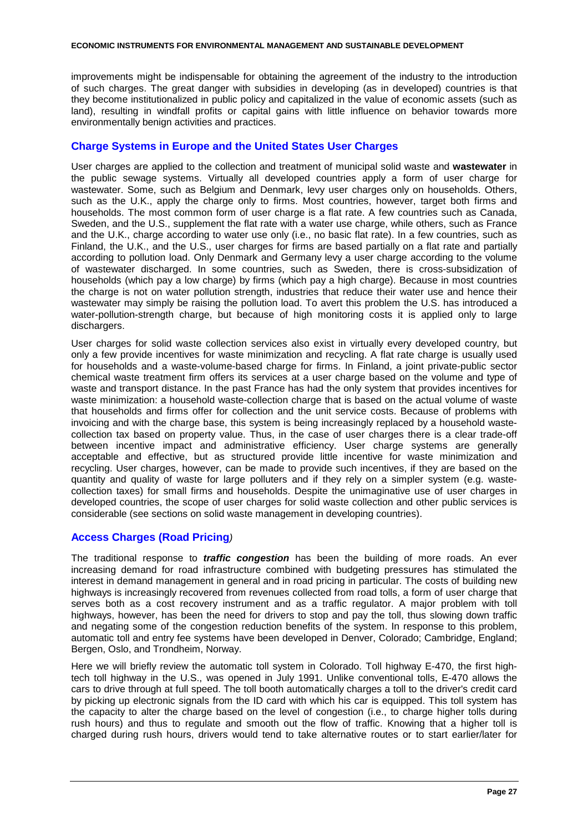improvements might be indispensable for obtaining the agreement of the industry to the introduction of such charges. The great danger with subsidies in developing (as in developed) countries is that they become institutionalized in public policy and capitalized in the value of economic assets (such as land), resulting in windfall profits or capital gains with little influence on behavior towards more environmentally benign activities and practices.

### **Charge Systems in Europe and the United States User Charges**

User charges are applied to the collection and treatment of municipal solid waste and **wastewater** in the public sewage systems. Virtually all developed countries apply a form of user charge for wastewater. Some, such as Belgium and Denmark, levy user charges only on households. Others, such as the U.K., apply the charge only to firms. Most countries, however, target both firms and households. The most common form of user charge is a flat rate. A few countries such as Canada, Sweden, and the U.S., supplement the flat rate with a water use charge, while others, such as France and the U.K., charge according to water use only (i.e., no basic flat rate). In a few countries, such as Finland, the U.K., and the U.S., user charges for firms are based partially on a flat rate and partially according to pollution load. Only Denmark and Germany levy a user charge according to the volume of wastewater discharged. In some countries, such as Sweden, there is cross-subsidization of households (which pay a low charge) by firms (which pay a high charge). Because in most countries the charge is not on water pollution strength, industries that reduce their water use and hence their wastewater may simply be raising the pollution load. To avert this problem the U.S. has introduced a water-pollution-strength charge, but because of high monitoring costs it is applied only to large dischargers.

User charges for solid waste collection services also exist in virtually every developed country, but only a few provide incentives for waste minimization and recycling. A flat rate charge is usually used for households and a waste-volume-based charge for firms. In Finland, a joint private-public sector chemical waste treatment firm offers its services at a user charge based on the volume and type of waste and transport distance. In the past France has had the only system that provides incentives for waste minimization: a household waste-collection charge that is based on the actual volume of waste that households and firms offer for collection and the unit service costs. Because of problems with invoicing and with the charge base, this system is being increasingly replaced by a household wastecollection tax based on property value. Thus, in the case of user charges there is a clear trade-off between incentive impact and administrative efficiency. User charge systems are generally acceptable and effective, but as structured provide little incentive for waste minimization and recycling. User charges, however, can be made to provide such incentives, if they are based on the quantity and quality of waste for large polluters and if they rely on a simpler system (e.g. wastecollection taxes) for small firms and households. Despite the unimaginative use of user charges in developed countries, the scope of user charges for solid waste collection and other public services is considerable (see sections on solid waste management in developing countries).

# **Access Charges (Road Pricing***)*

The traditional response to *traffic congestion* has been the building of more roads. An ever increasing demand for road infrastructure combined with budgeting pressures has stimulated the interest in demand management in general and in road pricing in particular. The costs of building new highways is increasingly recovered from revenues collected from road tolls, a form of user charge that serves both as a cost recovery instrument and as a traffic regulator. A major problem with toll highways, however, has been the need for drivers to stop and pay the toll, thus slowing down traffic and negating some of the congestion reduction benefits of the system. In response to this problem, automatic toll and entry fee systems have been developed in Denver, Colorado; Cambridge, England; Bergen, Oslo, and Trondheim, Norway.

Here we will briefly review the automatic toll system in Colorado. Toll highway E-470, the first hightech toll highway in the U.S., was opened in July 1991. Unlike conventional tolls, E-470 allows the cars to drive through at full speed. The toll booth automatically charges a toll to the driver's credit card by picking up electronic signals from the ID card with which his car is equipped. This toll system has the capacity to alter the charge based on the level of congestion (i.e., to charge higher tolls during rush hours) and thus to regulate and smooth out the flow of traffic. Knowing that a higher toll is charged during rush hours, drivers would tend to take alternative routes or to start earlier/later for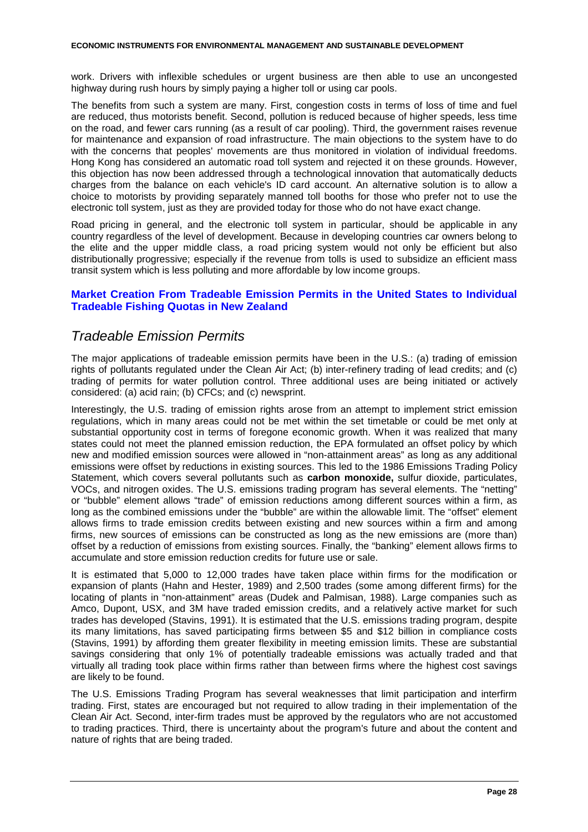work. Drivers with inflexible schedules or urgent business are then able to use an uncongested highway during rush hours by simply paying a higher toll or using car pools.

The benefits from such a system are many. First, congestion costs in terms of loss of time and fuel are reduced, thus motorists benefit. Second, pollution is reduced because of higher speeds, less time on the road, and fewer cars running (as a result of car pooling). Third, the government raises revenue for maintenance and expansion of road infrastructure. The main objections to the system have to do with the concerns that peoples' movements are thus monitored in violation of individual freedoms. Hong Kong has considered an automatic road toll system and rejected it on these grounds. However, this objection has now been addressed through a technological innovation that automatically deducts charges from the balance on each vehicle's ID card account. An alternative solution is to allow a choice to motorists by providing separately manned toll booths for those who prefer not to use the electronic toll system, just as they are provided today for those who do not have exact change.

Road pricing in general, and the electronic toll system in particular, should be applicable in any country regardless of the level of development. Because in developing countries car owners belong to the elite and the upper middle class, a road pricing system would not only be efficient but also distributionally progressive; especially if the revenue from tolls is used to subsidize an efficient mass transit system which is less polluting and more affordable by low income groups.

# **Market Creation From Tradeable Emission Permits in the United States to Individual Tradeable Fishing Quotas in New Zealand**

# *Tradeable Emission Permits*

The major applications of tradeable emission permits have been in the U.S.: (a) trading of emission rights of pollutants regulated under the Clean Air Act; (b) inter-refinery trading of lead credits; and (c) trading of permits for water pollution control. Three additional uses are being initiated or actively considered: (a) acid rain; (b) CFCs; and (c) newsprint.

Interestingly, the U.S. trading of emission rights arose from an attempt to implement strict emission regulations, which in many areas could not be met within the set timetable or could be met only at substantial opportunity cost in terms of foregone economic growth. When it was realized that many states could not meet the planned emission reduction, the EPA formulated an offset policy by which new and modified emission sources were allowed in "non-attainment areas" as long as any additional emissions were offset by reductions in existing sources. This led to the 1986 Emissions Trading Policy Statement, which covers several pollutants such as **carbon monoxide,** sulfur dioxide, particulates, VOCs, and nitrogen oxides. The U.S. emissions trading program has several elements. The "netting" or "bubble" element allows "trade" of emission reductions among different sources within a firm, as long as the combined emissions under the "bubble" are within the allowable limit. The "offset" element allows firms to trade emission credits between existing and new sources within a firm and among firms, new sources of emissions can be constructed as long as the new emissions are (more than) offset by a reduction of emissions from existing sources. Finally, the "banking" element allows firms to accumulate and store emission reduction credits for future use or sale.

It is estimated that 5,000 to 12,000 trades have taken place within firms for the modification or expansion of plants (Hahn and Hester, 1989) and 2,500 trades (some among different firms) for the locating of plants in "non-attainment" areas (Dudek and Palmisan, 1988). Large companies such as Amco, Dupont, USX, and 3M have traded emission credits, and a relatively active market for such trades has developed (Stavins, 1991). It is estimated that the U.S. emissions trading program, despite its many limitations, has saved participating firms between \$5 and \$12 billion in compliance costs (Stavins, 1991) by affording them greater flexibility in meeting emission limits. These are substantial savings considering that only 1% of potentially tradeable emissions was actually traded and that virtually all trading took place within firms rather than between firms where the highest cost savings are likely to be found.

The U.S. Emissions Trading Program has several weaknesses that limit participation and interfirm trading. First, states are encouraged but not required to allow trading in their implementation of the Clean Air Act. Second, inter-firm trades must be approved by the regulators who are not accustomed to trading practices. Third, there is uncertainty about the program's future and about the content and nature of rights that are being traded.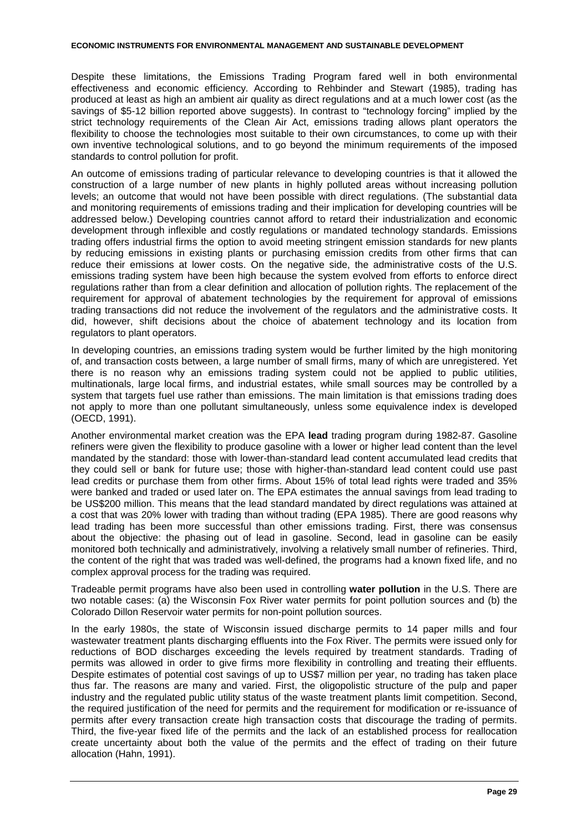Despite these limitations, the Emissions Trading Program fared well in both environmental effectiveness and economic efficiency. According to Rehbinder and Stewart (1985), trading has produced at least as high an ambient air quality as direct regulations and at a much lower cost (as the savings of \$5-12 billion reported above suggests). In contrast to "technology forcing" implied by the strict technology requirements of the Clean Air Act, emissions trading allows plant operators the flexibility to choose the technologies most suitable to their own circumstances, to come up with their own inventive technological solutions, and to go beyond the minimum requirements of the imposed standards to control pollution for profit.

An outcome of emissions trading of particular relevance to developing countries is that it allowed the construction of a large number of new plants in highly polluted areas without increasing pollution levels; an outcome that would not have been possible with direct regulations. (The substantial data and monitoring requirements of emissions trading and their implication for developing countries will be addressed below.) Developing countries cannot afford to retard their industrialization and economic development through inflexible and costly regulations or mandated technology standards. Emissions trading offers industrial firms the option to avoid meeting stringent emission standards for new plants by reducing emissions in existing plants or purchasing emission credits from other firms that can reduce their emissions at lower costs. On the negative side, the administrative costs of the U.S. emissions trading system have been high because the system evolved from efforts to enforce direct regulations rather than from a clear definition and allocation of pollution rights. The replacement of the requirement for approval of abatement technologies by the requirement for approval of emissions trading transactions did not reduce the involvement of the regulators and the administrative costs. It did, however, shift decisions about the choice of abatement technology and its location from regulators to plant operators.

In developing countries, an emissions trading system would be further limited by the high monitoring of, and transaction costs between, a large number of small firms, many of which are unregistered. Yet there is no reason why an emissions trading system could not be applied to public utilities, multinationals, large local firms, and industrial estates, while small sources may be controlled by a system that targets fuel use rather than emissions. The main limitation is that emissions trading does not apply to more than one pollutant simultaneously, unless some equivalence index is developed (OECD, 1991).

Another environmental market creation was the EPA **lead** trading program during 1982-87. Gasoline refiners were given the flexibility to produce gasoline with a lower or higher lead content than the level mandated by the standard: those with lower-than-standard lead content accumulated lead credits that they could sell or bank for future use; those with higher-than-standard lead content could use past lead credits or purchase them from other firms. About 15% of total lead rights were traded and 35% were banked and traded or used later on. The EPA estimates the annual savings from lead trading to be US\$200 million. This means that the lead standard mandated by direct regulations was attained at a cost that was 20% lower with trading than without trading (EPA 1985). There are good reasons why lead trading has been more successful than other emissions trading. First, there was consensus about the objective: the phasing out of lead in gasoline. Second, lead in gasoline can be easily monitored both technically and administratively, involving a relatively small number of refineries. Third, the content of the right that was traded was well-defined, the programs had a known fixed life, and no complex approval process for the trading was required.

Tradeable permit programs have also been used in controlling **water pollution** in the U.S. There are two notable cases: (a) the Wisconsin Fox River water permits for point pollution sources and (b) the Colorado Dillon Reservoir water permits for non-point pollution sources.

In the early 1980s, the state of Wisconsin issued discharge permits to 14 paper mills and four wastewater treatment plants discharging effluents into the Fox River. The permits were issued only for reductions of BOD discharges exceeding the levels required by treatment standards. Trading of permits was allowed in order to give firms more flexibility in controlling and treating their effluents. Despite estimates of potential cost savings of up to US\$7 million per year, no trading has taken place thus far. The reasons are many and varied. First, the oligopolistic structure of the pulp and paper industry and the regulated public utility status of the waste treatment plants limit competition. Second, the required justification of the need for permits and the requirement for modification or re-issuance of permits after every transaction create high transaction costs that discourage the trading of permits. Third, the five-year fixed life of the permits and the lack of an established process for reallocation create uncertainty about both the value of the permits and the effect of trading on their future allocation (Hahn, 1991).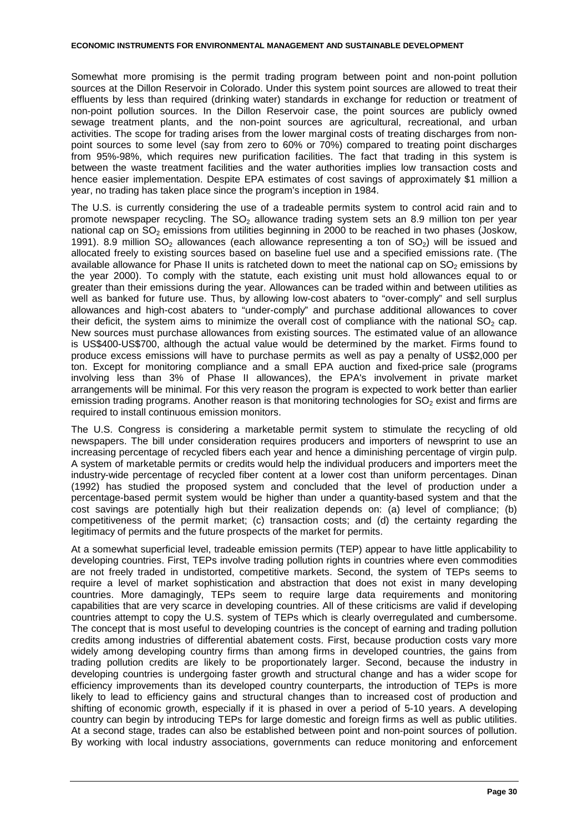Somewhat more promising is the permit trading program between point and non-point pollution sources at the Dillon Reservoir in Colorado. Under this system point sources are allowed to treat their effluents by less than required (drinking water) standards in exchange for reduction or treatment of non-point pollution sources. In the Dillon Reservoir case, the point sources are publicly owned sewage treatment plants, and the non-point sources are agricultural, recreational, and urban activities. The scope for trading arises from the lower marginal costs of treating discharges from nonpoint sources to some level (say from zero to 60% or 70%) compared to treating point discharges from 95%-98%, which requires new purification facilities. The fact that trading in this system is between the waste treatment facilities and the water authorities implies low transaction costs and hence easier implementation. Despite EPA estimates of cost savings of approximately \$1 million a year, no trading has taken place since the program's inception in 1984.

The U.S. is currently considering the use of a tradeable permits system to control acid rain and to promote newspaper recycling. The  $SO<sub>2</sub>$  allowance trading system sets an 8.9 million ton per year national cap on  $SO<sub>2</sub>$  emissions from utilities beginning in 2000 to be reached in two phases (Joskow, 1991). 8.9 million  $SO<sub>2</sub>$  allowances (each allowance representing a ton of  $SO<sub>2</sub>$ ) will be issued and allocated freely to existing sources based on baseline fuel use and a specified emissions rate. (The available allowance for Phase II units is ratcheted down to meet the national cap on  $SO_2$  emissions by the year 2000). To comply with the statute, each existing unit must hold allowances equal to or greater than their emissions during the year. Allowances can be traded within and between utilities as well as banked for future use. Thus, by allowing low-cost abaters to "over-comply" and sell surplus allowances and high-cost abaters to "under-comply" and purchase additional allowances to cover their deficit, the system aims to minimize the overall cost of compliance with the national  $SO<sub>2</sub>$  cap. New sources must purchase allowances from existing sources. The estimated value of an allowance is US\$400-US\$700, although the actual value would be determined by the market. Firms found to produce excess emissions will have to purchase permits as well as pay a penalty of US\$2,000 per ton. Except for monitoring compliance and a small EPA auction and fixed-price sale (programs involving less than 3% of Phase II allowances), the EPA's involvement in private market arrangements will be minimal. For this very reason the program is expected to work better than earlier emission trading programs. Another reason is that monitoring technologies for  $SO<sub>2</sub>$  exist and firms are required to install continuous emission monitors.

The U.S. Congress is considering a marketable permit system to stimulate the recycling of old newspapers. The bill under consideration requires producers and importers of newsprint to use an increasing percentage of recycled fibers each year and hence a diminishing percentage of virgin pulp. A system of marketable permits or credits would help the individual producers and importers meet the industry-wide percentage of recycled fiber content at a lower cost than uniform percentages. Dinan (1992) has studied the proposed system and concluded that the level of production under a percentage-based permit system would be higher than under a quantity-based system and that the cost savings are potentially high but their realization depends on: (a) level of compliance; (b) competitiveness of the permit market; (c) transaction costs; and (d) the certainty regarding the legitimacy of permits and the future prospects of the market for permits.

At a somewhat superficial level, tradeable emission permits (TEP) appear to have little applicability to developing countries. First, TEPs involve trading pollution rights in countries where even commodities are not freely traded in undistorted, competitive markets. Second, the system of TEPs seems to require a level of market sophistication and abstraction that does not exist in many developing countries. More damagingly, TEPs seem to require large data requirements and monitoring capabilities that are very scarce in developing countries. All of these criticisms are valid if developing countries attempt to copy the U.S. system of TEPs which is clearly overregulated and cumbersome. The concept that is most useful to developing countries is the concept of earning and trading pollution credits among industries of differential abatement costs. First, because production costs vary more widely among developing country firms than among firms in developed countries, the gains from trading pollution credits are likely to be proportionately larger. Second, because the industry in developing countries is undergoing faster growth and structural change and has a wider scope for efficiency improvements than its developed country counterparts, the introduction of TEPs is more likely to lead to efficiency gains and structural changes than to increased cost of production and shifting of economic growth, especially if it is phased in over a period of 5-10 years. A developing country can begin by introducing TEPs for large domestic and foreign firms as well as public utilities. At a second stage, trades can also be established between point and non-point sources of pollution. By working with local industry associations, governments can reduce monitoring and enforcement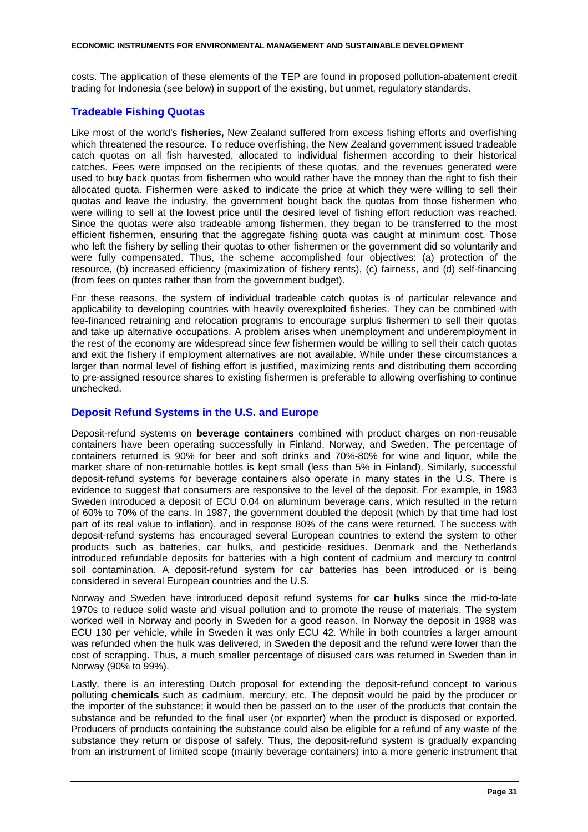costs. The application of these elements of the TEP are found in proposed pollution-abatement credit trading for Indonesia (see below) in support of the existing, but unmet, regulatory standards.

# **Tradeable Fishing Quotas**

Like most of the world's **fisheries,** New Zealand suffered from excess fishing efforts and overfishing which threatened the resource. To reduce overfishing, the New Zealand government issued tradeable catch quotas on all fish harvested, allocated to individual fishermen according to their historical catches. Fees were imposed on the recipients of these quotas, and the revenues generated were used to buy back quotas from fishermen who would rather have the money than the right to fish their allocated quota. Fishermen were asked to indicate the price at which they were willing to sell their quotas and leave the industry, the government bought back the quotas from those fishermen who were willing to sell at the lowest price until the desired level of fishing effort reduction was reached. Since the quotas were also tradeable among fishermen, they began to be transferred to the most efficient fishermen, ensuring that the aggregate fishing quota was caught at minimum cost. Those who left the fishery by selling their quotas to other fishermen or the government did so voluntarily and were fully compensated. Thus, the scheme accomplished four objectives: (a) protection of the resource, (b) increased efficiency (maximization of fishery rents), (c) fairness, and (d) self-financing (from fees on quotes rather than from the government budget).

For these reasons, the system of individual tradeable catch quotas is of particular relevance and applicability to developing countries with heavily overexploited fisheries. They can be combined with fee-financed retraining and relocation programs to encourage surplus fishermen to sell their quotas and take up alternative occupations. A problem arises when unemployment and underemployment in the rest of the economy are widespread since few fishermen would be willing to sell their catch quotas and exit the fishery if employment alternatives are not available. While under these circumstances a larger than normal level of fishing effort is justified, maximizing rents and distributing them according to pre-assigned resource shares to existing fishermen is preferable to allowing overfishing to continue unchecked.

### **Deposit Refund Systems in the U.S. and Europe**

Deposit-refund systems on **beverage containers** combined with product charges on non-reusable containers have been operating successfully in Finland, Norway, and Sweden. The percentage of containers returned is 90% for beer and soft drinks and 70%-80% for wine and liquor, while the market share of non-returnable bottles is kept small (less than 5% in Finland). Similarly, successful deposit-refund systems for beverage containers also operate in many states in the U.S. There is evidence to suggest that consumers are responsive to the level of the deposit. For example, in 1983 Sweden introduced a deposit of ECU 0.04 on aluminum beverage cans, which resulted in the return of 60% to 70% of the cans. In 1987, the government doubled the deposit (which by that time had lost part of its real value to inflation), and in response 80% of the cans were returned. The success with deposit-refund systems has encouraged several European countries to extend the system to other products such as batteries, car hulks, and pesticide residues. Denmark and the Netherlands introduced refundable deposits for batteries with a high content of cadmium and mercury to control soil contamination. A deposit-refund system for car batteries has been introduced or is being considered in several European countries and the U.S.

Norway and Sweden have introduced deposit refund systems for **car hulks** since the mid-to-late 1970s to reduce solid waste and visual pollution and to promote the reuse of materials. The system worked well in Norway and poorly in Sweden for a good reason. In Norway the deposit in 1988 was ECU 130 per vehicle, while in Sweden it was only ECU 42. While in both countries a larger amount was refunded when the hulk was delivered, in Sweden the deposit and the refund were lower than the cost of scrapping. Thus, a much smaller percentage of disused cars was returned in Sweden than in Norway (90% to 99%).

Lastly, there is an interesting Dutch proposal for extending the deposit-refund concept to various polluting **chemicals** such as cadmium, mercury, etc. The deposit would be paid by the producer or the importer of the substance; it would then be passed on to the user of the products that contain the substance and be refunded to the final user (or exporter) when the product is disposed or exported. Producers of products containing the substance could also be eligible for a refund of any waste of the substance they return or dispose of safely. Thus, the deposit-refund system is gradually expanding from an instrument of limited scope (mainly beverage containers) into a more generic instrument that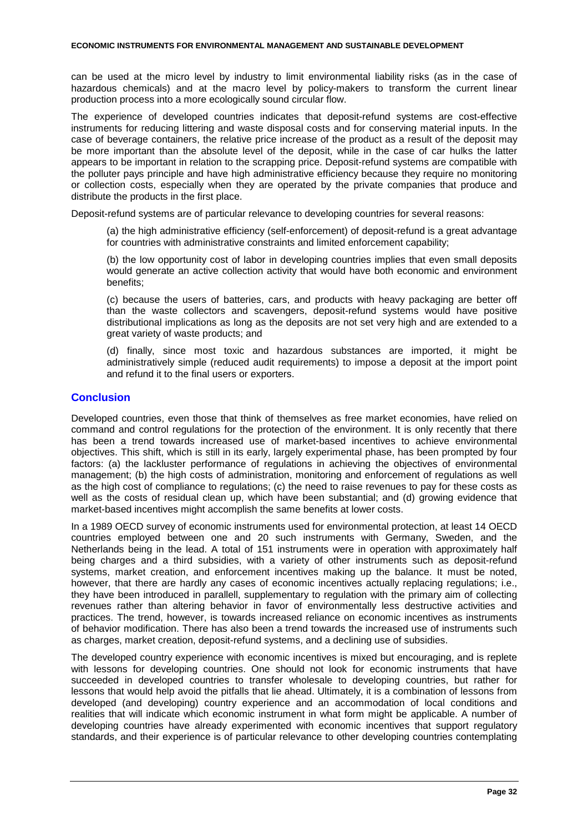can be used at the micro level by industry to limit environmental liability risks (as in the case of hazardous chemicals) and at the macro level by policy-makers to transform the current linear production process into a more ecologically sound circular flow.

The experience of developed countries indicates that deposit-refund systems are cost-effective instruments for reducing littering and waste disposal costs and for conserving material inputs. In the case of beverage containers, the relative price increase of the product as a result of the deposit may be more important than the absolute level of the deposit, while in the case of car hulks the latter appears to be important in relation to the scrapping price. Deposit-refund systems are compatible with the polluter pays principle and have high administrative efficiency because they require no monitoring or collection costs, especially when they are operated by the private companies that produce and distribute the products in the first place.

Deposit-refund systems are of particular relevance to developing countries for several reasons:

(a) the high administrative efficiency (self-enforcement) of deposit-refund is a great advantage for countries with administrative constraints and limited enforcement capability;

(b) the low opportunity cost of labor in developing countries implies that even small deposits would generate an active collection activity that would have both economic and environment benefits;

(c) because the users of batteries, cars, and products with heavy packaging are better off than the waste collectors and scavengers, deposit-refund systems would have positive distributional implications as long as the deposits are not set very high and are extended to a great variety of waste products; and

(d) finally, since most toxic and hazardous substances are imported, it might be administratively simple (reduced audit requirements) to impose a deposit at the import point and refund it to the final users or exporters.

# **Conclusion**

Developed countries, even those that think of themselves as free market economies, have relied on command and control regulations for the protection of the environment. It is only recently that there has been a trend towards increased use of market-based incentives to achieve environmental objectives. This shift, which is still in its early, largely experimental phase, has been prompted by four factors: (a) the lackluster performance of regulations in achieving the objectives of environmental management; (b) the high costs of administration, monitoring and enforcement of regulations as well as the high cost of compliance to regulations; (c) the need to raise revenues to pay for these costs as well as the costs of residual clean up, which have been substantial; and (d) growing evidence that market-based incentives might accomplish the same benefits at lower costs.

In a 1989 OECD survey of economic instruments used for environmental protection, at least 14 OECD countries employed between one and 20 such instruments with Germany, Sweden, and the Netherlands being in the lead. A total of 151 instruments were in operation with approximately half being charges and a third subsidies, with a variety of other instruments such as deposit-refund systems, market creation, and enforcement incentives making up the balance. It must be noted, however, that there are hardly any cases of economic incentives actually replacing regulations; i.e., they have been introduced in parallell, supplementary to regulation with the primary aim of collecting revenues rather than altering behavior in favor of environmentally less destructive activities and practices. The trend, however, is towards increased reliance on economic incentives as instruments of behavior modification. There has also been a trend towards the increased use of instruments such as charges, market creation, deposit-refund systems, and a declining use of subsidies.

The developed country experience with economic incentives is mixed but encouraging, and is replete with lessons for developing countries. One should not look for economic instruments that have succeeded in developed countries to transfer wholesale to developing countries, but rather for lessons that would help avoid the pitfalls that lie ahead. Ultimately, it is a combination of lessons from developed (and developing) country experience and an accommodation of local conditions and realities that will indicate which economic instrument in what form might be applicable. A number of developing countries have already experimented with economic incentives that support regulatory standards, and their experience is of particular relevance to other developing countries contemplating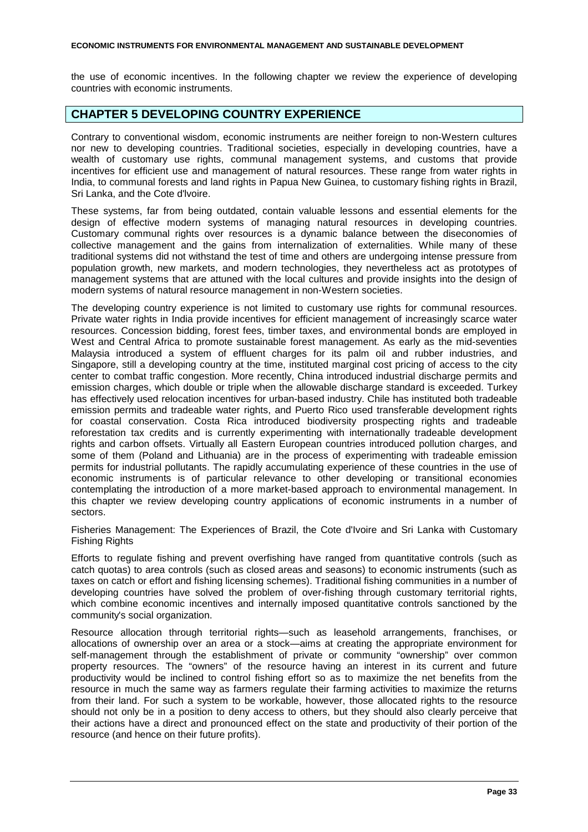the use of economic incentives. In the following chapter we review the experience of developing countries with economic instruments.

# **CHAPTER 5 DEVELOPING COUNTRY EXPERIENCE**

Contrary to conventional wisdom, economic instruments are neither foreign to non-Western cultures nor new to developing countries. Traditional societies, especially in developing countries, have a wealth of customary use rights, communal management systems, and customs that provide incentives for efficient use and management of natural resources. These range from water rights in India, to communal forests and land rights in Papua New Guinea, to customary fishing rights in Brazil, Sri Lanka, and the Cote d'lvoire.

These systems, far from being outdated, contain valuable lessons and essential elements for the design of effective modern systems of managing natural resources in developing countries. Customary communal rights over resources is a dynamic balance between the diseconomies of collective management and the gains from internalization of externalities. While many of these traditional systems did not withstand the test of time and others are undergoing intense pressure from population growth, new markets, and modern technologies, they nevertheless act as prototypes of management systems that are attuned with the local cultures and provide insights into the design of modern systems of natural resource management in non-Western societies.

The developing country experience is not limited to customary use rights for communal resources. Private water rights in India provide incentives for efficient management of increasingly scarce water resources. Concession bidding, forest fees, timber taxes, and environmental bonds are employed in West and Central Africa to promote sustainable forest management. As early as the mid-seventies Malaysia introduced a system of effluent charges for its palm oil and rubber industries, and Singapore, still a developing country at the time, instituted marginal cost pricing of access to the city center to combat traffic congestion. More recently, China introduced industrial discharge permits and emission charges, which double or triple when the allowable discharge standard is exceeded. Turkey has effectively used relocation incentives for urban-based industry. Chile has instituted both tradeable emission permits and tradeable water rights, and Puerto Rico used transferable development rights for coastal conservation. Costa Rica introduced biodiversity prospecting rights and tradeable reforestation tax credits and is currently experimenting with internationally tradeable development rights and carbon offsets. Virtually all Eastern European countries introduced pollution charges, and some of them (Poland and Lithuania) are in the process of experimenting with tradeable emission permits for industrial pollutants. The rapidly accumulating experience of these countries in the use of economic instruments is of particular relevance to other developing or transitional economies contemplating the introduction of a more market-based approach to environmental management. In this chapter we review developing country applications of economic instruments in a number of sectors.

Fisheries Management: The Experiences of Brazil, the Cote d'Ivoire and Sri Lanka with Customary Fishing Rights

Efforts to regulate fishing and prevent overfishing have ranged from quantitative controls (such as catch quotas) to area controls (such as closed areas and seasons) to economic instruments (such as taxes on catch or effort and fishing licensing schemes). Traditional fishing communities in a number of developing countries have solved the problem of over-fishing through customary territorial rights, which combine economic incentives and internally imposed quantitative controls sanctioned by the community's social organization.

Resource allocation through territorial rights—such as leasehold arrangements, franchises, or allocations of ownership over an area or a stock—aims at creating the appropriate environment for self-management through the establishment of private or community "ownership" over common property resources. The "owners" of the resource having an interest in its current and future productivity would be inclined to control fishing effort so as to maximize the net benefits from the resource in much the same way as farmers regulate their farming activities to maximize the returns from their land. For such a system to be workable, however, those allocated rights to the resource should not only be in a position to deny access to others, but they should also clearly perceive that their actions have a direct and pronounced effect on the state and productivity of their portion of the resource (and hence on their future profits).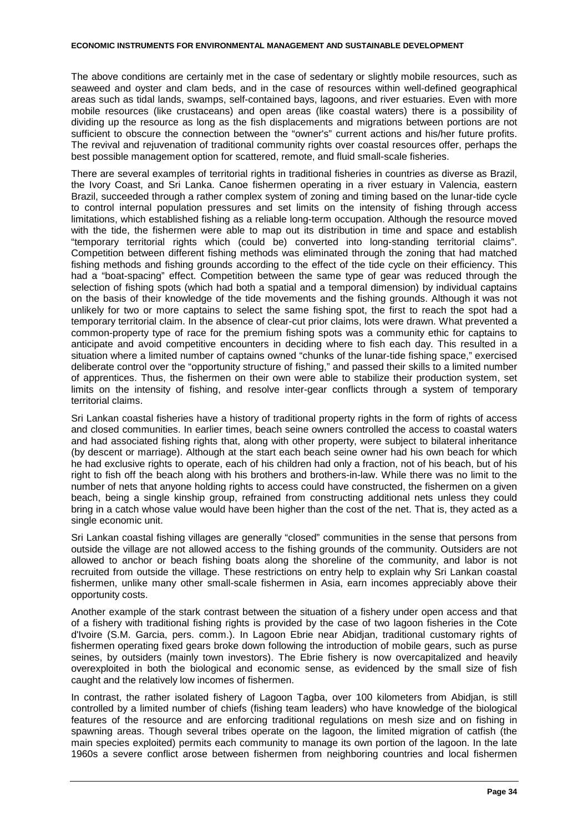The above conditions are certainly met in the case of sedentary or slightly mobile resources, such as seaweed and oyster and clam beds, and in the case of resources within well-defined geographical areas such as tidal lands, swamps, self-contained bays, lagoons, and river estuaries. Even with more mobile resources (like crustaceans) and open areas (like coastal waters) there is a possibility of dividing up the resource as long as the fish displacements and migrations between portions are not sufficient to obscure the connection between the "owner's" current actions and his/her future profits. The revival and rejuvenation of traditional community rights over coastal resources offer, perhaps the best possible management option for scattered, remote, and fluid small-scale fisheries.

There are several examples of territorial rights in traditional fisheries in countries as diverse as Brazil, the Ivory Coast, and Sri Lanka. Canoe fishermen operating in a river estuary in Valencia, eastern Brazil, succeeded through a rather complex system of zoning and timing based on the lunar-tide cycle to control internal population pressures and set limits on the intensity of fishing through access limitations, which established fishing as a reliable long-term occupation. Although the resource moved with the tide, the fishermen were able to map out its distribution in time and space and establish "temporary territorial rights which (could be) converted into long-standing territorial claims". Competition between different fishing methods was eliminated through the zoning that had matched fishing methods and fishing grounds according to the effect of the tide cycle on their efficiency. This had a "boat-spacing" effect. Competition between the same type of gear was reduced through the selection of fishing spots (which had both a spatial and a temporal dimension) by individual captains on the basis of their knowledge of the tide movements and the fishing grounds. Although it was not unlikely for two or more captains to select the same fishing spot, the first to reach the spot had a temporary territorial claim. In the absence of clear-cut prior claims, lots were drawn. What prevented a common-property type of race for the premium fishing spots was a community ethic for captains to anticipate and avoid competitive encounters in deciding where to fish each day. This resulted in a situation where a limited number of captains owned "chunks of the lunar-tide fishing space," exercised deliberate control over the "opportunity structure of fishing," and passed their skills to a limited number of apprentices. Thus, the fishermen on their own were able to stabilize their production system, set limits on the intensity of fishing, and resolve inter-gear conflicts through a system of temporary territorial claims.

Sri Lankan coastal fisheries have a history of traditional property rights in the form of rights of access and closed communities. In earlier times, beach seine owners controlled the access to coastal waters and had associated fishing rights that, along with other property, were subject to bilateral inheritance (by descent or marriage). Although at the start each beach seine owner had his own beach for which he had exclusive rights to operate, each of his children had only a fraction, not of his beach, but of his right to fish off the beach along with his brothers and brothers-in-law. While there was no limit to the number of nets that anyone holding rights to access could have constructed, the fishermen on a given beach, being a single kinship group, refrained from constructing additional nets unless they could bring in a catch whose value would have been higher than the cost of the net. That is, they acted as a single economic unit.

Sri Lankan coastal fishing villages are generally "closed" communities in the sense that persons from outside the village are not allowed access to the fishing grounds of the community. Outsiders are not allowed to anchor or beach fishing boats along the shoreline of the community, and labor is not recruited from outside the village. These restrictions on entry help to explain why Sri Lankan coastal fishermen, unlike many other small-scale fishermen in Asia, earn incomes appreciably above their opportunity costs.

Another example of the stark contrast between the situation of a fishery under open access and that of a fishery with traditional fishing rights is provided by the case of two lagoon fisheries in the Cote d'Ivoire (S.M. Garcia, pers. comm.). In Lagoon Ebrie near Abidjan, traditional customary rights of fishermen operating fixed gears broke down following the introduction of mobile gears, such as purse seines, by outsiders (mainly town investors). The Ebrie fishery is now overcapitalized and heavily overexploited in both the biological and economic sense, as evidenced by the small size of fish caught and the relatively low incomes of fishermen.

In contrast, the rather isolated fishery of Lagoon Tagba, over 100 kilometers from Abidjan, is still controlled by a limited number of chiefs (fishing team leaders) who have knowledge of the biological features of the resource and are enforcing traditional regulations on mesh size and on fishing in spawning areas. Though several tribes operate on the lagoon, the limited migration of catfish (the main species exploited) permits each community to manage its own portion of the lagoon. In the late 1960s a severe conflict arose between fishermen from neighboring countries and local fishermen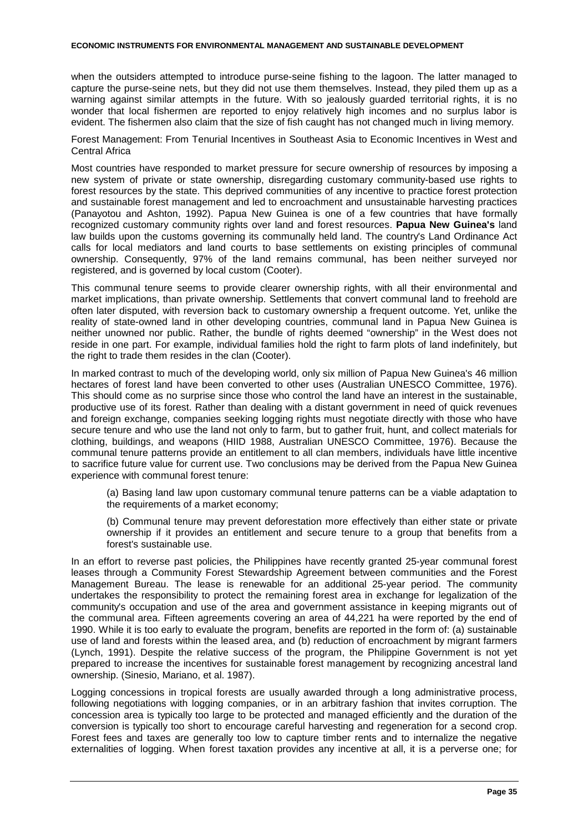when the outsiders attempted to introduce purse-seine fishing to the lagoon. The latter managed to capture the purse-seine nets, but they did not use them themselves. Instead, they piled them up as a warning against similar attempts in the future. With so jealously guarded territorial rights, it is no wonder that local fishermen are reported to enjoy relatively high incomes and no surplus labor is evident. The fishermen also claim that the size of fish caught has not changed much in living memory.

Forest Management: From Tenurial Incentives in Southeast Asia to Economic Incentives in West and Central Africa

Most countries have responded to market pressure for secure ownership of resources by imposing a new system of private or state ownership, disregarding customary community-based use rights to forest resources by the state. This deprived communities of any incentive to practice forest protection and sustainable forest management and led to encroachment and unsustainable harvesting practices (Panayotou and Ashton, 1992). Papua New Guinea is one of a few countries that have formally recognized customary community rights over land and forest resources. **Papua New Guinea's** land law builds upon the customs governing its communally held land. The country's Land Ordinance Act calls for local mediators and land courts to base settlements on existing principles of communal ownership. Consequently, 97% of the land remains communal, has been neither surveyed nor registered, and is governed by local custom (Cooter).

This communal tenure seems to provide clearer ownership rights, with all their environmental and market implications, than private ownership. Settlements that convert communal land to freehold are often later disputed, with reversion back to customary ownership a frequent outcome. Yet, unlike the reality of state-owned land in other developing countries, communal land in Papua New Guinea is neither unowned nor public. Rather, the bundle of rights deemed "ownership" in the West does not reside in one part. For example, individual families hold the right to farm plots of land indefinitely, but the right to trade them resides in the clan (Cooter).

In marked contrast to much of the developing world, only six million of Papua New Guinea's 46 million hectares of forest land have been converted to other uses (Australian UNESCO Committee, 1976). This should come as no surprise since those who control the land have an interest in the sustainable, productive use of its forest. Rather than dealing with a distant government in need of quick revenues and foreign exchange, companies seeking logging rights must negotiate directly with those who have secure tenure and who use the land not only to farm, but to gather fruit, hunt, and collect materials for clothing, buildings, and weapons (HIID 1988, Australian UNESCO Committee, 1976). Because the communal tenure patterns provide an entitlement to all clan members, individuals have little incentive to sacrifice future value for current use. Two conclusions may be derived from the Papua New Guinea experience with communal forest tenure:

(a) Basing land law upon customary communal tenure patterns can be a viable adaptation to the requirements of a market economy;

(b) Communal tenure may prevent deforestation more effectively than either state or private ownership if it provides an entitlement and secure tenure to a group that benefits from a forest's sustainable use.

In an effort to reverse past policies, the Philippines have recently granted 25-year communal forest leases through a Community Forest Stewardship Agreement between communities and the Forest Management Bureau. The lease is renewable for an additional 25-year period. The community undertakes the responsibility to protect the remaining forest area in exchange for legalization of the community's occupation and use of the area and government assistance in keeping migrants out of the communal area. Fifteen agreements covering an area of 44,221 ha were reported by the end of 1990. While it is too early to evaluate the program, benefits are reported in the form of: (a) sustainable use of land and forests within the leased area, and (b) reduction of encroachment by migrant farmers (Lynch, 1991). Despite the relative success of the program, the Philippine Government is not yet prepared to increase the incentives for sustainable forest management by recognizing ancestral land ownership. (Sinesio, Mariano, et al. 1987).

Logging concessions in tropical forests are usually awarded through a long administrative process, following negotiations with logging companies, or in an arbitrary fashion that invites corruption. The concession area is typically too large to be protected and managed efficiently and the duration of the conversion is typically too short to encourage careful harvesting and regeneration for a second crop. Forest fees and taxes are generally too low to capture timber rents and to internalize the negative externalities of logging. When forest taxation provides any incentive at all, it is a perverse one; for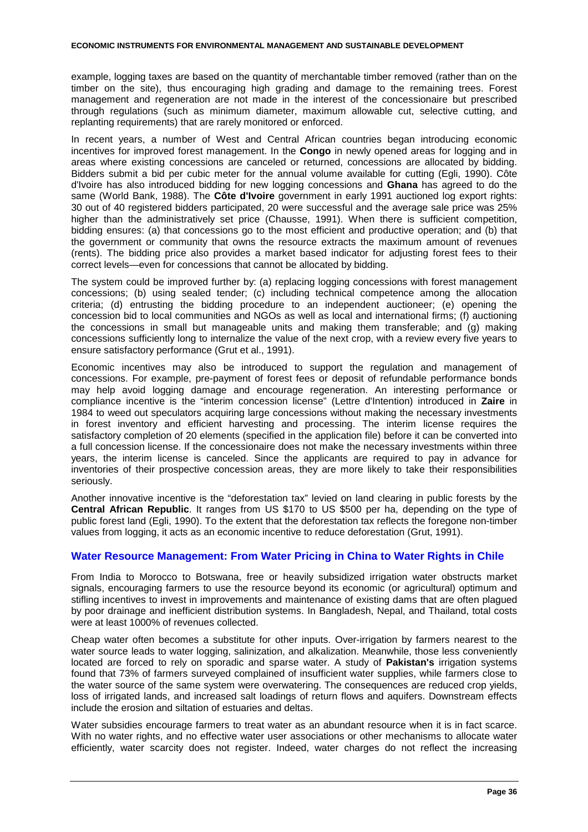example, logging taxes are based on the quantity of merchantable timber removed (rather than on the timber on the site), thus encouraging high grading and damage to the remaining trees. Forest management and regeneration are not made in the interest of the concessionaire but prescribed through regulations (such as minimum diameter, maximum allowable cut, selective cutting, and replanting requirements) that are rarely monitored or enforced.

In recent years, a number of West and Central African countries began introducing economic incentives for improved forest management. In the **Congo** in newly opened areas for logging and in areas where existing concessions are canceled or returned, concessions are allocated by bidding. Bidders submit a bid per cubic meter for the annual volume available for cutting (Egli, 1990). Côte d'Ivoire has also introduced bidding for new logging concessions and **Ghana** has agreed to do the same (World Bank, 1988). The **Côte d'Ivoire** government in early 1991 auctioned log export rights: 30 out of 40 registered bidders participated, 20 were successful and the average sale price was 25% higher than the administratively set price (Chausse, 1991). When there is sufficient competition, bidding ensures: (a) that concessions go to the most efficient and productive operation; and (b) that the government or community that owns the resource extracts the maximum amount of revenues (rents). The bidding price also provides a market based indicator for adjusting forest fees to their correct levels—even for concessions that cannot be allocated by bidding.

The system could be improved further by: (a) replacing logging concessions with forest management concessions; (b) using sealed tender; (c) including technical competence among the allocation criteria; (d) entrusting the bidding procedure to an independent auctioneer; (e) opening the concession bid to local communities and NGOs as well as local and international firms; (f) auctioning the concessions in small but manageable units and making them transferable; and (g) making concessions sufficiently long to internalize the value of the next crop, with a review every five years to ensure satisfactory performance (Grut et al., 1991).

Economic incentives may also be introduced to support the regulation and management of concessions. For example, pre-payment of forest fees or deposit of refundable performance bonds may help avoid logging damage and encourage regeneration. An interesting performance or compliance incentive is the "interim concession license" (Lettre d'Intention) introduced in **Zaire** in 1984 to weed out speculators acquiring large concessions without making the necessary investments in forest inventory and efficient harvesting and processing. The interim license requires the satisfactory completion of 20 elements (specified in the application file) before it can be converted into a full concession license. If the concessionaire does not make the necessary investments within three years, the interim license is canceled. Since the applicants are required to pay in advance for inventories of their prospective concession areas, they are more likely to take their responsibilities seriously.

Another innovative incentive is the "deforestation tax" levied on land clearing in public forests by the **Central African Republic**. It ranges from US \$170 to US \$500 per ha, depending on the type of public forest land (Egli, 1990). To the extent that the deforestation tax reflects the foregone non-timber values from logging, it acts as an economic incentive to reduce deforestation (Grut, 1991).

# **Water Resource Management: From Water Pricing in China to Water Rights in Chile**

From India to Morocco to Botswana, free or heavily subsidized irrigation water obstructs market signals, encouraging farmers to use the resource beyond its economic (or agricultural) optimum and stifling incentives to invest in improvements and maintenance of existing dams that are often plagued by poor drainage and inefficient distribution systems. In Bangladesh, Nepal, and Thailand, total costs were at least 1000% of revenues collected.

Cheap water often becomes a substitute for other inputs. Over-irrigation by farmers nearest to the water source leads to water logging, salinization, and alkalization. Meanwhile, those less conveniently located are forced to rely on sporadic and sparse water. A study of **Pakistan's** irrigation systems found that 73% of farmers surveyed complained of insufficient water supplies, while farmers close to the water source of the same system were overwatering. The consequences are reduced crop yields, loss of irrigated lands, and increased salt loadings of return flows and aquifers. Downstream effects include the erosion and siltation of estuaries and deltas.

Water subsidies encourage farmers to treat water as an abundant resource when it is in fact scarce. With no water rights, and no effective water user associations or other mechanisms to allocate water efficiently, water scarcity does not register. Indeed, water charges do not reflect the increasing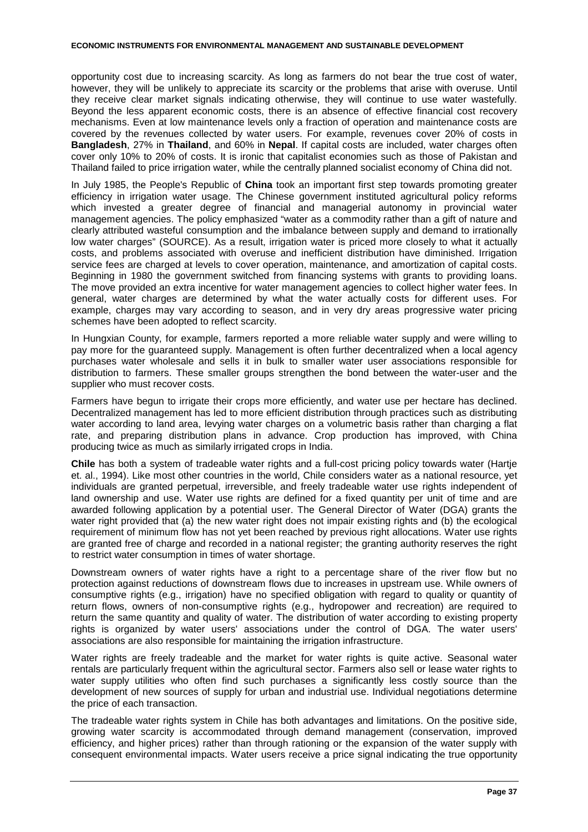opportunity cost due to increasing scarcity. As long as farmers do not bear the true cost of water, however, they will be unlikely to appreciate its scarcity or the problems that arise with overuse. Until they receive clear market signals indicating otherwise, they will continue to use water wastefully. Beyond the less apparent economic costs, there is an absence of effective financial cost recovery mechanisms. Even at low maintenance levels only a fraction of operation and maintenance costs are covered by the revenues collected by water users. For example, revenues cover 20% of costs in **Bangladesh**, 27% in **Thailand**, and 60% in **Nepal**. If capital costs are included, water charges often cover only 10% to 20% of costs. It is ironic that capitalist economies such as those of Pakistan and Thailand failed to price irrigation water, while the centrally planned socialist economy of China did not.

In July 1985, the People's Republic of **China** took an important first step towards promoting greater efficiency in irrigation water usage. The Chinese government instituted agricultural policy reforms which invested a greater degree of financial and managerial autonomy in provincial water management agencies. The policy emphasized "water as a commodity rather than a gift of nature and clearly attributed wasteful consumption and the imbalance between supply and demand to irrationally low water charges" (SOURCE). As a result, irrigation water is priced more closely to what it actually costs, and problems associated with overuse and inefficient distribution have diminished. Irrigation service fees are charged at levels to cover operation, maintenance, and amortization of capital costs. Beginning in 1980 the government switched from financing systems with grants to providing loans. The move provided an extra incentive for water management agencies to collect higher water fees. In general, water charges are determined by what the water actually costs for different uses. For example, charges may vary according to season, and in very dry areas progressive water pricing schemes have been adopted to reflect scarcity.

In Hungxian County, for example, farmers reported a more reliable water supply and were willing to pay more for the guaranteed supply. Management is often further decentralized when a local agency purchases water wholesale and sells it in bulk to smaller water user associations responsible for distribution to farmers. These smaller groups strengthen the bond between the water-user and the supplier who must recover costs.

Farmers have begun to irrigate their crops more efficiently, and water use per hectare has declined. Decentralized management has led to more efficient distribution through practices such as distributing water according to land area, levying water charges on a volumetric basis rather than charging a flat rate, and preparing distribution plans in advance. Crop production has improved, with China producing twice as much as similarly irrigated crops in India.

**Chile** has both a system of tradeable water rights and a full-cost pricing policy towards water (Hartje et. al., 1994). Like most other countries in the world, Chile considers water as a national resource, yet individuals are granted perpetual, irreversible, and freely tradeable water use rights independent of land ownership and use. Water use rights are defined for a fixed quantity per unit of time and are awarded following application by a potential user. The General Director of Water (DGA) grants the water right provided that (a) the new water right does not impair existing rights and (b) the ecological requirement of minimum flow has not yet been reached by previous right allocations. Water use rights are granted free of charge and recorded in a national register; the granting authority reserves the right to restrict water consumption in times of water shortage.

Downstream owners of water rights have a right to a percentage share of the river flow but no protection against reductions of downstream flows due to increases in upstream use. While owners of consumptive rights (e.g., irrigation) have no specified obligation with regard to quality or quantity of return flows, owners of non-consumptive rights (e.g., hydropower and recreation) are required to return the same quantity and quality of water. The distribution of water according to existing property rights is organized by water users' associations under the control of DGA. The water users' associations are also responsible for maintaining the irrigation infrastructure.

Water rights are freely tradeable and the market for water rights is quite active. Seasonal water rentals are particularly frequent within the agricultural sector. Farmers also sell or lease water rights to water supply utilities who often find such purchases a significantly less costly source than the development of new sources of supply for urban and industrial use. Individual negotiations determine the price of each transaction.

The tradeable water rights system in Chile has both advantages and limitations. On the positive side, growing water scarcity is accommodated through demand management (conservation, improved efficiency, and higher prices) rather than through rationing or the expansion of the water supply with consequent environmental impacts. Water users receive a price signal indicating the true opportunity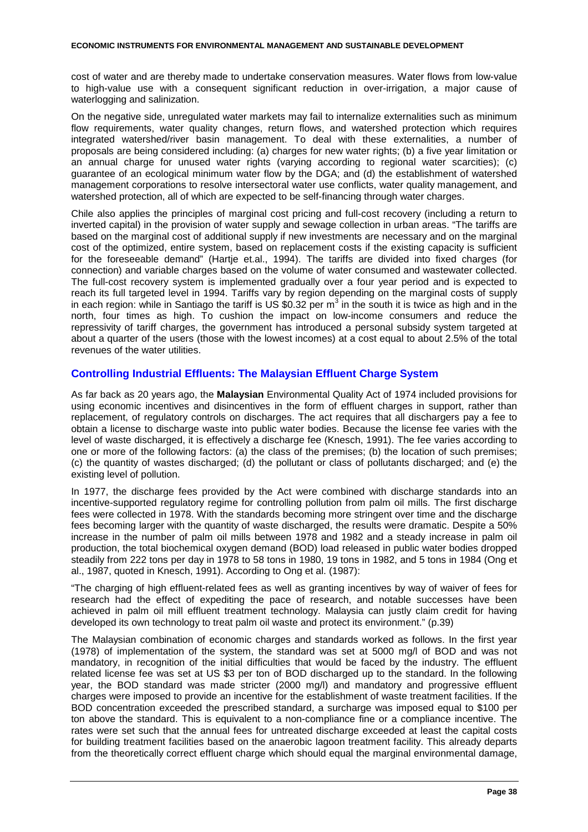cost of water and are thereby made to undertake conservation measures. Water flows from low-value to high-value use with a consequent significant reduction in over-irrigation, a major cause of waterlogging and salinization.

On the negative side, unregulated water markets may fail to internalize externalities such as minimum flow requirements, water quality changes, return flows, and watershed protection which requires integrated watershed/river basin management. To deal with these externalities, a number of proposals are being considered including: (a) charges for new water rights; (b) a five year limitation or an annual charge for unused water rights (varying according to regional water scarcities); (c) guarantee of an ecological minimum water flow by the DGA; and (d) the establishment of watershed management corporations to resolve intersectoral water use conflicts, water quality management, and watershed protection, all of which are expected to be self-financing through water charges.

Chile also applies the principles of marginal cost pricing and full-cost recovery (including a return to inverted capital) in the provision of water supply and sewage collection in urban areas. "The tariffs are based on the marginal cost of additional supply if new investments are necessary and on the marginal cost of the optimized, entire system, based on replacement costs if the existing capacity is sufficient for the foreseeable demand" (Hartje et.al., 1994). The tariffs are divided into fixed charges (for connection) and variable charges based on the volume of water consumed and wastewater collected. The full-cost recovery system is implemented gradually over a four year period and is expected to reach its full targeted level in 1994. Tariffs vary by region depending on the marginal costs of supply in each region: while in Santiago the tariff is US \$0.32 per m<sup>3</sup> in the south it is twice as high and in the north, four times as high. To cushion the impact on low-income consumers and reduce the repressivity of tariff charges, the government has introduced a personal subsidy system targeted at about a quarter of the users (those with the lowest incomes) at a cost equal to about 2.5% of the total revenues of the water utilities.

## **Controlling Industrial Effluents: The Malaysian Effluent Charge System**

As far back as 20 years ago, the **Malaysian** Environmental Quality Act of 1974 included provisions for using economic incentives and disincentives in the form of effluent charges in support, rather than replacement, of regulatory controls on discharges. The act requires that all dischargers pay a fee to obtain a license to discharge waste into public water bodies. Because the license fee varies with the level of waste discharged, it is effectively a discharge fee (Knesch, 1991). The fee varies according to one or more of the following factors: (a) the class of the premises; (b) the location of such premises; (c) the quantity of wastes discharged; (d) the pollutant or class of pollutants discharged; and (e) the existing level of pollution.

In 1977, the discharge fees provided by the Act were combined with discharge standards into an incentive-supported regulatory regime for controlling pollution from palm oil mills. The first discharge fees were collected in 1978. With the standards becoming more stringent over time and the discharge fees becoming larger with the quantity of waste discharged, the results were dramatic. Despite a 50% increase in the number of palm oil mills between 1978 and 1982 and a steady increase in palm oil production, the total biochemical oxygen demand (BOD) load released in public water bodies dropped steadily from 222 tons per day in 1978 to 58 tons in 1980, 19 tons in 1982, and 5 tons in 1984 (Ong et al., 1987, quoted in Knesch, 1991). According to Ong et al. (1987):

"The charging of high effluent-related fees as well as granting incentives by way of waiver of fees for research had the effect of expediting the pace of research, and notable successes have been achieved in palm oil mill effluent treatment technology. Malaysia can justly claim credit for having developed its own technology to treat palm oil waste and protect its environment." (p.39)

The Malaysian combination of economic charges and standards worked as follows. In the first year (1978) of implementation of the system, the standard was set at 5000 mg/l of BOD and was not mandatory, in recognition of the initial difficulties that would be faced by the industry. The effluent related license fee was set at US \$3 per ton of BOD discharged up to the standard. In the following year, the BOD standard was made stricter (2000 mg/l) and mandatory and progressive effluent charges were imposed to provide an incentive for the establishment of waste treatment facilities. If the BOD concentration exceeded the prescribed standard, a surcharge was imposed equal to \$100 per ton above the standard. This is equivalent to a non-compliance fine or a compliance incentive. The rates were set such that the annual fees for untreated discharge exceeded at least the capital costs for building treatment facilities based on the anaerobic lagoon treatment facility. This already departs from the theoretically correct effluent charge which should equal the marginal environmental damage,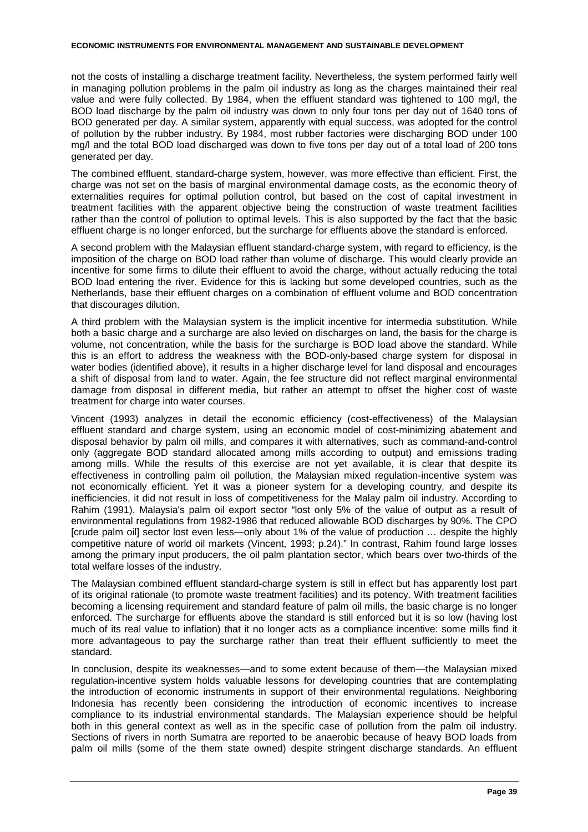not the costs of installing a discharge treatment facility. Nevertheless, the system performed fairly well in managing pollution problems in the palm oil industry as long as the charges maintained their real value and were fully collected. By 1984, when the effluent standard was tightened to 100 mg/l, the BOD load discharge by the palm oil industry was down to only four tons per day out of 1640 tons of BOD generated per day. A similar system, apparently with equal success, was adopted for the control of pollution by the rubber industry. By 1984, most rubber factories were discharging BOD under 100 mg/l and the total BOD load discharged was down to five tons per day out of a total load of 200 tons generated per day.

The combined effluent, standard-charge system, however, was more effective than efficient. First, the charge was not set on the basis of marginal environmental damage costs, as the economic theory of externalities requires for optimal pollution control, but based on the cost of capital investment in treatment facilities with the apparent objective being the construction of waste treatment facilities rather than the control of pollution to optimal levels. This is also supported by the fact that the basic effluent charge is no longer enforced, but the surcharge for effluents above the standard is enforced.

A second problem with the Malaysian effluent standard-charge system, with regard to efficiency, is the imposition of the charge on BOD load rather than volume of discharge. This would clearly provide an incentive for some firms to dilute their effluent to avoid the charge, without actually reducing the total BOD load entering the river. Evidence for this is lacking but some developed countries, such as the Netherlands, base their effluent charges on a combination of effluent volume and BOD concentration that discourages dilution.

A third problem with the Malaysian system is the implicit incentive for intermedia substitution. While both a basic charge and a surcharge are also levied on discharges on land, the basis for the charge is volume, not concentration, while the basis for the surcharge is BOD load above the standard. While this is an effort to address the weakness with the BOD-only-based charge system for disposal in water bodies (identified above), it results in a higher discharge level for land disposal and encourages a shift of disposal from land to water. Again, the fee structure did not reflect marginal environmental damage from disposal in different media, but rather an attempt to offset the higher cost of waste treatment for charge into water courses.

Vincent (1993) analyzes in detail the economic efficiency (cost-effectiveness) of the Malaysian effluent standard and charge system, using an economic model of cost-minimizing abatement and disposal behavior by palm oil mills, and compares it with alternatives, such as command-and-control only (aggregate BOD standard allocated among mills according to output) and emissions trading among mills. While the results of this exercise are not yet available, it is clear that despite its effectiveness in controlling palm oil pollution, the Malaysian mixed regulation-incentive system was not economically efficient. Yet it was a pioneer system for a developing country, and despite its inefficiencies, it did not result in loss of competitiveness for the Malay palm oil industry. According to Rahim (1991), Malaysia's palm oil export sector "lost only 5% of the value of output as a result of environmental regulations from 1982-1986 that reduced allowable BOD discharges by 90%. The CPO [crude palm oil] sector lost even less—only about 1% of the value of production … despite the highly competitive nature of world oil markets (Vincent, 1993; p.24)." In contrast, Rahim found large losses among the primary input producers, the oil palm plantation sector, which bears over two-thirds of the total welfare losses of the industry.

The Malaysian combined effluent standard-charge system is still in effect but has apparently lost part of its original rationale (to promote waste treatment facilities) and its potency. With treatment facilities becoming a licensing requirement and standard feature of palm oil mills, the basic charge is no longer enforced. The surcharge for effluents above the standard is still enforced but it is so low (having lost much of its real value to inflation) that it no longer acts as a compliance incentive: some mills find it more advantageous to pay the surcharge rather than treat their effluent sufficiently to meet the standard.

In conclusion, despite its weaknesses—and to some extent because of them—the Malaysian mixed regulation-incentive system holds valuable lessons for developing countries that are contemplating the introduction of economic instruments in support of their environmental regulations. Neighboring Indonesia has recently been considering the introduction of economic incentives to increase compliance to its industrial environmental standards. The Malaysian experience should be helpful both in this general context as well as in the specific case of pollution from the palm oil industry. Sections of rivers in north Sumatra are reported to be anaerobic because of heavy BOD loads from palm oil mills (some of the them state owned) despite stringent discharge standards. An effluent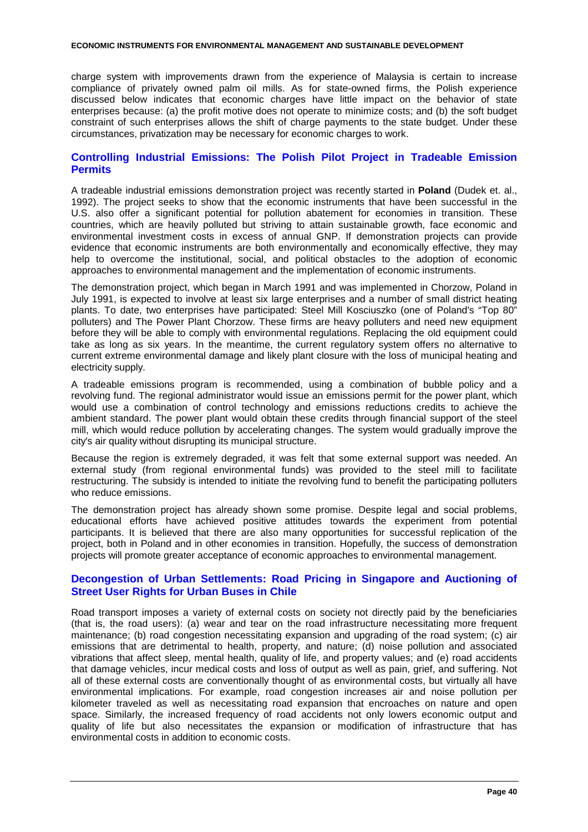charge system with improvements drawn from the experience of Malaysia is certain to increase compliance of privately owned palm oil mills. As for state-owned firms, the Polish experience discussed below indicates that economic charges have little impact on the behavior of state enterprises because: (a) the profit motive does not operate to minimize costs; and (b) the soft budget constraint of such enterprises allows the shift of charge payments to the state budget. Under these circumstances, privatization may be necessary for economic charges to work.

### **Controlling Industrial Emissions: The Polish Pilot Project in Tradeable Emission Permits**

A tradeable industrial emissions demonstration project was recently started in **Poland** (Dudek et. al., 1992). The project seeks to show that the economic instruments that have been successful in the U.S. also offer a significant potential for pollution abatement for economies in transition. These countries, which are heavily polluted but striving to attain sustainable growth, face economic and environmental investment costs in excess of annual GNP. If demonstration projects can provide evidence that economic instruments are both environmentally and economically effective, they may help to overcome the institutional, social, and political obstacles to the adoption of economic approaches to environmental management and the implementation of economic instruments.

The demonstration project, which began in March 1991 and was implemented in Chorzow, Poland in July 1991, is expected to involve at least six large enterprises and a number of small district heating plants. To date, two enterprises have participated: Steel Mill Kosciuszko (one of Poland's "Top 80" polluters) and The Power Plant Chorzow. These firms are heavy polluters and need new equipment before they will be able to comply with environmental regulations. Replacing the old equipment could take as long as six years. In the meantime, the current regulatory system offers no alternative to current extreme environmental damage and likely plant closure with the loss of municipal heating and electricity supply.

A tradeable emissions program is recommended, using a combination of bubble policy and a revolving fund. The regional administrator would issue an emissions permit for the power plant, which would use a combination of control technology and emissions reductions credits to achieve the ambient standard. The power plant would obtain these credits through financial support of the steel mill, which would reduce pollution by accelerating changes. The system would gradually improve the city's air quality without disrupting its municipal structure.

Because the region is extremely degraded, it was felt that some external support was needed. An external study (from regional environmental funds) was provided to the steel mill to facilitate restructuring. The subsidy is intended to initiate the revolving fund to benefit the participating polluters who reduce emissions.

The demonstration project has already shown some promise. Despite legal and social problems, educational efforts have achieved positive attitudes towards the experiment from potential participants. It is believed that there are also many opportunities for successful replication of the project, both in Poland and in other economies in transition. Hopefully, the success of demonstration projects will promote greater acceptance of economic approaches to environmental management.

# **Decongestion of Urban Settlements: Road Pricing in Singapore and Auctioning of Street User Rights for Urban Buses in Chile**

Road transport imposes a variety of external costs on society not directly paid by the beneficiaries (that is, the road users): (a) wear and tear on the road infrastructure necessitating more frequent maintenance; (b) road congestion necessitating expansion and upgrading of the road system; (c) air emissions that are detrimental to health, property, and nature; (d) noise pollution and associated vibrations that affect sleep, mental health, quality of life, and property values; and (e) road accidents that damage vehicles, incur medical costs and loss of output as well as pain, grief, and suffering. Not all of these external costs are conventionally thought of as environmental costs, but virtually all have environmental implications. For example, road congestion increases air and noise pollution per kilometer traveled as well as necessitating road expansion that encroaches on nature and open space. Similarly, the increased frequency of road accidents not only lowers economic output and quality of life but also necessitates the expansion or modification of infrastructure that has environmental costs in addition to economic costs.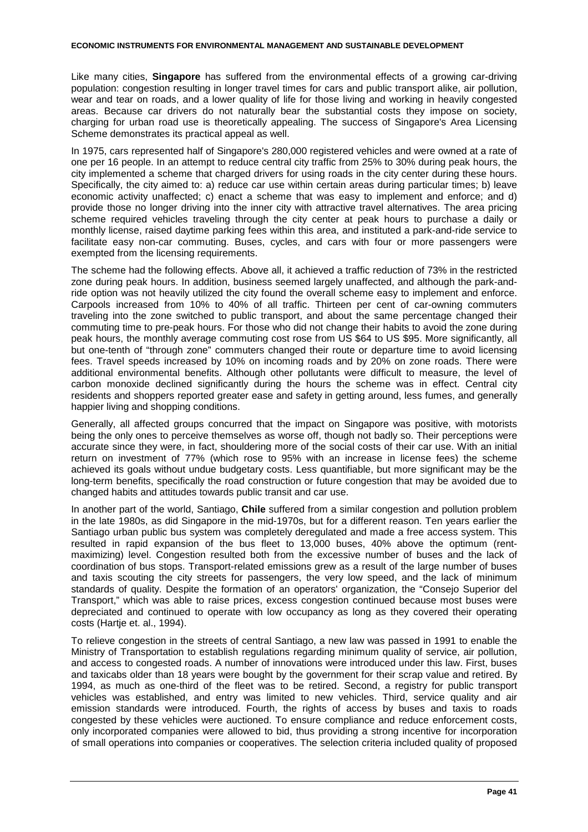Like many cities, **Singapore** has suffered from the environmental effects of a growing car-driving population: congestion resulting in longer travel times for cars and public transport alike, air pollution, wear and tear on roads, and a lower quality of life for those living and working in heavily congested areas. Because car drivers do not naturally bear the substantial costs they impose on society, charging for urban road use is theoretically appealing. The success of Singapore's Area Licensing Scheme demonstrates its practical appeal as well.

In 1975, cars represented half of Singapore's 280,000 registered vehicles and were owned at a rate of one per 16 people. In an attempt to reduce central city traffic from 25% to 30% during peak hours, the city implemented a scheme that charged drivers for using roads in the city center during these hours. Specifically, the city aimed to: a) reduce car use within certain areas during particular times; b) leave economic activity unaffected; c) enact a scheme that was easy to implement and enforce; and d) provide those no longer driving into the inner city with attractive travel alternatives. The area pricing scheme required vehicles traveling through the city center at peak hours to purchase a daily or monthly license, raised daytime parking fees within this area, and instituted a park-and-ride service to facilitate easy non-car commuting. Buses, cycles, and cars with four or more passengers were exempted from the licensing requirements.

The scheme had the following effects. Above all, it achieved a traffic reduction of 73% in the restricted zone during peak hours. In addition, business seemed largely unaffected, and although the park-andride option was not heavily utilized the city found the overall scheme easy to implement and enforce. Carpools increased from 10% to 40% of all traffic. Thirteen per cent of car-owning commuters traveling into the zone switched to public transport, and about the same percentage changed their commuting time to pre-peak hours. For those who did not change their habits to avoid the zone during peak hours, the monthly average commuting cost rose from US \$64 to US \$95. More significantly, all but one-tenth of "through zone" commuters changed their route or departure time to avoid licensing fees. Travel speeds increased by 10% on incoming roads and by 20% on zone roads. There were additional environmental benefits. Although other pollutants were difficult to measure, the level of carbon monoxide declined significantly during the hours the scheme was in effect. Central city residents and shoppers reported greater ease and safety in getting around, less fumes, and generally happier living and shopping conditions.

Generally, all affected groups concurred that the impact on Singapore was positive, with motorists being the only ones to perceive themselves as worse off, though not badly so. Their perceptions were accurate since they were, in fact, shouldering more of the social costs of their car use. With an initial return on investment of 77% (which rose to 95% with an increase in license fees) the scheme achieved its goals without undue budgetary costs. Less quantifiable, but more significant may be the long-term benefits, specifically the road construction or future congestion that may be avoided due to changed habits and attitudes towards public transit and car use.

In another part of the world, Santiago, **Chile** suffered from a similar congestion and pollution problem in the late 1980s, as did Singapore in the mid-1970s, but for a different reason. Ten years earlier the Santiago urban public bus system was completely deregulated and made a free access system. This resulted in rapid expansion of the bus fleet to 13,000 buses, 40% above the optimum (rentmaximizing) level. Congestion resulted both from the excessive number of buses and the lack of coordination of bus stops. Transport-related emissions grew as a result of the large number of buses and taxis scouting the city streets for passengers, the very low speed, and the lack of minimum standards of quality. Despite the formation of an operators' organization, the "Consejo Superior del Transport," which was able to raise prices, excess congestion continued because most buses were depreciated and continued to operate with low occupancy as long as they covered their operating costs (Hartje et. al., 1994).

To relieve congestion in the streets of central Santiago, a new law was passed in 1991 to enable the Ministry of Transportation to establish regulations regarding minimum quality of service, air pollution, and access to congested roads. A number of innovations were introduced under this law. First, buses and taxicabs older than 18 years were bought by the government for their scrap value and retired. By 1994, as much as one-third of the fleet was to be retired. Second, a registry for public transport vehicles was established, and entry was limited to new vehicles. Third, service quality and air emission standards were introduced. Fourth, the rights of access by buses and taxis to roads congested by these vehicles were auctioned. To ensure compliance and reduce enforcement costs, only incorporated companies were allowed to bid, thus providing a strong incentive for incorporation of small operations into companies or cooperatives. The selection criteria included quality of proposed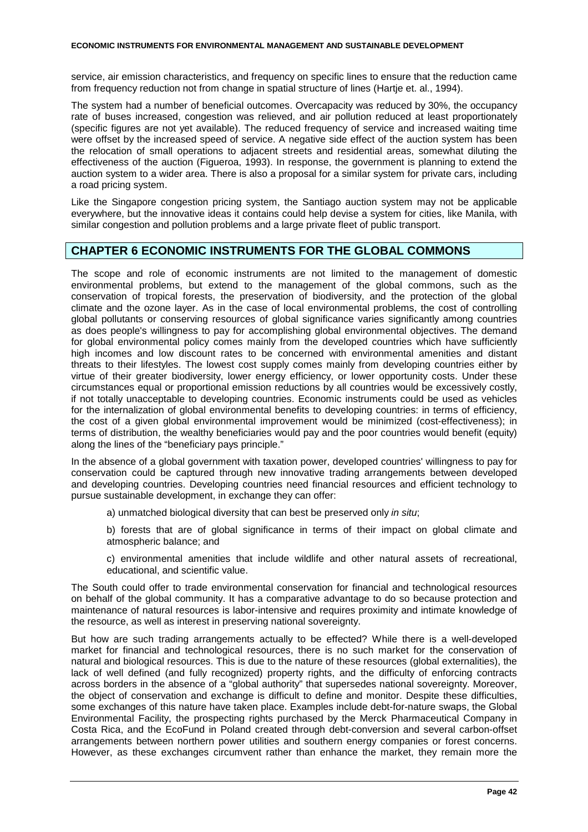service, air emission characteristics, and frequency on specific lines to ensure that the reduction came from frequency reduction not from change in spatial structure of lines (Hartje et. al., 1994).

The system had a number of beneficial outcomes. Overcapacity was reduced by 30%, the occupancy rate of buses increased, congestion was relieved, and air pollution reduced at least proportionately (specific figures are not yet available). The reduced frequency of service and increased waiting time were offset by the increased speed of service. A negative side effect of the auction system has been the relocation of small operations to adjacent streets and residential areas, somewhat diluting the effectiveness of the auction (Figueroa, 1993). In response, the government is planning to extend the auction system to a wider area. There is also a proposal for a similar system for private cars, including a road pricing system.

Like the Singapore congestion pricing system, the Santiago auction system may not be applicable everywhere, but the innovative ideas it contains could help devise a system for cities, like Manila, with similar congestion and pollution problems and a large private fleet of public transport.

# **CHAPTER 6 ECONOMIC INSTRUMENTS FOR THE GLOBAL COMMONS**

The scope and role of economic instruments are not limited to the management of domestic environmental problems, but extend to the management of the global commons, such as the conservation of tropical forests, the preservation of biodiversity, and the protection of the global climate and the ozone layer. As in the case of local environmental problems, the cost of controlling global pollutants or conserving resources of global significance varies significantly among countries as does people's willingness to pay for accomplishing global environmental objectives. The demand for global environmental policy comes mainly from the developed countries which have sufficiently high incomes and low discount rates to be concerned with environmental amenities and distant threats to their lifestyles. The lowest cost supply comes mainly from developing countries either by virtue of their greater biodiversity, lower energy efficiency, or lower opportunity costs. Under these circumstances equal or proportional emission reductions by all countries would be excessively costly, if not totally unacceptable to developing countries. Economic instruments could be used as vehicles for the internalization of global environmental benefits to developing countries: in terms of efficiency, the cost of a given global environmental improvement would be minimized (cost-effectiveness); in terms of distribution, the wealthy beneficiaries would pay and the poor countries would benefit (equity) along the lines of the "beneficiary pays principle."

In the absence of a global government with taxation power, developed countries' willingness to pay for conservation could be captured through new innovative trading arrangements between developed and developing countries. Developing countries need financial resources and efficient technology to pursue sustainable development, in exchange they can offer:

a) unmatched biological diversity that can best be preserved only *in situ*;

b) forests that are of global significance in terms of their impact on global climate and atmospheric balance; and

c) environmental amenities that include wildlife and other natural assets of recreational, educational, and scientific value.

The South could offer to trade environmental conservation for financial and technological resources on behalf of the global community. It has a comparative advantage to do so because protection and maintenance of natural resources is labor-intensive and requires proximity and intimate knowledge of the resource, as well as interest in preserving national sovereignty.

But how are such trading arrangements actually to be effected? While there is a well-developed market for financial and technological resources, there is no such market for the conservation of natural and biological resources. This is due to the nature of these resources (global externalities), the lack of well defined (and fully recognized) property rights, and the difficulty of enforcing contracts across borders in the absence of a "global authority" that supersedes national sovereignty. Moreover, the object of conservation and exchange is difficult to define and monitor. Despite these difficulties, some exchanges of this nature have taken place. Examples include debt-for-nature swaps, the Global Environmental Facility, the prospecting rights purchased by the Merck Pharmaceutical Company in Costa Rica, and the EcoFund in Poland created through debt-conversion and several carbon-offset arrangements between northern power utilities and southern energy companies or forest concerns. However, as these exchanges circumvent rather than enhance the market, they remain more the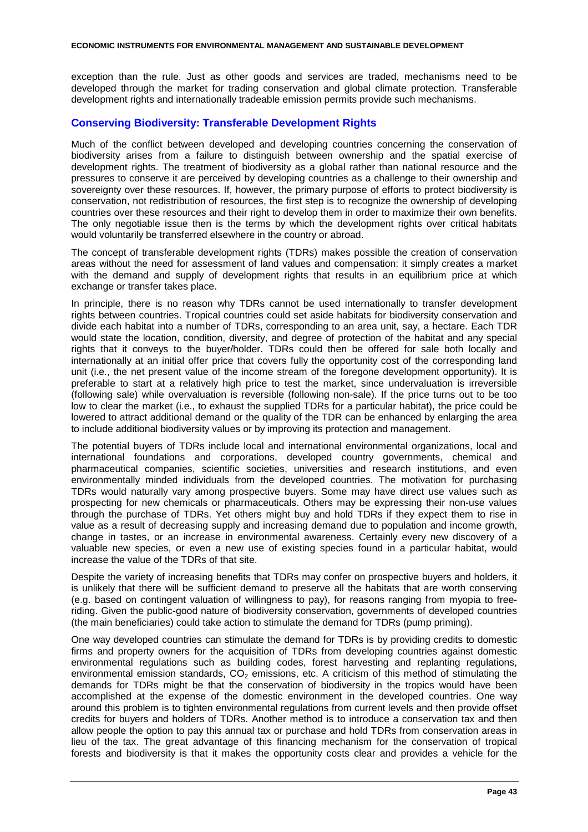exception than the rule. Just as other goods and services are traded, mechanisms need to be developed through the market for trading conservation and global climate protection. Transferable development rights and internationally tradeable emission permits provide such mechanisms.

## **Conserving Biodiversity: Transferable Development Rights**

Much of the conflict between developed and developing countries concerning the conservation of biodiversity arises from a failure to distinguish between ownership and the spatial exercise of development rights. The treatment of biodiversity as a global rather than national resource and the pressures to conserve it are perceived by developing countries as a challenge to their ownership and sovereignty over these resources. If, however, the primary purpose of efforts to protect biodiversity is conservation, not redistribution of resources, the first step is to recognize the ownership of developing countries over these resources and their right to develop them in order to maximize their own benefits. The only negotiable issue then is the terms by which the development rights over critical habitats would voluntarily be transferred elsewhere in the country or abroad.

The concept of transferable development rights (TDRs) makes possible the creation of conservation areas without the need for assessment of land values and compensation: it simply creates a market with the demand and supply of development rights that results in an equilibrium price at which exchange or transfer takes place.

In principle, there is no reason why TDRs cannot be used internationally to transfer development rights between countries. Tropical countries could set aside habitats for biodiversity conservation and divide each habitat into a number of TDRs, corresponding to an area unit, say, a hectare. Each TDR would state the location, condition, diversity, and degree of protection of the habitat and any special rights that it conveys to the buyer/holder. TDRs could then be offered for sale both locally and internationally at an initial offer price that covers fully the opportunity cost of the corresponding land unit (i.e., the net present value of the income stream of the foregone development opportunity). It is preferable to start at a relatively high price to test the market, since undervaluation is irreversible (following sale) while overvaluation is reversible (following non-sale). If the price turns out to be too low to clear the market (i.e., to exhaust the supplied TDRs for a particular habitat), the price could be lowered to attract additional demand or the quality of the TDR can be enhanced by enlarging the area to include additional biodiversity values or by improving its protection and management.

The potential buyers of TDRs include local and international environmental organizations, local and international foundations and corporations, developed country governments, chemical and pharmaceutical companies, scientific societies, universities and research institutions, and even environmentally minded individuals from the developed countries. The motivation for purchasing TDRs would naturally vary among prospective buyers. Some may have direct use values such as prospecting for new chemicals or pharmaceuticals. Others may be expressing their non-use values through the purchase of TDRs. Yet others might buy and hold TDRs if they expect them to rise in value as a result of decreasing supply and increasing demand due to population and income growth, change in tastes, or an increase in environmental awareness. Certainly every new discovery of a valuable new species, or even a new use of existing species found in a particular habitat, would increase the value of the TDRs of that site.

Despite the variety of increasing benefits that TDRs may confer on prospective buyers and holders, it is unlikely that there will be sufficient demand to preserve all the habitats that are worth conserving (e.g. based on contingent valuation of willingness to pay), for reasons ranging from myopia to freeriding. Given the public-good nature of biodiversity conservation, governments of developed countries (the main beneficiaries) could take action to stimulate the demand for TDRs (pump priming).

One way developed countries can stimulate the demand for TDRs is by providing credits to domestic firms and property owners for the acquisition of TDRs from developing countries against domestic environmental regulations such as building codes, forest harvesting and replanting regulations, environmental emission standards,  $CO<sub>2</sub>$  emissions, etc. A criticism of this method of stimulating the demands for TDRs might be that the conservation of biodiversity in the tropics would have been accomplished at the expense of the domestic environment in the developed countries. One way around this problem is to tighten environmental regulations from current levels and then provide offset credits for buyers and holders of TDRs. Another method is to introduce a conservation tax and then allow people the option to pay this annual tax or purchase and hold TDRs from conservation areas in lieu of the tax. The great advantage of this financing mechanism for the conservation of tropical forests and biodiversity is that it makes the opportunity costs clear and provides a vehicle for the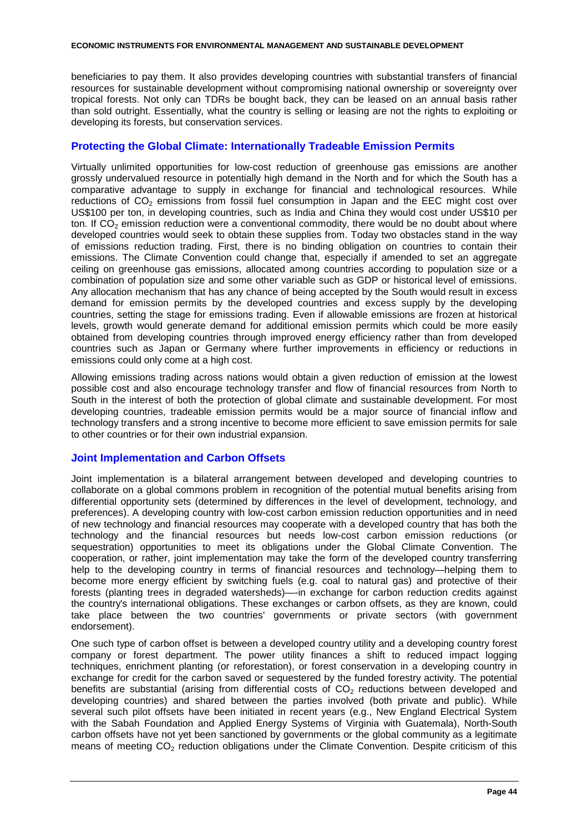beneficiaries to pay them. It also provides developing countries with substantial transfers of financial resources for sustainable development without compromising national ownership or sovereignty over tropical forests. Not only can TDRs be bought back, they can be leased on an annual basis rather than sold outright. Essentially, what the country is selling or leasing are not the rights to exploiting or developing its forests, but conservation services.

# **Protecting the Global Climate: Internationally Tradeable Emission Permits**

Virtually unlimited opportunities for low-cost reduction of greenhouse gas emissions are another grossly undervalued resource in potentially high demand in the North and for which the South has a comparative advantage to supply in exchange for financial and technological resources. While reductions of  $CO<sub>2</sub>$  emissions from fossil fuel consumption in Japan and the EEC might cost over US\$100 per ton, in developing countries, such as India and China they would cost under US\$10 per ton. If  $CO<sub>2</sub>$  emission reduction were a conventional commodity, there would be no doubt about where developed countries would seek to obtain these supplies from. Today two obstacles stand in the way of emissions reduction trading. First, there is no binding obligation on countries to contain their emissions. The Climate Convention could change that, especially if amended to set an aggregate ceiling on greenhouse gas emissions, allocated among countries according to population size or a combination of population size and some other variable such as GDP or historical level of emissions. Any allocation mechanism that has any chance of being accepted by the South would result in excess demand for emission permits by the developed countries and excess supply by the developing countries, setting the stage for emissions trading. Even if allowable emissions are frozen at historical levels, growth would generate demand for additional emission permits which could be more easily obtained from developing countries through improved energy efficiency rather than from developed countries such as Japan or Germany where further improvements in efficiency or reductions in emissions could only come at a high cost.

Allowing emissions trading across nations would obtain a given reduction of emission at the lowest possible cost and also encourage technology transfer and flow of financial resources from North to South in the interest of both the protection of global climate and sustainable development. For most developing countries, tradeable emission permits would be a major source of financial inflow and technology transfers and a strong incentive to become more efficient to save emission permits for sale to other countries or for their own industrial expansion.

# **Joint Implementation and Carbon Offsets**

Joint implementation is a bilateral arrangement between developed and developing countries to collaborate on a global commons problem in recognition of the potential mutual benefits arising from differential opportunity sets (determined by differences in the level of development, technology, and preferences). A developing country with low-cost carbon emission reduction opportunities and in need of new technology and financial resources may cooperate with a developed country that has both the technology and the financial resources but needs low-cost carbon emission reductions (or sequestration) opportunities to meet its obligations under the Global Climate Convention. The cooperation, or rather, joint implementation may take the form of the developed country transferring help to the developing country in terms of financial resources and technology—helping them to become more energy efficient by switching fuels (e.g. coal to natural gas) and protective of their forests (planting trees in degraded watersheds)—-in exchange for carbon reduction credits against the country's international obligations. These exchanges or carbon offsets, as they are known, could take place between the two countries' governments or private sectors (with government endorsement).

One such type of carbon offset is between a developed country utility and a developing country forest company or forest department. The power utility finances a shift to reduced impact logging techniques, enrichment planting (or reforestation), or forest conservation in a developing country in exchange for credit for the carbon saved or sequestered by the funded forestry activity. The potential benefits are substantial (arising from differential costs of CO<sub>2</sub> reductions between developed and developing countries) and shared between the parties involved (both private and public). While several such pilot offsets have been initiated in recent years (e.g., New England Electrical System with the Sabah Foundation and Applied Energy Systems of Virginia with Guatemala), North-South carbon offsets have not yet been sanctioned by governments or the global community as a legitimate means of meeting  $CO<sub>2</sub>$  reduction obligations under the Climate Convention. Despite criticism of this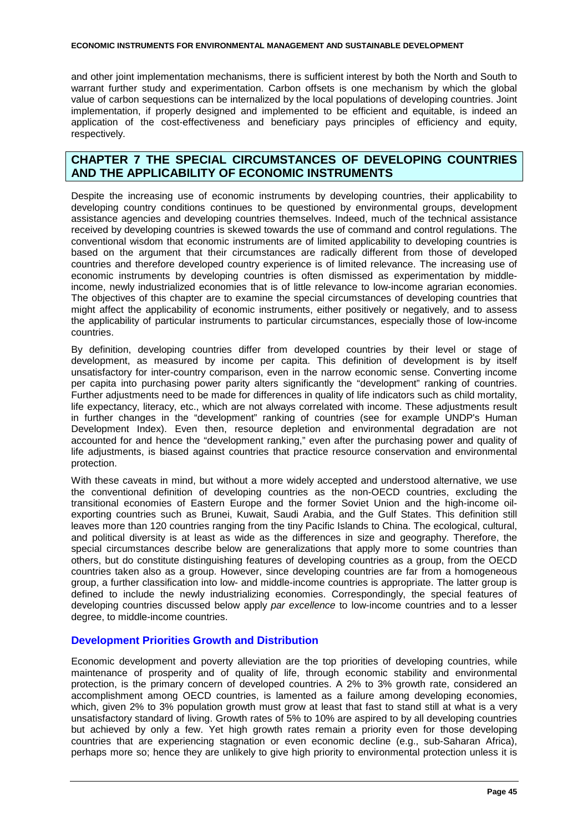and other joint implementation mechanisms, there is sufficient interest by both the North and South to warrant further study and experimentation. Carbon offsets is one mechanism by which the global value of carbon sequestions can be internalized by the local populations of developing countries. Joint implementation, if properly designed and implemented to be efficient and equitable, is indeed an application of the cost-effectiveness and beneficiary pays principles of efficiency and equity, respectively.

# **CHAPTER 7 THE SPECIAL CIRCUMSTANCES OF DEVELOPING COUNTRIES AND THE APPLICABILITY OF ECONOMIC INSTRUMENTS**

Despite the increasing use of economic instruments by developing countries, their applicability to developing country conditions continues to be questioned by environmental groups, development assistance agencies and developing countries themselves. Indeed, much of the technical assistance received by developing countries is skewed towards the use of command and control regulations. The conventional wisdom that economic instruments are of limited applicability to developing countries is based on the argument that their circumstances are radically different from those of developed countries and therefore developed country experience is of limited relevance. The increasing use of economic instruments by developing countries is often dismissed as experimentation by middleincome, newly industrialized economies that is of little relevance to low-income agrarian economies. The objectives of this chapter are to examine the special circumstances of developing countries that might affect the applicability of economic instruments, either positively or negatively, and to assess the applicability of particular instruments to particular circumstances, especially those of low-income countries.

By definition, developing countries differ from developed countries by their level or stage of development, as measured by income per capita. This definition of development is by itself unsatisfactory for inter-country comparison, even in the narrow economic sense. Converting income per capita into purchasing power parity alters significantly the "development" ranking of countries. Further adjustments need to be made for differences in quality of life indicators such as child mortality, life expectancy, literacy, etc., which are not always correlated with income. These adjustments result in further changes in the "development" ranking of countries (see for example UNDP's Human Development Index). Even then, resource depletion and environmental degradation are not accounted for and hence the "development ranking," even after the purchasing power and quality of life adjustments, is biased against countries that practice resource conservation and environmental protection.

With these caveats in mind, but without a more widely accepted and understood alternative, we use the conventional definition of developing countries as the non-OECD countries, excluding the transitional economies of Eastern Europe and the former Soviet Union and the high-income oilexporting countries such as Brunei, Kuwait, Saudi Arabia, and the Gulf States. This definition still leaves more than 120 countries ranging from the tiny Pacific Islands to China. The ecological, cultural, and political diversity is at least as wide as the differences in size and geography. Therefore, the special circumstances describe below are generalizations that apply more to some countries than others, but do constitute distinguishing features of developing countries as a group, from the OECD countries taken also as a group. However, since developing countries are far from a homogeneous group, a further classification into low- and middle-income countries is appropriate. The latter group is defined to include the newly industrializing economies. Correspondingly, the special features of developing countries discussed below apply *par excellence* to low-income countries and to a lesser degree, to middle-income countries.

# **Development Priorities Growth and Distribution**

Economic development and poverty alleviation are the top priorities of developing countries, while maintenance of prosperity and of quality of life, through economic stability and environmental protection, is the primary concern of developed countries. A 2% to 3% growth rate, considered an accomplishment among OECD countries, is lamented as a failure among developing economies, which, given 2% to 3% population growth must grow at least that fast to stand still at what is a very unsatisfactory standard of living. Growth rates of 5% to 10% are aspired to by all developing countries but achieved by only a few. Yet high growth rates remain a priority even for those developing countries that are experiencing stagnation or even economic decline (e.g., sub-Saharan Africa), perhaps more so; hence they are unlikely to give high priority to environmental protection unless it is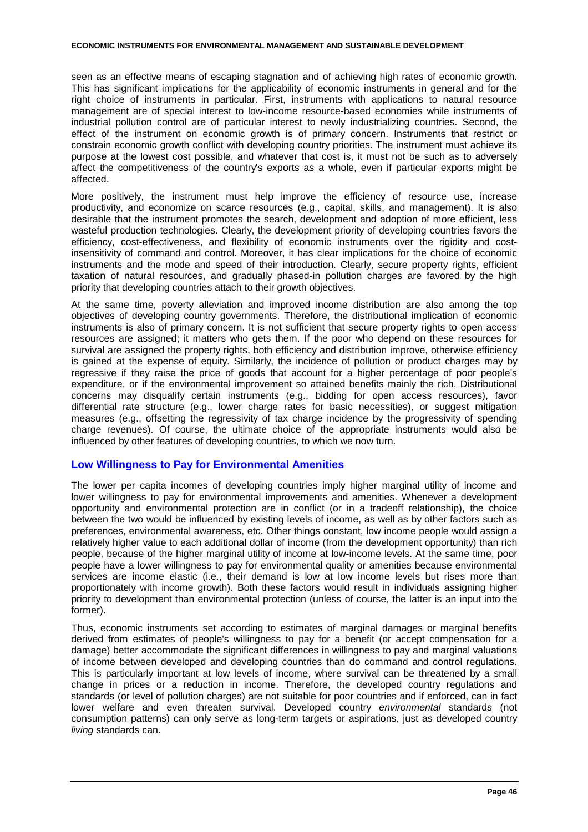seen as an effective means of escaping stagnation and of achieving high rates of economic growth. This has significant implications for the applicability of economic instruments in general and for the right choice of instruments in particular. First, instruments with applications to natural resource management are of special interest to low-income resource-based economies while instruments of industrial pollution control are of particular interest to newly industrializing countries. Second, the effect of the instrument on economic growth is of primary concern. Instruments that restrict or constrain economic growth conflict with developing country priorities. The instrument must achieve its purpose at the lowest cost possible, and whatever that cost is, it must not be such as to adversely affect the competitiveness of the country's exports as a whole, even if particular exports might be affected.

More positively, the instrument must help improve the efficiency of resource use, increase productivity, and economize on scarce resources (e.g., capital, skills, and management). It is also desirable that the instrument promotes the search, development and adoption of more efficient, less wasteful production technologies. Clearly, the development priority of developing countries favors the efficiency, cost-effectiveness, and flexibility of economic instruments over the rigidity and costinsensitivity of command and control. Moreover, it has clear implications for the choice of economic instruments and the mode and speed of their introduction. Clearly, secure property rights, efficient taxation of natural resources, and gradually phased-in pollution charges are favored by the high priority that developing countries attach to their growth objectives.

At the same time, poverty alleviation and improved income distribution are also among the top objectives of developing country governments. Therefore, the distributional implication of economic instruments is also of primary concern. It is not sufficient that secure property rights to open access resources are assigned; it matters who gets them. If the poor who depend on these resources for survival are assigned the property rights, both efficiency and distribution improve, otherwise efficiency is gained at the expense of equity. Similarly, the incidence of pollution or product charges may by regressive if they raise the price of goods that account for a higher percentage of poor people's expenditure, or if the environmental improvement so attained benefits mainly the rich. Distributional concerns may disqualify certain instruments (e.g., bidding for open access resources), favor differential rate structure (e.g., lower charge rates for basic necessities), or suggest mitigation measures (e.g., offsetting the regressivity of tax charge incidence by the progressivity of spending charge revenues). Of course, the ultimate choice of the appropriate instruments would also be influenced by other features of developing countries, to which we now turn.

# **Low Willingness to Pay for Environmental Amenities**

The lower per capita incomes of developing countries imply higher marginal utility of income and lower willingness to pay for environmental improvements and amenities. Whenever a development opportunity and environmental protection are in conflict (or in a tradeoff relationship), the choice between the two would be influenced by existing levels of income, as well as by other factors such as preferences, environmental awareness, etc. Other things constant, low income people would assign a relatively higher value to each additional dollar of income (from the development opportunity) than rich people, because of the higher marginal utility of income at low-income levels. At the same time, poor people have a lower willingness to pay for environmental quality or amenities because environmental services are income elastic (i.e., their demand is low at low income levels but rises more than proportionately with income growth). Both these factors would result in individuals assigning higher priority to development than environmental protection (unless of course, the latter is an input into the former).

Thus, economic instruments set according to estimates of marginal damages or marginal benefits derived from estimates of people's willingness to pay for a benefit (or accept compensation for a damage) better accommodate the significant differences in willingness to pay and marginal valuations of income between developed and developing countries than do command and control regulations. This is particularly important at low levels of income, where survival can be threatened by a small change in prices or a reduction in income. Therefore, the developed country regulations and standards (or level of pollution charges) are not suitable for poor countries and if enforced, can in fact lower welfare and even threaten survival. Developed country *environmental* standards (not consumption patterns) can only serve as long-term targets or aspirations, just as developed country *living* standards can.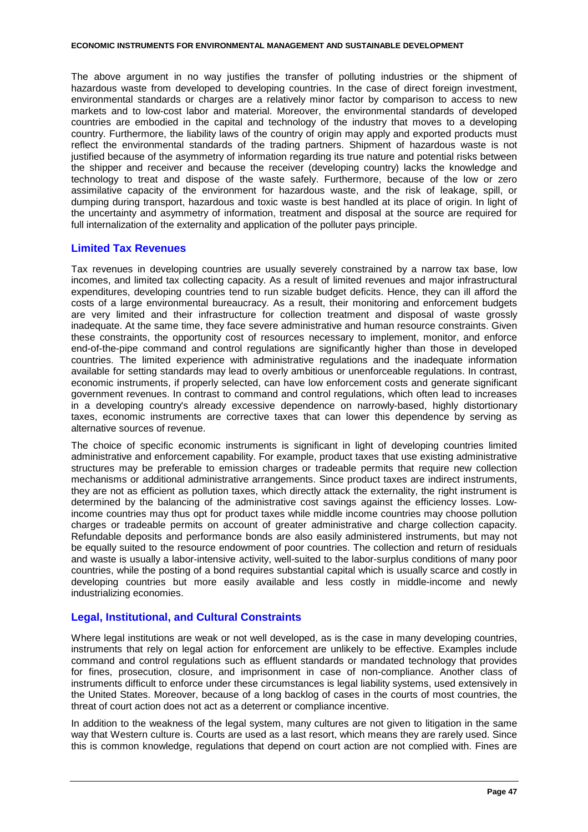The above argument in no way justifies the transfer of polluting industries or the shipment of hazardous waste from developed to developing countries. In the case of direct foreign investment, environmental standards or charges are a relatively minor factor by comparison to access to new markets and to low-cost labor and material. Moreover, the environmental standards of developed countries are embodied in the capital and technology of the industry that moves to a developing country. Furthermore, the liability laws of the country of origin may apply and exported products must reflect the environmental standards of the trading partners. Shipment of hazardous waste is not justified because of the asymmetry of information regarding its true nature and potential risks between the shipper and receiver and because the receiver (developing country) lacks the knowledge and technology to treat and dispose of the waste safely. Furthermore, because of the low or zero assimilative capacity of the environment for hazardous waste, and the risk of leakage, spill, or dumping during transport, hazardous and toxic waste is best handled at its place of origin. In light of the uncertainty and asymmetry of information, treatment and disposal at the source are required for full internalization of the externality and application of the polluter pays principle.

# **Limited Tax Revenues**

Tax revenues in developing countries are usually severely constrained by a narrow tax base, low incomes, and limited tax collecting capacity. As a result of limited revenues and major infrastructural expenditures, developing countries tend to run sizable budget deficits. Hence, they can ill afford the costs of a large environmental bureaucracy. As a result, their monitoring and enforcement budgets are very limited and their infrastructure for collection treatment and disposal of waste grossly inadequate. At the same time, they face severe administrative and human resource constraints. Given these constraints, the opportunity cost of resources necessary to implement, monitor, and enforce end-of-the-pipe command and control regulations are significantly higher than those in developed countries. The limited experience with administrative regulations and the inadequate information available for setting standards may lead to overly ambitious or unenforceable regulations. In contrast, economic instruments, if properly selected, can have low enforcement costs and generate significant government revenues. In contrast to command and control regulations, which often lead to increases in a developing country's already excessive dependence on narrowly-based, highly distortionary taxes, economic instruments are corrective taxes that can lower this dependence by serving as alternative sources of revenue.

The choice of specific economic instruments is significant in light of developing countries limited administrative and enforcement capability. For example, product taxes that use existing administrative structures may be preferable to emission charges or tradeable permits that require new collection mechanisms or additional administrative arrangements. Since product taxes are indirect instruments, they are not as efficient as pollution taxes, which directly attack the externality, the right instrument is determined by the balancing of the administrative cost savings against the efficiency losses. Lowincome countries may thus opt for product taxes while middle income countries may choose pollution charges or tradeable permits on account of greater administrative and charge collection capacity. Refundable deposits and performance bonds are also easily administered instruments, but may not be equally suited to the resource endowment of poor countries. The collection and return of residuals and waste is usually a labor-intensive activity, well-suited to the labor-surplus conditions of many poor countries, while the posting of a bond requires substantial capital which is usually scarce and costly in developing countries but more easily available and less costly in middle-income and newly industrializing economies.

# **Legal, Institutional, and Cultural Constraints**

Where legal institutions are weak or not well developed, as is the case in many developing countries, instruments that rely on legal action for enforcement are unlikely to be effective. Examples include command and control regulations such as effluent standards or mandated technology that provides for fines, prosecution, closure, and imprisonment in case of non-compliance. Another class of instruments difficult to enforce under these circumstances is legal liability systems, used extensively in the United States. Moreover, because of a long backlog of cases in the courts of most countries, the threat of court action does not act as a deterrent or compliance incentive.

In addition to the weakness of the legal system, many cultures are not given to litigation in the same way that Western culture is. Courts are used as a last resort, which means they are rarely used. Since this is common knowledge, regulations that depend on court action are not complied with. Fines are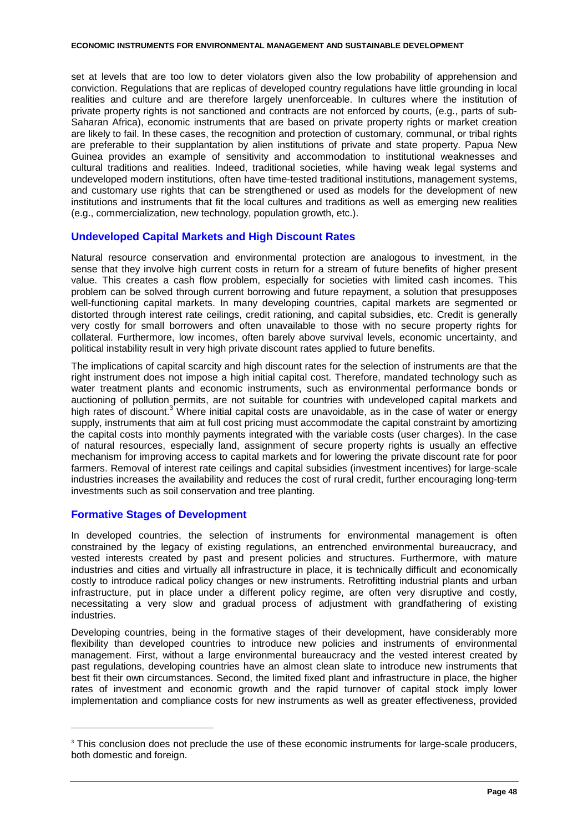set at levels that are too low to deter violators given also the low probability of apprehension and conviction. Regulations that are replicas of developed country regulations have little grounding in local realities and culture and are therefore largely unenforceable. In cultures where the institution of private property rights is not sanctioned and contracts are not enforced by courts, (e.g., parts of sub-Saharan Africa), economic instruments that are based on private property rights or market creation are likely to fail. In these cases, the recognition and protection of customary, communal, or tribal rights are preferable to their supplantation by alien institutions of private and state property. Papua New Guinea provides an example of sensitivity and accommodation to institutional weaknesses and cultural traditions and realities. Indeed, traditional societies, while having weak legal systems and undeveloped modern institutions, often have time-tested traditional institutions, management systems, and customary use rights that can be strengthened or used as models for the development of new institutions and instruments that fit the local cultures and traditions as well as emerging new realities (e.g., commercialization, new technology, population growth, etc.).

# **Undeveloped Capital Markets and High Discount Rates**

Natural resource conservation and environmental protection are analogous to investment, in the sense that they involve high current costs in return for a stream of future benefits of higher present value. This creates a cash flow problem, especially for societies with limited cash incomes. This problem can be solved through current borrowing and future repayment, a solution that presupposes well-functioning capital markets. In many developing countries, capital markets are segmented or distorted through interest rate ceilings, credit rationing, and capital subsidies, etc. Credit is generally very costly for small borrowers and often unavailable to those with no secure property rights for collateral. Furthermore, low incomes, often barely above survival levels, economic uncertainty, and political instability result in very high private discount rates applied to future benefits.

The implications of capital scarcity and high discount rates for the selection of instruments are that the right instrument does not impose a high initial capital cost. Therefore, mandated technology such as water treatment plants and economic instruments, such as environmental performance bonds or auctioning of pollution permits, are not suitable for countries with undeveloped capital markets and high rates of discount.<sup>3</sup> Where initial capital costs are unavoidable, as in the case of water or energy supply, instruments that aim at full cost pricing must accommodate the capital constraint by amortizing the capital costs into monthly payments integrated with the variable costs (user charges). In the case of natural resources, especially land, assignment of secure property rights is usually an effective mechanism for improving access to capital markets and for lowering the private discount rate for poor farmers. Removal of interest rate ceilings and capital subsidies (investment incentives) for large-scale industries increases the availability and reduces the cost of rural credit, further encouraging long-term investments such as soil conservation and tree planting.

# **Formative Stages of Development**

l

In developed countries, the selection of instruments for environmental management is often constrained by the legacy of existing regulations, an entrenched environmental bureaucracy, and vested interests created by past and present policies and structures. Furthermore, with mature industries and cities and virtually all infrastructure in place, it is technically difficult and economically costly to introduce radical policy changes or new instruments. Retrofitting industrial plants and urban infrastructure, put in place under a different policy regime, are often very disruptive and costly, necessitating a very slow and gradual process of adjustment with grandfathering of existing industries.

Developing countries, being in the formative stages of their development, have considerably more flexibility than developed countries to introduce new policies and instruments of environmental management. First, without a large environmental bureaucracy and the vested interest created by past regulations, developing countries have an almost clean slate to introduce new instruments that best fit their own circumstances. Second, the limited fixed plant and infrastructure in place, the higher rates of investment and economic growth and the rapid turnover of capital stock imply lower implementation and compliance costs for new instruments as well as greater effectiveness, provided

<sup>&</sup>lt;sup>3</sup> This conclusion does not preclude the use of these economic instruments for large-scale producers, both domestic and foreign.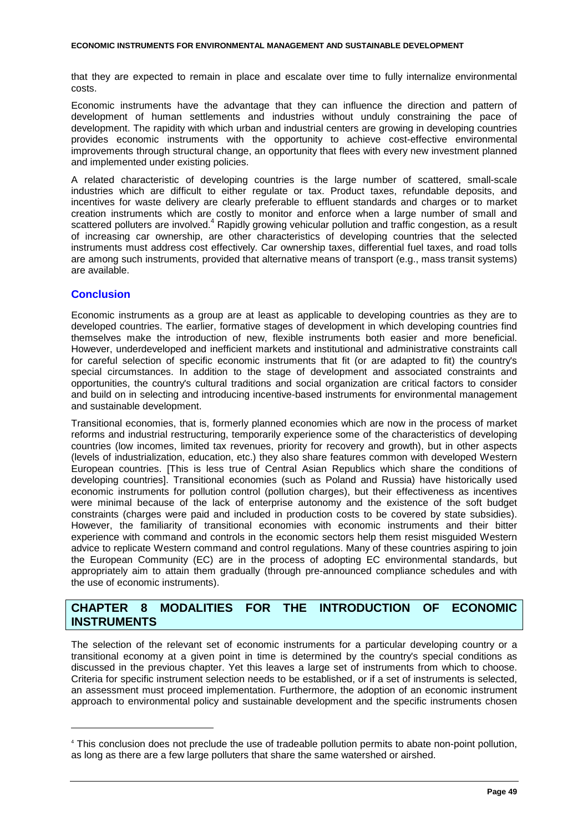that they are expected to remain in place and escalate over time to fully internalize environmental costs.

Economic instruments have the advantage that they can influence the direction and pattern of development of human settlements and industries without unduly constraining the pace of development. The rapidity with which urban and industrial centers are growing in developing countries provides economic instruments with the opportunity to achieve cost-effective environmental improvements through structural change, an opportunity that flees with every new investment planned and implemented under existing policies.

A related characteristic of developing countries is the large number of scattered, small-scale industries which are difficult to either regulate or tax. Product taxes, refundable deposits, and incentives for waste delivery are clearly preferable to effluent standards and charges or to market creation instruments which are costly to monitor and enforce when a large number of small and scattered polluters are involved.<sup>4</sup> Rapidly growing vehicular pollution and traffic congestion, as a result of increasing car ownership, are other characteristics of developing countries that the selected instruments must address cost effectively. Car ownership taxes, differential fuel taxes, and road tolls are among such instruments, provided that alternative means of transport (e.g., mass transit systems) are available.

### **Conclusion**

l

Economic instruments as a group are at least as applicable to developing countries as they are to developed countries. The earlier, formative stages of development in which developing countries find themselves make the introduction of new, flexible instruments both easier and more beneficial. However, underdeveloped and inefficient markets and institutional and administrative constraints call for careful selection of specific economic instruments that fit (or are adapted to fit) the country's special circumstances. In addition to the stage of development and associated constraints and opportunities, the country's cultural traditions and social organization are critical factors to consider and build on in selecting and introducing incentive-based instruments for environmental management and sustainable development.

Transitional economies, that is, formerly planned economies which are now in the process of market reforms and industrial restructuring, temporarily experience some of the characteristics of developing countries (low incomes, limited tax revenues, priority for recovery and growth), but in other aspects (levels of industrialization, education, etc.) they also share features common with developed Western European countries. [This is less true of Central Asian Republics which share the conditions of developing countries]. Transitional economies (such as Poland and Russia) have historically used economic instruments for pollution control (pollution charges), but their effectiveness as incentives were minimal because of the lack of enterprise autonomy and the existence of the soft budget constraints (charges were paid and included in production costs to be covered by state subsidies). However, the familiarity of transitional economies with economic instruments and their bitter experience with command and controls in the economic sectors help them resist misguided Western advice to replicate Western command and control regulations. Many of these countries aspiring to join the European Community (EC) are in the process of adopting EC environmental standards, but appropriately aim to attain them gradually (through pre-announced compliance schedules and with the use of economic instruments).

# **CHAPTER 8 MODALITIES FOR THE INTRODUCTION OF ECONOMIC INSTRUMENTS**

The selection of the relevant set of economic instruments for a particular developing country or a transitional economy at a given point in time is determined by the country's special conditions as discussed in the previous chapter. Yet this leaves a large set of instruments from which to choose. Criteria for specific instrument selection needs to be established, or if a set of instruments is selected, an assessment must proceed implementation. Furthermore, the adoption of an economic instrument approach to environmental policy and sustainable development and the specific instruments chosen

<sup>4</sup> This conclusion does not preclude the use of tradeable pollution permits to abate non-point pollution, as long as there are a few large polluters that share the same watershed or airshed.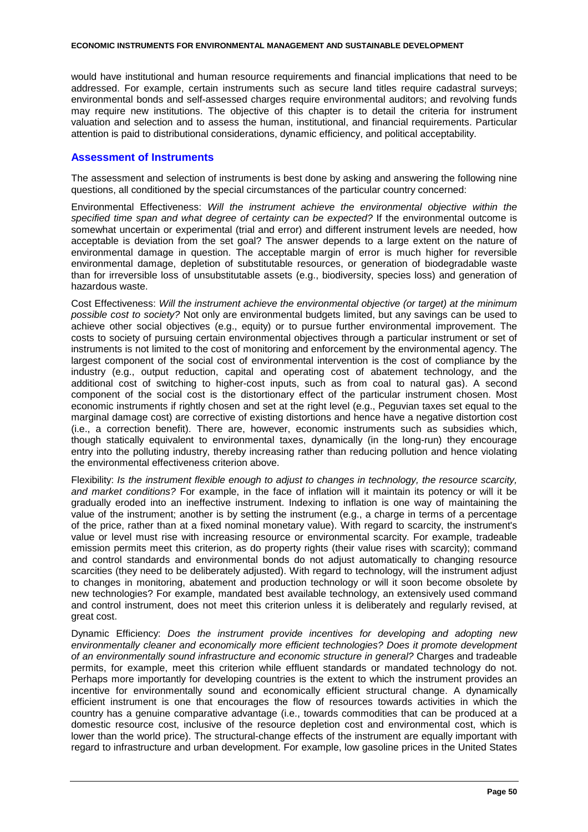would have institutional and human resource requirements and financial implications that need to be addressed. For example, certain instruments such as secure land titles require cadastral surveys; environmental bonds and self-assessed charges require environmental auditors; and revolving funds may require new institutions. The objective of this chapter is to detail the criteria for instrument valuation and selection and to assess the human, institutional, and financial requirements. Particular attention is paid to distributional considerations, dynamic efficiency, and political acceptability.

### **Assessment of Instruments**

The assessment and selection of instruments is best done by asking and answering the following nine questions, all conditioned by the special circumstances of the particular country concerned:

Environmental Effectiveness: *Will the instrument achieve the environmental objective within the specified time span and what degree of certainty can be expected?* If the environmental outcome is somewhat uncertain or experimental (trial and error) and different instrument levels are needed, how acceptable is deviation from the set goal? The answer depends to a large extent on the nature of environmental damage in question. The acceptable margin of error is much higher for reversible environmental damage, depletion of substitutable resources, or generation of biodegradable waste than for irreversible loss of unsubstitutable assets (e.g., biodiversity, species loss) and generation of hazardous waste.

Cost Effectiveness: *Will the instrument achieve the environmental objective (or target) at the minimum possible cost to society?* Not only are environmental budgets limited, but any savings can be used to achieve other social objectives (e.g., equity) or to pursue further environmental improvement. The costs to society of pursuing certain environmental objectives through a particular instrument or set of instruments is not limited to the cost of monitoring and enforcement by the environmental agency. The largest component of the social cost of environmental intervention is the cost of compliance by the industry (e.g., output reduction, capital and operating cost of abatement technology, and the additional cost of switching to higher-cost inputs, such as from coal to natural gas). A second component of the social cost is the distortionary effect of the particular instrument chosen. Most economic instruments if rightly chosen and set at the right level (e.g., Peguvian taxes set equal to the marginal damage cost) are corrective of existing distortions and hence have a negative distortion cost (i.e., a correction benefit). There are, however, economic instruments such as subsidies which, though statically equivalent to environmental taxes, dynamically (in the long-run) they encourage entry into the polluting industry, thereby increasing rather than reducing pollution and hence violating the environmental effectiveness criterion above.

Flexibility: *Is the instrument flexible enough to adjust to changes in technology, the resource scarcity, and market conditions?* For example, in the face of inflation will it maintain its potency or will it be gradually eroded into an ineffective instrument. Indexing to inflation is one way of maintaining the value of the instrument; another is by setting the instrument (e.g., a charge in terms of a percentage of the price, rather than at a fixed nominal monetary value). With regard to scarcity, the instrument's value or level must rise with increasing resource or environmental scarcity. For example, tradeable emission permits meet this criterion, as do property rights (their value rises with scarcity); command and control standards and environmental bonds do not adjust automatically to changing resource scarcities (they need to be deliberately adjusted). With regard to technology, will the instrument adjust to changes in monitoring, abatement and production technology or will it soon become obsolete by new technologies? For example, mandated best available technology, an extensively used command and control instrument, does not meet this criterion unless it is deliberately and regularly revised, at great cost.

Dynamic Efficiency: *Does the instrument provide incentives for developing and adopting new environmentally cleaner and economically more efficient technologies? Does it promote development of an environmentally sound infrastructure and economic structure in general?* Charges and tradeable permits, for example, meet this criterion while effluent standards or mandated technology do not. Perhaps more importantly for developing countries is the extent to which the instrument provides an incentive for environmentally sound and economically efficient structural change. A dynamically efficient instrument is one that encourages the flow of resources towards activities in which the country has a genuine comparative advantage (i.e., towards commodities that can be produced at a domestic resource cost, inclusive of the resource depletion cost and environmental cost, which is lower than the world price). The structural-change effects of the instrument are equally important with regard to infrastructure and urban development. For example, low gasoline prices in the United States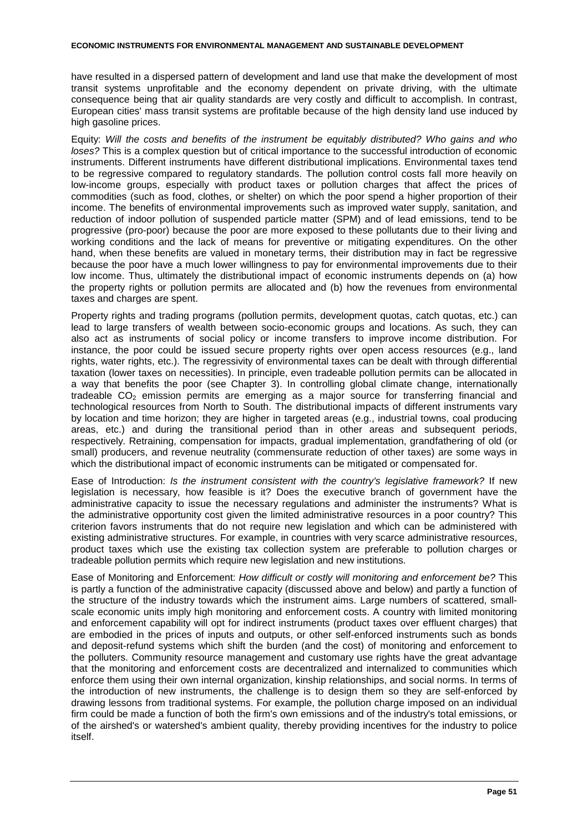have resulted in a dispersed pattern of development and land use that make the development of most transit systems unprofitable and the economy dependent on private driving, with the ultimate consequence being that air quality standards are very costly and difficult to accomplish. In contrast, European cities' mass transit systems are profitable because of the high density land use induced by high gasoline prices.

Equity: *Will the costs and benefits of the instrument be equitably distributed? Who gains and who loses?* This is a complex question but of critical importance to the successful introduction of economic instruments. Different instruments have different distributional implications. Environmental taxes tend to be regressive compared to regulatory standards. The pollution control costs fall more heavily on low-income groups, especially with product taxes or pollution charges that affect the prices of commodities (such as food, clothes, or shelter) on which the poor spend a higher proportion of their income. The benefits of environmental improvements such as improved water supply, sanitation, and reduction of indoor pollution of suspended particle matter (SPM) and of lead emissions, tend to be progressive (pro-poor) because the poor are more exposed to these pollutants due to their living and working conditions and the lack of means for preventive or mitigating expenditures. On the other hand, when these benefits are valued in monetary terms, their distribution may in fact be regressive because the poor have a much lower willingness to pay for environmental improvements due to their low income. Thus, ultimately the distributional impact of economic instruments depends on (a) how the property rights or pollution permits are allocated and (b) how the revenues from environmental taxes and charges are spent.

Property rights and trading programs (pollution permits, development quotas, catch quotas, etc.) can lead to large transfers of wealth between socio-economic groups and locations. As such, they can also act as instruments of social policy or income transfers to improve income distribution. For instance, the poor could be issued secure property rights over open access resources (e.g., land rights, water rights, etc.). The regressivity of environmental taxes can be dealt with through differential taxation (lower taxes on necessities). In principle, even tradeable pollution permits can be allocated in a way that benefits the poor (see Chapter 3). In controlling global climate change, internationally tradeable  $CO<sub>2</sub>$  emission permits are emerging as a major source for transferring financial and technological resources from North to South. The distributional impacts of different instruments vary by location and time horizon; they are higher in targeted areas (e.g., industrial towns, coal producing areas, etc.) and during the transitional period than in other areas and subsequent periods, respectively. Retraining, compensation for impacts, gradual implementation, grandfathering of old (or small) producers, and revenue neutrality (commensurate reduction of other taxes) are some ways in which the distributional impact of economic instruments can be mitigated or compensated for.

Ease of Introduction: *Is the instrument consistent with the country's legislative framework?* If new legislation is necessary, how feasible is it? Does the executive branch of government have the administrative capacity to issue the necessary regulations and administer the instruments? What is the administrative opportunity cost given the limited administrative resources in a poor country? This criterion favors instruments that do not require new legislation and which can be administered with existing administrative structures. For example, in countries with very scarce administrative resources, product taxes which use the existing tax collection system are preferable to pollution charges or tradeable pollution permits which require new legislation and new institutions.

Ease of Monitoring and Enforcement: *How difficult or costly will monitoring and enforcement be?* This is partly a function of the administrative capacity (discussed above and below) and partly a function of the structure of the industry towards which the instrument aims. Large numbers of scattered, smallscale economic units imply high monitoring and enforcement costs. A country with limited monitoring and enforcement capability will opt for indirect instruments (product taxes over effluent charges) that are embodied in the prices of inputs and outputs, or other self-enforced instruments such as bonds and deposit-refund systems which shift the burden (and the cost) of monitoring and enforcement to the polluters. Community resource management and customary use rights have the great advantage that the monitoring and enforcement costs are decentralized and internalized to communities which enforce them using their own internal organization, kinship relationships, and social norms. In terms of the introduction of new instruments, the challenge is to design them so they are self-enforced by drawing lessons from traditional systems. For example, the pollution charge imposed on an individual firm could be made a function of both the firm's own emissions and of the industry's total emissions, or of the airshed's or watershed's ambient quality, thereby providing incentives for the industry to police itself.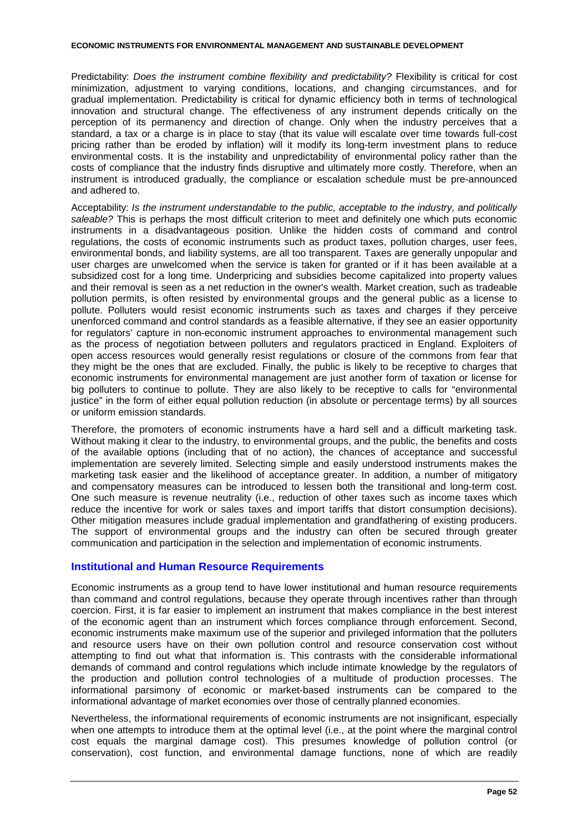Predictability: *Does the instrument combine flexibility and predictability?* Flexibility is critical for cost minimization, adjustment to varying conditions, locations, and changing circumstances, and for gradual implementation. Predictability is critical for dynamic efficiency both in terms of technological innovation and structural change. The effectiveness of any instrument depends critically on the perception of its permanency and direction of change. Only when the industry perceives that a standard, a tax or a charge is in place to stay (that its value will escalate over time towards full-cost pricing rather than be eroded by inflation) will it modify its long-term investment plans to reduce environmental costs. It is the instability and unpredictability of environmental policy rather than the costs of compliance that the industry finds disruptive and ultimately more costly. Therefore, when an instrument is introduced gradually, the compliance or escalation schedule must be pre-announced and adhered to.

Acceptability: *Is the instrument understandable to the public, acceptable to the industry, and politically saleable?* This is perhaps the most difficult criterion to meet and definitely one which puts economic instruments in a disadvantageous position. Unlike the hidden costs of command and control regulations, the costs of economic instruments such as product taxes, pollution charges, user fees, environmental bonds, and liability systems, are all too transparent. Taxes are generally unpopular and user charges are unwelcomed when the service is taken for granted or if it has been available at a subsidized cost for a long time. Underpricing and subsidies become capitalized into property values and their removal is seen as a net reduction in the owner's wealth. Market creation, such as tradeable pollution permits, is often resisted by environmental groups and the general public as a license to pollute. Polluters would resist economic instruments such as taxes and charges if they perceive unenforced command and control standards as a feasible alternative, if they see an easier opportunity for regulators' capture in non-economic instrument approaches to environmental management such as the process of negotiation between polluters and regulators practiced in England. Exploiters of open access resources would generally resist regulations or closure of the commons from fear that they might be the ones that are excluded. Finally, the public is likely to be receptive to charges that economic instruments for environmental management are just another form of taxation or license for big polluters to continue to pollute. They are also likely to be receptive to calls for "environmental justice" in the form of either equal pollution reduction (in absolute or percentage terms) by all sources or uniform emission standards.

Therefore, the promoters of economic instruments have a hard sell and a difficult marketing task. Without making it clear to the industry, to environmental groups, and the public, the benefits and costs of the available options (including that of no action), the chances of acceptance and successful implementation are severely limited. Selecting simple and easily understood instruments makes the marketing task easier and the likelihood of acceptance greater. In addition, a number of mitigatory and compensatory measures can be introduced to lessen both the transitional and long-term cost. One such measure is revenue neutrality (i.e., reduction of other taxes such as income taxes which reduce the incentive for work or sales taxes and import tariffs that distort consumption decisions). Other mitigation measures include gradual implementation and grandfathering of existing producers. The support of environmental groups and the industry can often be secured through greater communication and participation in the selection and implementation of economic instruments.

# **Institutional and Human Resource Requirements**

Economic instruments as a group tend to have lower institutional and human resource requirements than command and control regulations, because they operate through incentives rather than through coercion. First, it is far easier to implement an instrument that makes compliance in the best interest of the economic agent than an instrument which forces compliance through enforcement. Second, economic instruments make maximum use of the superior and privileged information that the polluters and resource users have on their own pollution control and resource conservation cost without attempting to find out what that information is. This contrasts with the considerable informational demands of command and control regulations which include intimate knowledge by the regulators of the production and pollution control technologies of a multitude of production processes. The informational parsimony of economic or market-based instruments can be compared to the informational advantage of market economies over those of centrally planned economies.

Nevertheless, the informational requirements of economic instruments are not insignificant, especially when one attempts to introduce them at the optimal level (i.e., at the point where the marginal control cost equals the marginal damage cost). This presumes knowledge of pollution control (or conservation), cost function, and environmental damage functions, none of which are readily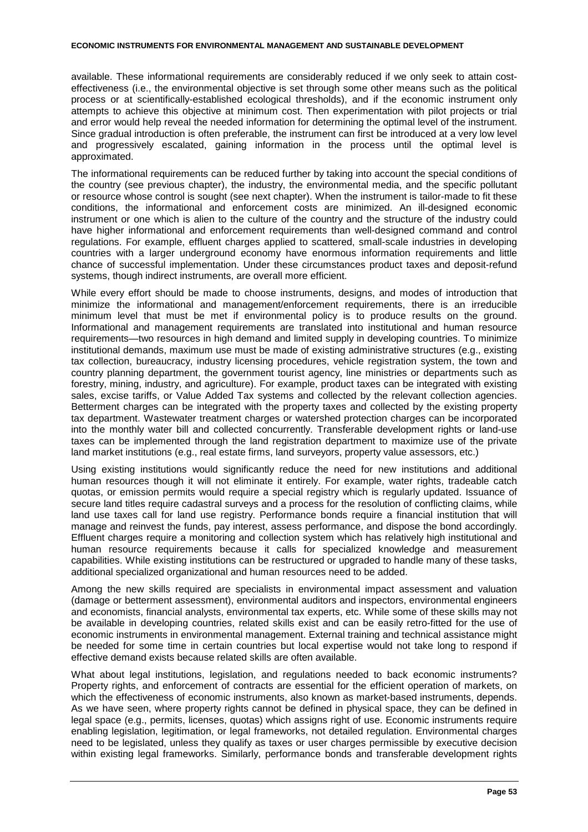available. These informational requirements are considerably reduced if we only seek to attain costeffectiveness (i.e., the environmental objective is set through some other means such as the political process or at scientifically-established ecological thresholds), and if the economic instrument only attempts to achieve this objective at minimum cost. Then experimentation with pilot projects or trial and error would help reveal the needed information for determining the optimal level of the instrument. Since gradual introduction is often preferable, the instrument can first be introduced at a very low level and progressively escalated, gaining information in the process until the optimal level is approximated.

The informational requirements can be reduced further by taking into account the special conditions of the country (see previous chapter), the industry, the environmental media, and the specific pollutant or resource whose control is sought (see next chapter). When the instrument is tailor-made to fit these conditions, the informational and enforcement costs are minimized. An ill-designed economic instrument or one which is alien to the culture of the country and the structure of the industry could have higher informational and enforcement requirements than well-designed command and control regulations. For example, effluent charges applied to scattered, small-scale industries in developing countries with a larger underground economy have enormous information requirements and little chance of successful implementation. Under these circumstances product taxes and deposit-refund systems, though indirect instruments, are overall more efficient.

While every effort should be made to choose instruments, designs, and modes of introduction that minimize the informational and management/enforcement requirements, there is an irreducible minimum level that must be met if environmental policy is to produce results on the ground. Informational and management requirements are translated into institutional and human resource requirements—two resources in high demand and limited supply in developing countries. To minimize institutional demands, maximum use must be made of existing administrative structures (e.g., existing tax collection, bureaucracy, industry licensing procedures, vehicle registration system, the town and country planning department, the government tourist agency, line ministries or departments such as forestry, mining, industry, and agriculture). For example, product taxes can be integrated with existing sales, excise tariffs, or Value Added Tax systems and collected by the relevant collection agencies. Betterment charges can be integrated with the property taxes and collected by the existing property tax department. Wastewater treatment charges or watershed protection charges can be incorporated into the monthly water bill and collected concurrently. Transferable development rights or land-use taxes can be implemented through the land registration department to maximize use of the private land market institutions (e.g., real estate firms, land surveyors, property value assessors, etc.)

Using existing institutions would significantly reduce the need for new institutions and additional human resources though it will not eliminate it entirely. For example, water rights, tradeable catch quotas, or emission permits would require a special registry which is regularly updated. Issuance of secure land titles require cadastral surveys and a process for the resolution of conflicting claims, while land use taxes call for land use registry. Performance bonds require a financial institution that will manage and reinvest the funds, pay interest, assess performance, and dispose the bond accordingly. Effluent charges require a monitoring and collection system which has relatively high institutional and human resource requirements because it calls for specialized knowledge and measurement capabilities. While existing institutions can be restructured or upgraded to handle many of these tasks, additional specialized organizational and human resources need to be added.

Among the new skills required are specialists in environmental impact assessment and valuation (damage or betterment assessment), environmental auditors and inspectors, environmental engineers and economists, financial analysts, environmental tax experts, etc. While some of these skills may not be available in developing countries, related skills exist and can be easily retro-fitted for the use of economic instruments in environmental management. External training and technical assistance might be needed for some time in certain countries but local expertise would not take long to respond if effective demand exists because related skills are often available.

What about legal institutions, legislation, and regulations needed to back economic instruments? Property rights, and enforcement of contracts are essential for the efficient operation of markets, on which the effectiveness of economic instruments, also known as market-based instruments, depends. As we have seen, where property rights cannot be defined in physical space, they can be defined in legal space (e.g., permits, licenses, quotas) which assigns right of use. Economic instruments require enabling legislation, legitimation, or legal frameworks, not detailed regulation. Environmental charges need to be legislated, unless they qualify as taxes or user charges permissible by executive decision within existing legal frameworks. Similarly, performance bonds and transferable development rights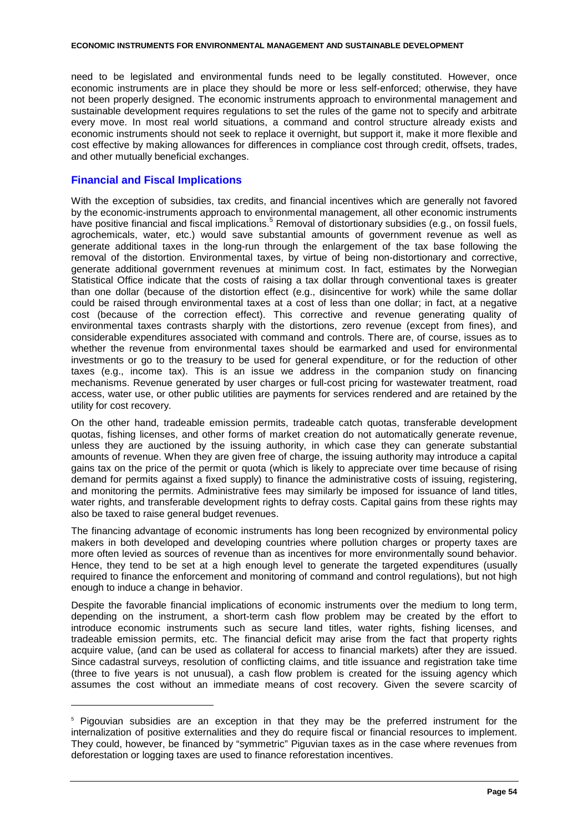need to be legislated and environmental funds need to be legally constituted. However, once economic instruments are in place they should be more or less self-enforced; otherwise, they have not been properly designed. The economic instruments approach to environmental management and sustainable development requires regulations to set the rules of the game not to specify and arbitrate every move. In most real world situations, a command and control structure already exists and economic instruments should not seek to replace it overnight, but support it, make it more flexible and cost effective by making allowances for differences in compliance cost through credit, offsets, trades, and other mutually beneficial exchanges.

# **Financial and Fiscal Implications**

l

With the exception of subsidies, tax credits, and financial incentives which are generally not favored by the economic-instruments approach to environmental management, all other economic instruments have positive financial and fiscal implications.<sup>5</sup> Removal of distortionary subsidies (e.g., on fossil fuels, agrochemicals, water, etc.) would save substantial amounts of government revenue as well as generate additional taxes in the long-run through the enlargement of the tax base following the removal of the distortion. Environmental taxes, by virtue of being non-distortionary and corrective, generate additional government revenues at minimum cost. In fact, estimates by the Norwegian Statistical Office indicate that the costs of raising a tax dollar through conventional taxes is greater than one dollar (because of the distortion effect (e.g., disincentive for work) while the same dollar could be raised through environmental taxes at a cost of less than one dollar; in fact, at a negative cost (because of the correction effect). This corrective and revenue generating quality of environmental taxes contrasts sharply with the distortions, zero revenue (except from fines), and considerable expenditures associated with command and controls. There are, of course, issues as to whether the revenue from environmental taxes should be earmarked and used for environmental investments or go to the treasury to be used for general expenditure, or for the reduction of other taxes (e.g., income tax). This is an issue we address in the companion study on financing mechanisms. Revenue generated by user charges or full-cost pricing for wastewater treatment, road access, water use, or other public utilities are payments for services rendered and are retained by the utility for cost recovery.

On the other hand, tradeable emission permits, tradeable catch quotas, transferable development quotas, fishing licenses, and other forms of market creation do not automatically generate revenue, unless they are auctioned by the issuing authority, in which case they can generate substantial amounts of revenue. When they are given free of charge, the issuing authority may introduce a capital gains tax on the price of the permit or quota (which is likely to appreciate over time because of rising demand for permits against a fixed supply) to finance the administrative costs of issuing, registering, and monitoring the permits. Administrative fees may similarly be imposed for issuance of land titles, water rights, and transferable development rights to defray costs. Capital gains from these rights may also be taxed to raise general budget revenues.

The financing advantage of economic instruments has long been recognized by environmental policy makers in both developed and developing countries where pollution charges or property taxes are more often levied as sources of revenue than as incentives for more environmentally sound behavior. Hence, they tend to be set at a high enough level to generate the targeted expenditures (usually required to finance the enforcement and monitoring of command and control regulations), but not high enough to induce a change in behavior.

Despite the favorable financial implications of economic instruments over the medium to long term, depending on the instrument, a short-term cash flow problem may be created by the effort to introduce economic instruments such as secure land titles, water rights, fishing licenses, and tradeable emission permits, etc. The financial deficit may arise from the fact that property rights acquire value, (and can be used as collateral for access to financial markets) after they are issued. Since cadastral surveys, resolution of conflicting claims, and title issuance and registration take time (three to five years is not unusual), a cash flow problem is created for the issuing agency which assumes the cost without an immediate means of cost recovery. Given the severe scarcity of

<sup>&</sup>lt;sup>5</sup> Pigouvian subsidies are an exception in that they may be the preferred instrument for the internalization of positive externalities and they do require fiscal or financial resources to implement. They could, however, be financed by "symmetric" Piguvian taxes as in the case where revenues from deforestation or logging taxes are used to finance reforestation incentives.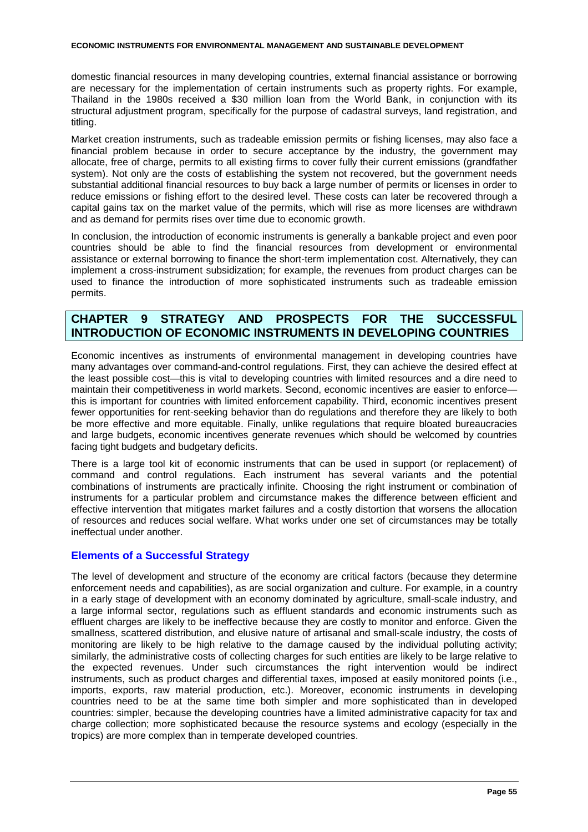domestic financial resources in many developing countries, external financial assistance or borrowing are necessary for the implementation of certain instruments such as property rights. For example, Thailand in the 1980s received a \$30 million loan from the World Bank, in conjunction with its structural adjustment program, specifically for the purpose of cadastral surveys, land registration, and titling.

Market creation instruments, such as tradeable emission permits or fishing licenses, may also face a financial problem because in order to secure acceptance by the industry, the government may allocate, free of charge, permits to all existing firms to cover fully their current emissions (grandfather system). Not only are the costs of establishing the system not recovered, but the government needs substantial additional financial resources to buy back a large number of permits or licenses in order to reduce emissions or fishing effort to the desired level. These costs can later be recovered through a capital gains tax on the market value of the permits, which will rise as more licenses are withdrawn and as demand for permits rises over time due to economic growth.

In conclusion, the introduction of economic instruments is generally a bankable project and even poor countries should be able to find the financial resources from development or environmental assistance or external borrowing to finance the short-term implementation cost. Alternatively, they can implement a cross-instrument subsidization; for example, the revenues from product charges can be used to finance the introduction of more sophisticated instruments such as tradeable emission permits.

# **CHAPTER 9 STRATEGY AND PROSPECTS FOR THE SUCCESSFUL INTRODUCTION OF ECONOMIC INSTRUMENTS IN DEVELOPING COUNTRIES**

Economic incentives as instruments of environmental management in developing countries have many advantages over command-and-control regulations. First, they can achieve the desired effect at the least possible cost—this is vital to developing countries with limited resources and a dire need to maintain their competitiveness in world markets. Second, economic incentives are easier to enforce this is important for countries with limited enforcement capability. Third, economic incentives present fewer opportunities for rent-seeking behavior than do regulations and therefore they are likely to both be more effective and more equitable. Finally, unlike regulations that require bloated bureaucracies and large budgets, economic incentives generate revenues which should be welcomed by countries facing tight budgets and budgetary deficits.

There is a large tool kit of economic instruments that can be used in support (or replacement) of command and control regulations. Each instrument has several variants and the potential combinations of instruments are practically infinite. Choosing the right instrument or combination of instruments for a particular problem and circumstance makes the difference between efficient and effective intervention that mitigates market failures and a costly distortion that worsens the allocation of resources and reduces social welfare. What works under one set of circumstances may be totally ineffectual under another.

# **Elements of a Successful Strategy**

The level of development and structure of the economy are critical factors (because they determine enforcement needs and capabilities), as are social organization and culture. For example, in a country in a early stage of development with an economy dominated by agriculture, small-scale industry, and a large informal sector, regulations such as effluent standards and economic instruments such as effluent charges are likely to be ineffective because they are costly to monitor and enforce. Given the smallness, scattered distribution, and elusive nature of artisanal and small-scale industry, the costs of monitoring are likely to be high relative to the damage caused by the individual polluting activity; similarly, the administrative costs of collecting charges for such entities are likely to be large relative to the expected revenues. Under such circumstances the right intervention would be indirect instruments, such as product charges and differential taxes, imposed at easily monitored points (i.e., imports, exports, raw material production, etc.). Moreover, economic instruments in developing countries need to be at the same time both simpler and more sophisticated than in developed countries: simpler, because the developing countries have a limited administrative capacity for tax and charge collection; more sophisticated because the resource systems and ecology (especially in the tropics) are more complex than in temperate developed countries.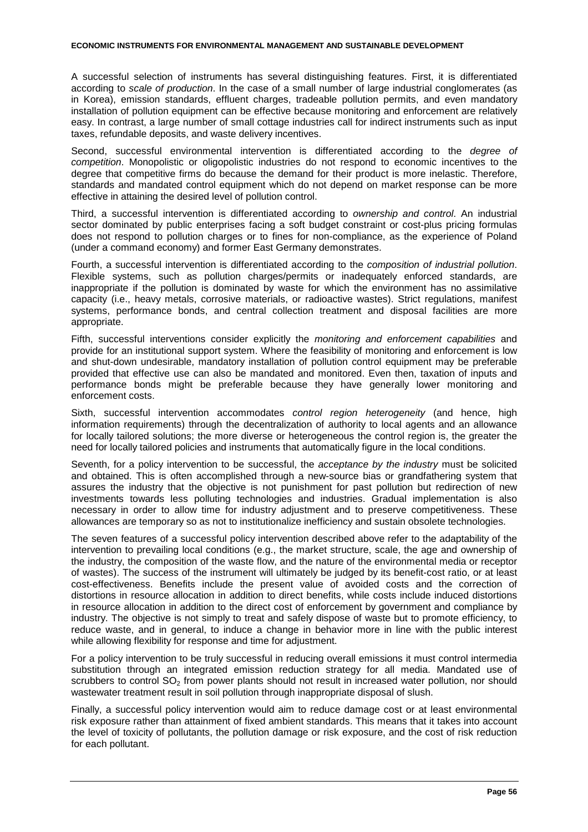A successful selection of instruments has several distinguishing features. First, it is differentiated according to *scale of production*. In the case of a small number of large industrial conglomerates (as in Korea), emission standards, effluent charges, tradeable pollution permits, and even mandatory installation of pollution equipment can be effective because monitoring and enforcement are relatively easy. In contrast, a large number of small cottage industries call for indirect instruments such as input taxes, refundable deposits, and waste delivery incentives.

Second, successful environmental intervention is differentiated according to the *degree of competition*. Monopolistic or oligopolistic industries do not respond to economic incentives to the degree that competitive firms do because the demand for their product is more inelastic. Therefore, standards and mandated control equipment which do not depend on market response can be more effective in attaining the desired level of pollution control.

Third, a successful intervention is differentiated according to *ownership and control*. An industrial sector dominated by public enterprises facing a soft budget constraint or cost-plus pricing formulas does not respond to pollution charges or to fines for non-compliance, as the experience of Poland (under a command economy) and former East Germany demonstrates.

Fourth, a successful intervention is differentiated according to the *composition of industrial pollution*. Flexible systems, such as pollution charges/permits or inadequately enforced standards, are inappropriate if the pollution is dominated by waste for which the environment has no assimilative capacity (i.e., heavy metals, corrosive materials, or radioactive wastes). Strict regulations, manifest systems, performance bonds, and central collection treatment and disposal facilities are more appropriate.

Fifth, successful interventions consider explicitly the *monitoring and enforcement capabilities* and provide for an institutional support system. Where the feasibility of monitoring and enforcement is low and shut-down undesirable, mandatory installation of pollution control equipment may be preferable provided that effective use can also be mandated and monitored. Even then, taxation of inputs and performance bonds might be preferable because they have generally lower monitoring and enforcement costs.

Sixth, successful intervention accommodates *control region heterogeneity* (and hence, high information requirements) through the decentralization of authority to local agents and an allowance for locally tailored solutions; the more diverse or heterogeneous the control region is, the greater the need for locally tailored policies and instruments that automatically figure in the local conditions.

Seventh, for a policy intervention to be successful, the *acceptance by the industry* must be solicited and obtained. This is often accomplished through a new-source bias or grandfathering system that assures the industry that the objective is not punishment for past pollution but redirection of new investments towards less polluting technologies and industries. Gradual implementation is also necessary in order to allow time for industry adjustment and to preserve competitiveness. These allowances are temporary so as not to institutionalize inefficiency and sustain obsolete technologies.

The seven features of a successful policy intervention described above refer to the adaptability of the intervention to prevailing local conditions (e.g., the market structure, scale, the age and ownership of the industry, the composition of the waste flow, and the nature of the environmental media or receptor of wastes). The success of the instrument will ultimately be judged by its benefit-cost ratio, or at least cost-effectiveness. Benefits include the present value of avoided costs and the correction of distortions in resource allocation in addition to direct benefits, while costs include induced distortions in resource allocation in addition to the direct cost of enforcement by government and compliance by industry. The objective is not simply to treat and safely dispose of waste but to promote efficiency, to reduce waste, and in general, to induce a change in behavior more in line with the public interest while allowing flexibility for response and time for adjustment.

For a policy intervention to be truly successful in reducing overall emissions it must control intermedia substitution through an integrated emission reduction strategy for all media. Mandated use of scrubbers to control SO<sub>2</sub> from power plants should not result in increased water pollution, nor should wastewater treatment result in soil pollution through inappropriate disposal of slush.

Finally, a successful policy intervention would aim to reduce damage cost or at least environmental risk exposure rather than attainment of fixed ambient standards. This means that it takes into account the level of toxicity of pollutants, the pollution damage or risk exposure, and the cost of risk reduction for each pollutant.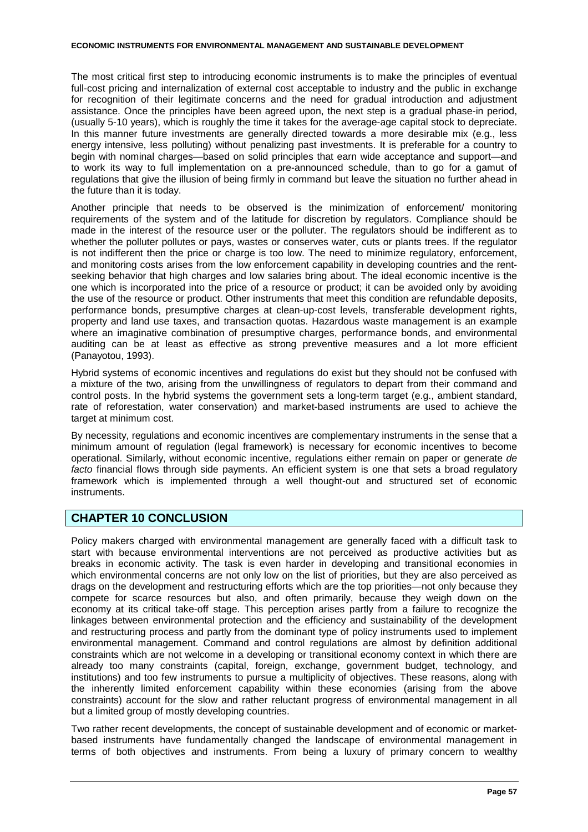The most critical first step to introducing economic instruments is to make the principles of eventual full-cost pricing and internalization of external cost acceptable to industry and the public in exchange for recognition of their legitimate concerns and the need for gradual introduction and adjustment assistance. Once the principles have been agreed upon, the next step is a gradual phase-in period, (usually 5-10 years), which is roughly the time it takes for the average-age capital stock to depreciate. In this manner future investments are generally directed towards a more desirable mix (e.g., less energy intensive, less polluting) without penalizing past investments. It is preferable for a country to begin with nominal charges—based on solid principles that earn wide acceptance and support—and to work its way to full implementation on a pre-announced schedule, than to go for a gamut of regulations that give the illusion of being firmly in command but leave the situation no further ahead in the future than it is today.

Another principle that needs to be observed is the minimization of enforcement/ monitoring requirements of the system and of the latitude for discretion by regulators. Compliance should be made in the interest of the resource user or the polluter. The regulators should be indifferent as to whether the polluter pollutes or pays, wastes or conserves water, cuts or plants trees. If the regulator is not indifferent then the price or charge is too low. The need to minimize regulatory, enforcement, and monitoring costs arises from the low enforcement capability in developing countries and the rentseeking behavior that high charges and low salaries bring about. The ideal economic incentive is the one which is incorporated into the price of a resource or product; it can be avoided only by avoiding the use of the resource or product. Other instruments that meet this condition are refundable deposits, performance bonds, presumptive charges at clean-up-cost levels, transferable development rights, property and land use taxes, and transaction quotas. Hazardous waste management is an example where an imaginative combination of presumptive charges, performance bonds, and environmental auditing can be at least as effective as strong preventive measures and a lot more efficient (Panayotou, 1993).

Hybrid systems of economic incentives and regulations do exist but they should not be confused with a mixture of the two, arising from the unwillingness of regulators to depart from their command and control posts. In the hybrid systems the government sets a long-term target (e.g., ambient standard, rate of reforestation, water conservation) and market-based instruments are used to achieve the target at minimum cost.

By necessity, regulations and economic incentives are complementary instruments in the sense that a minimum amount of regulation (legal framework) is necessary for economic incentives to become operational. Similarly, without economic incentive, regulations either remain on paper or generate *de facto* financial flows through side payments. An efficient system is one that sets a broad regulatory framework which is implemented through a well thought-out and structured set of economic instruments.

# **CHAPTER 10 CONCLUSION**

Policy makers charged with environmental management are generally faced with a difficult task to start with because environmental interventions are not perceived as productive activities but as breaks in economic activity. The task is even harder in developing and transitional economies in which environmental concerns are not only low on the list of priorities, but they are also perceived as drags on the development and restructuring efforts which are the top priorities—not only because they compete for scarce resources but also, and often primarily, because they weigh down on the economy at its critical take-off stage. This perception arises partly from a failure to recognize the linkages between environmental protection and the efficiency and sustainability of the development and restructuring process and partly from the dominant type of policy instruments used to implement environmental management. Command and control regulations are almost by definition additional constraints which are not welcome in a developing or transitional economy context in which there are already too many constraints (capital, foreign, exchange, government budget, technology, and institutions) and too few instruments to pursue a multiplicity of objectives. These reasons, along with the inherently limited enforcement capability within these economies (arising from the above constraints) account for the slow and rather reluctant progress of environmental management in all but a limited group of mostly developing countries.

Two rather recent developments, the concept of sustainable development and of economic or marketbased instruments have fundamentally changed the landscape of environmental management in terms of both objectives and instruments. From being a luxury of primary concern to wealthy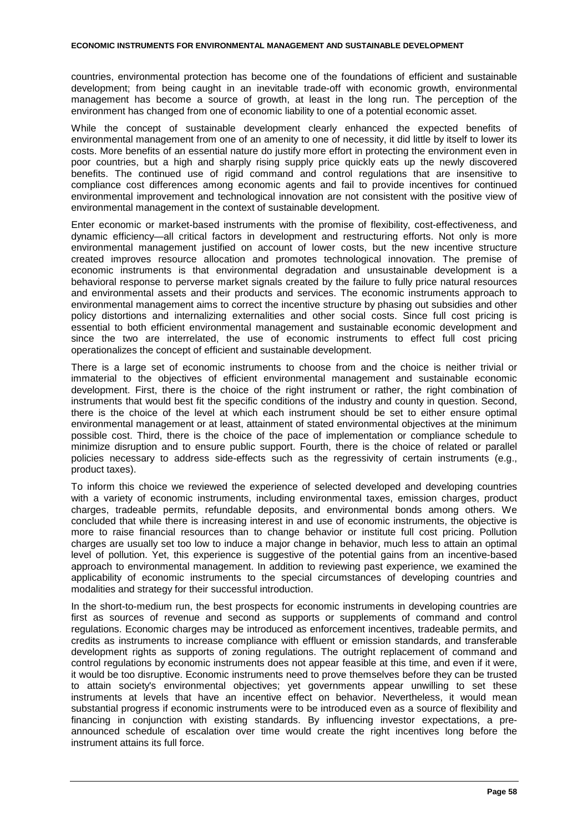countries, environmental protection has become one of the foundations of efficient and sustainable development; from being caught in an inevitable trade-off with economic growth, environmental management has become a source of growth, at least in the long run. The perception of the environment has changed from one of economic liability to one of a potential economic asset.

While the concept of sustainable development clearly enhanced the expected benefits of environmental management from one of an amenity to one of necessity, it did little by itself to lower its costs. More benefits of an essential nature do justify more effort in protecting the environment even in poor countries, but a high and sharply rising supply price quickly eats up the newly discovered benefits. The continued use of rigid command and control regulations that are insensitive to compliance cost differences among economic agents and fail to provide incentives for continued environmental improvement and technological innovation are not consistent with the positive view of environmental management in the context of sustainable development.

Enter economic or market-based instruments with the promise of flexibility, cost-effectiveness, and dynamic efficiency—all critical factors in development and restructuring efforts. Not only is more environmental management justified on account of lower costs, but the new incentive structure created improves resource allocation and promotes technological innovation. The premise of economic instruments is that environmental degradation and unsustainable development is a behavioral response to perverse market signals created by the failure to fully price natural resources and environmental assets and their products and services. The economic instruments approach to environmental management aims to correct the incentive structure by phasing out subsidies and other policy distortions and internalizing externalities and other social costs. Since full cost pricing is essential to both efficient environmental management and sustainable economic development and since the two are interrelated, the use of economic instruments to effect full cost pricing operationalizes the concept of efficient and sustainable development.

There is a large set of economic instruments to choose from and the choice is neither trivial or immaterial to the objectives of efficient environmental management and sustainable economic development. First, there is the choice of the right instrument or rather, the right combination of instruments that would best fit the specific conditions of the industry and county in question. Second, there is the choice of the level at which each instrument should be set to either ensure optimal environmental management or at least, attainment of stated environmental objectives at the minimum possible cost. Third, there is the choice of the pace of implementation or compliance schedule to minimize disruption and to ensure public support. Fourth, there is the choice of related or parallel policies necessary to address side-effects such as the regressivity of certain instruments (e.g., product taxes).

To inform this choice we reviewed the experience of selected developed and developing countries with a variety of economic instruments, including environmental taxes, emission charges, product charges, tradeable permits, refundable deposits, and environmental bonds among others. We concluded that while there is increasing interest in and use of economic instruments, the objective is more to raise financial resources than to change behavior or institute full cost pricing. Pollution charges are usually set too low to induce a major change in behavior, much less to attain an optimal level of pollution. Yet, this experience is suggestive of the potential gains from an incentive-based approach to environmental management. In addition to reviewing past experience, we examined the applicability of economic instruments to the special circumstances of developing countries and modalities and strategy for their successful introduction.

In the short-to-medium run, the best prospects for economic instruments in developing countries are first as sources of revenue and second as supports or supplements of command and control regulations. Economic charges may be introduced as enforcement incentives, tradeable permits, and credits as instruments to increase compliance with effluent or emission standards, and transferable development rights as supports of zoning regulations. The outright replacement of command and control regulations by economic instruments does not appear feasible at this time, and even if it were, it would be too disruptive. Economic instruments need to prove themselves before they can be trusted to attain society's environmental objectives; yet governments appear unwilling to set these instruments at levels that have an incentive effect on behavior. Nevertheless, it would mean substantial progress if economic instruments were to be introduced even as a source of flexibility and financing in conjunction with existing standards. By influencing investor expectations, a preannounced schedule of escalation over time would create the right incentives long before the instrument attains its full force.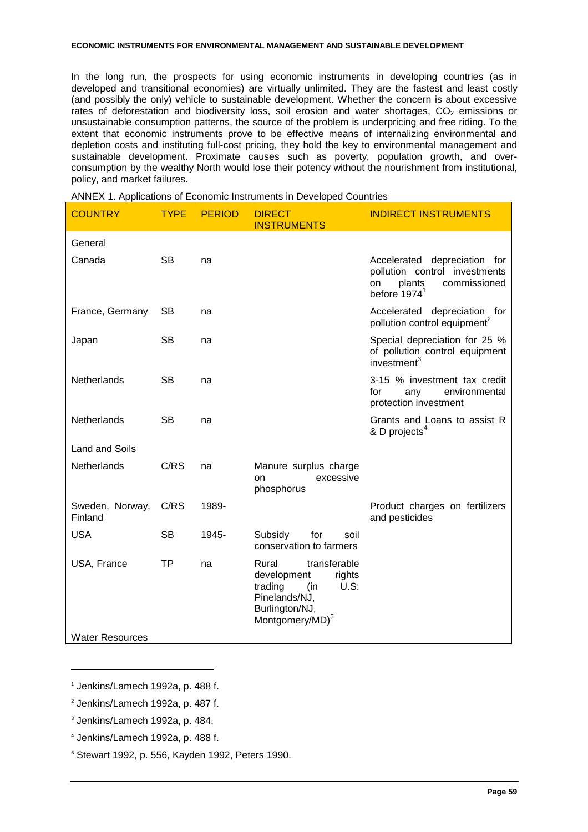In the long run, the prospects for using economic instruments in developing countries (as in developed and transitional economies) are virtually unlimited. They are the fastest and least costly (and possibly the only) vehicle to sustainable development. Whether the concern is about excessive rates of deforestation and biodiversity loss, soil erosion and water shortages,  $CO<sub>2</sub>$  emissions or unsustainable consumption patterns, the source of the problem is underpricing and free riding. To the extent that economic instruments prove to be effective means of internalizing environmental and depletion costs and instituting full-cost pricing, they hold the key to environmental management and sustainable development. Proximate causes such as poverty, population growth, and overconsumption by the wealthy North would lose their potency without the nourishment from institutional, policy, and market failures.

| <b>COUNTRY</b>             | <b>TYPE</b> | <b>PERIOD</b> | <b>DIRECT</b><br><b>INSTRUMENTS</b>                                                                                                        | <b>INDIRECT INSTRUMENTS</b>                                                                                               |
|----------------------------|-------------|---------------|--------------------------------------------------------------------------------------------------------------------------------------------|---------------------------------------------------------------------------------------------------------------------------|
| General                    |             |               |                                                                                                                                            |                                                                                                                           |
| Canada                     | <b>SB</b>   | na            |                                                                                                                                            | Accelerated depreciation for<br>pollution control investments<br>plants<br>commissioned<br>on<br>before 1974 <sup>1</sup> |
| France, Germany            | <b>SB</b>   | na            |                                                                                                                                            | Accelerated depreciation for<br>pollution control equipment <sup>2</sup>                                                  |
| Japan                      | <b>SB</b>   | na            |                                                                                                                                            | Special depreciation for 25 %<br>of pollution control equipment<br>investment <sup>3</sup>                                |
| Netherlands                | <b>SB</b>   | na            |                                                                                                                                            | 3-15 % investment tax credit<br>for<br>environmental<br>any<br>protection investment                                      |
| Netherlands                | <b>SB</b>   | na            |                                                                                                                                            | Grants and Loans to assist R<br>& D projects <sup>4</sup>                                                                 |
| <b>Land and Soils</b>      |             |               |                                                                                                                                            |                                                                                                                           |
| <b>Netherlands</b>         | C/RS        | na            | Manure surplus charge<br>excessive<br><b>on</b><br>phosphorus                                                                              |                                                                                                                           |
| Sweden, Norway,<br>Finland | C/RS        | 1989-         |                                                                                                                                            | Product charges on fertilizers<br>and pesticides                                                                          |
| <b>USA</b>                 | <b>SB</b>   | 1945-         | for<br>Subsidy<br>soil<br>conservation to farmers                                                                                          |                                                                                                                           |
| USA, France                | TP          | na            | Rural<br>transferable<br>development<br>rights<br>trading<br>U.S:<br>(in<br>Pinelands/NJ,<br>Burlington/NJ,<br>Montgomery/MD) <sup>5</sup> |                                                                                                                           |
| <b>Water Resources</b>     |             |               |                                                                                                                                            |                                                                                                                           |

ANNEX 1. Applications of Economic Instruments in Developed Countries

1 Jenkins/Lamech 1992a, p. 488 f.

l

 $^2$  Jenkins/Lamech 1992a, p. 487 f.

<sup>3</sup> Jenkins/Lamech 1992a, p. 484.

<sup>4</sup> Jenkins/Lamech 1992a, p. 488 f.

<sup>5</sup> Stewart 1992, p. 556, Kayden 1992, Peters 1990.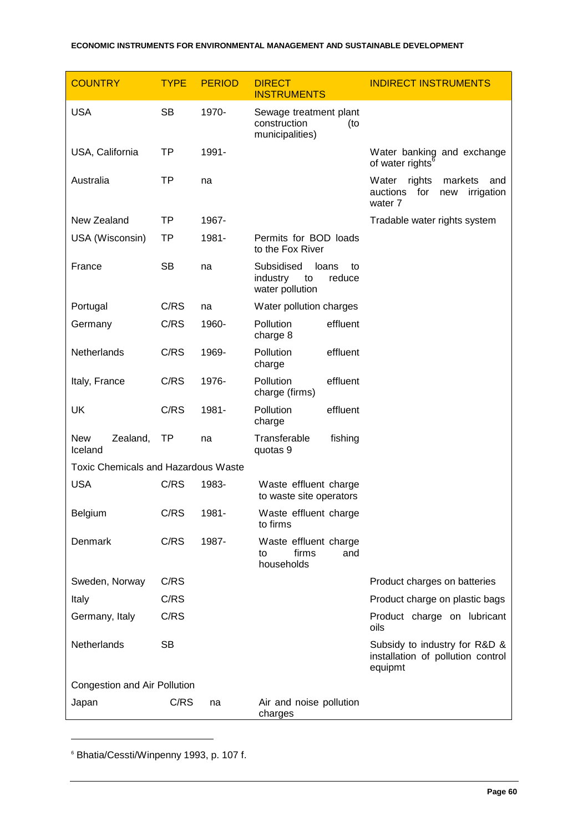| <b>COUNTRY</b>                             | <b>TYPE</b> | <b>PERIOD</b> | <b>DIRECT</b><br><b>INSTRUMENTS</b>                                      | <b>INDIRECT INSTRUMENTS</b>                                                          |
|--------------------------------------------|-------------|---------------|--------------------------------------------------------------------------|--------------------------------------------------------------------------------------|
| <b>USA</b>                                 | <b>SB</b>   | 1970-         | Sewage treatment plant<br>construction<br>(to<br>municipalities)         |                                                                                      |
| USA, California                            | TP          | 1991-         |                                                                          | Water banking and exchange<br>of water rights <sup>6</sup>                           |
| Australia                                  | TP          | na            |                                                                          | Water<br>rights<br>markets<br>and<br>for<br>auctions<br>irrigation<br>new<br>water 7 |
| New Zealand                                | TP          | 1967-         |                                                                          | Tradable water rights system                                                         |
| USA (Wisconsin)                            | TP          | 1981-         | Permits for BOD loads<br>to the Fox River                                |                                                                                      |
| France                                     | <b>SB</b>   | na            | Subsidised<br>loans<br>to<br>reduce<br>industry<br>to<br>water pollution |                                                                                      |
| Portugal                                   | C/RS        | na            | Water pollution charges                                                  |                                                                                      |
| Germany                                    | C/RS        | 1960-         | Pollution<br>effluent<br>charge 8                                        |                                                                                      |
| Netherlands                                | C/RS        | 1969-         | Pollution<br>effluent<br>charge                                          |                                                                                      |
| Italy, France                              | C/RS        | 1976-         | Pollution<br>effluent<br>charge (firms)                                  |                                                                                      |
| UK                                         | C/RS        | 1981-         | Pollution<br>effluent<br>charge                                          |                                                                                      |
| <b>New</b><br>Zealand,<br>Iceland          | <b>TP</b>   | na            | Transferable<br>fishing<br>quotas 9                                      |                                                                                      |
| <b>Toxic Chemicals and Hazardous Waste</b> |             |               |                                                                          |                                                                                      |
| <b>USA</b>                                 | C/RS        | 1983-         | Waste effluent charge<br>to waste site operators                         |                                                                                      |
| <b>Belgium</b>                             | C/RS        | 1981-         | Waste effluent charge<br>to firms                                        |                                                                                      |
| Denmark                                    | C/RS        | 1987-         | Waste effluent charge<br>firms<br>and<br>to<br>households                |                                                                                      |
| Sweden, Norway                             | C/RS        |               |                                                                          | Product charges on batteries                                                         |
| Italy                                      | C/RS        |               |                                                                          | Product charge on plastic bags                                                       |
| Germany, Italy                             | C/RS        |               |                                                                          | Product charge on lubricant<br>oils                                                  |
| Netherlands                                | <b>SB</b>   |               |                                                                          | Subsidy to industry for R&D &<br>installation of pollution control<br>equipmt        |
| Congestion and Air Pollution               |             |               |                                                                          |                                                                                      |
| Japan                                      | C/RS        | na            | Air and noise pollution<br>charges                                       |                                                                                      |

6 Bhatia/Cessti/Winpenny 1993, p. 107 f.

l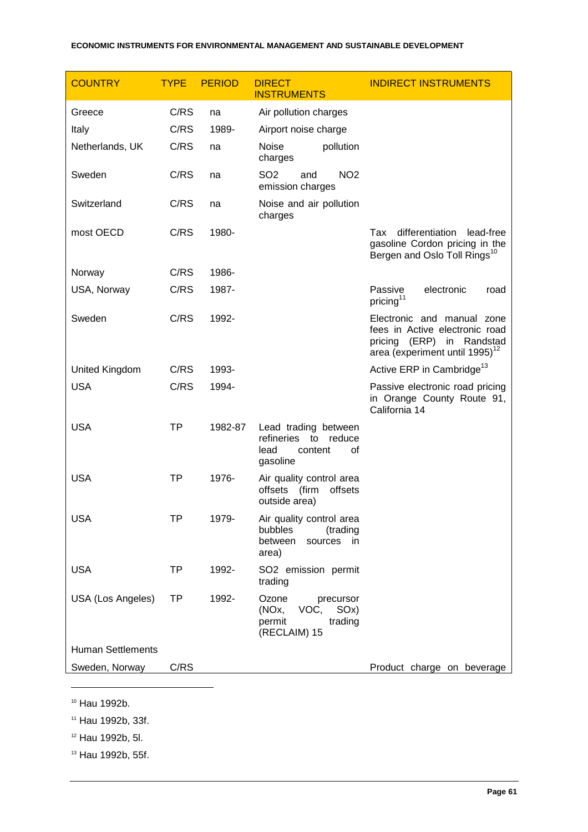| <b>COUNTRY</b>           | <b>TYPE</b> | <b>PERIOD</b> | <b>DIRECT</b><br><b>INSTRUMENTS</b>                                                                        | <b>INDIRECT INSTRUMENTS</b>                                                                                                             |
|--------------------------|-------------|---------------|------------------------------------------------------------------------------------------------------------|-----------------------------------------------------------------------------------------------------------------------------------------|
| Greece                   | C/RS        | na            | Air pollution charges                                                                                      |                                                                                                                                         |
| Italy                    | C/RS        | 1989-         | Airport noise charge                                                                                       |                                                                                                                                         |
| Netherlands, UK          | C/RS        | na            | <b>Noise</b><br>pollution<br>charges                                                                       |                                                                                                                                         |
| Sweden                   | C/RS        | na            | NO <sub>2</sub><br>SO <sub>2</sub><br>and<br>emission charges                                              |                                                                                                                                         |
| Switzerland              | C/RS        | na            | Noise and air pollution<br>charges                                                                         |                                                                                                                                         |
| most OECD                | C/RS        | 1980-         |                                                                                                            | differentiation<br>lead-free<br>Tax<br>gasoline Cordon pricing in the<br>Bergen and Oslo Toll Rings <sup>10</sup>                       |
| Norway                   | C/RS        | 1986-         |                                                                                                            |                                                                                                                                         |
| USA, Norway              | C/RS        | 1987-         |                                                                                                            | Passive<br>electronic<br>road<br>pricing <sup>11</sup>                                                                                  |
| Sweden                   | C/RS        | 1992-         |                                                                                                            | Electronic and manual zone<br>fees in Active electronic road<br>pricing (ERP) in Randstad<br>area (experiment until 1995) <sup>12</sup> |
| United Kingdom           | C/RS        | 1993-         |                                                                                                            | Active ERP in Cambridge <sup>13</sup>                                                                                                   |
| <b>USA</b>               | C/RS        | 1994-         |                                                                                                            | Passive electronic road pricing<br>in Orange County Route 91,<br>California 14                                                          |
| <b>USA</b>               | <b>TP</b>   | 1982-87       | Lead trading between<br>refineries<br>reduce<br>to<br>lead<br>content<br>0f<br>gasoline                    |                                                                                                                                         |
| <b>USA</b>               | ТP          | 1976-         | Air quality control area<br>offsets (firm<br>offsets<br>outside area)                                      |                                                                                                                                         |
| <b>USA</b>               | ТP          | 1979-         | Air quality control area<br>bubbles<br>(trading<br>between<br>sources in<br>area)                          |                                                                                                                                         |
| <b>USA</b>               | TP          | 1992-         | SO2 emission permit<br>trading                                                                             |                                                                                                                                         |
| USA (Los Angeles)        | TP          | 1992-         | Ozone<br>precursor<br>(NO <sub>x</sub> ,<br>VOC,<br>SO <sub>x</sub> )<br>permit<br>trading<br>(RECLAIM) 15 |                                                                                                                                         |
| <b>Human Settlements</b> |             |               |                                                                                                            |                                                                                                                                         |
| Sweden, Norway           | C/RS        |               |                                                                                                            | Product charge on beverage                                                                                                              |

10 Hau 1992b.

l

<sup>11</sup> Hau 1992b, 33f.

12 Hau 1992b, 5l.

<sup>13</sup> Hau 1992b, 55f.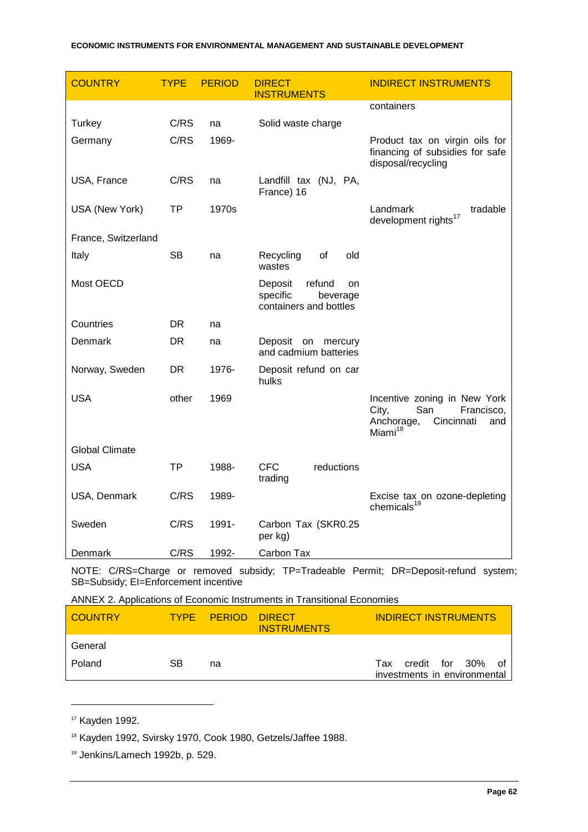| <b>COUNTRY</b>        | <b>TYPE</b> | <b>PERIOD</b> | <b>DIRECT</b><br><b>INSTRUMENTS</b>                                       | <b>INDIRECT INSTRUMENTS</b>                                                                                          |
|-----------------------|-------------|---------------|---------------------------------------------------------------------------|----------------------------------------------------------------------------------------------------------------------|
|                       |             |               |                                                                           | containers                                                                                                           |
| Turkey                | C/RS        | na            | Solid waste charge                                                        |                                                                                                                      |
| Germany               | C/RS        | 1969-         |                                                                           | Product tax on virgin oils for<br>financing of subsidies for safe<br>disposal/recycling                              |
| USA, France           | C/RS        | na            | Landfill tax (NJ, PA,<br>France) 16                                       |                                                                                                                      |
| USA (New York)        | <b>TP</b>   | 1970s         |                                                                           | Landmark<br>tradable<br>development rights <sup>17</sup>                                                             |
| France, Switzerland   |             |               |                                                                           |                                                                                                                      |
| Italy                 | <b>SB</b>   | na            | Recycling<br>of<br>old<br>wastes                                          |                                                                                                                      |
| Most OECD             |             |               | refund<br>Deposit<br>on<br>specific<br>beverage<br>containers and bottles |                                                                                                                      |
| Countries             | <b>DR</b>   | na            |                                                                           |                                                                                                                      |
| Denmark               | <b>DR</b>   | na            | Deposit on mercury<br>and cadmium batteries                               |                                                                                                                      |
| Norway, Sweden        | DR.         | 1976-         | Deposit refund on car<br>hulks                                            |                                                                                                                      |
| <b>USA</b>            | other       | 1969          |                                                                           | Incentive zoning in New York<br>San<br>City,<br>Francisco,<br>Anchorage,<br>Cincinnati<br>and<br>Miami <sup>18</sup> |
| <b>Global Climate</b> |             |               |                                                                           |                                                                                                                      |
| <b>USA</b>            | <b>TP</b>   | 1988-         | <b>CFC</b><br>reductions<br>trading                                       |                                                                                                                      |
| USA, Denmark          | C/RS        | 1989-         |                                                                           | Excise tax on ozone-depleting<br>chemicals <sup>19</sup>                                                             |
| Sweden                | C/RS        | 1991-         | Carbon Tax (SKR0.25<br>per kg)                                            |                                                                                                                      |
| Denmark               | C/RS        | 1992-         | Carbon Tax                                                                |                                                                                                                      |

ANNEX 2. Applications of Economic Instruments in Transitional Economies

| <b>COUNTRY</b> |     | TYPE PERIOD DIRECT | <b>INSTRUMENTS</b> | <b>INDIRECT INSTRUMENTS</b>                              |
|----------------|-----|--------------------|--------------------|----------------------------------------------------------|
| General        |     |                    |                    |                                                          |
| <b>Poland</b>  | SB. | na                 |                    | credit for 30% of<br>Tax<br>investments in environmental |

17 Kayden 1992.

l

<sup>18</sup> Kayden 1992, Svirsky 1970, Cook 1980, Getzels/Jaffee 1988.

<sup>19</sup> Jenkins/Lamech 1992b, p. 529.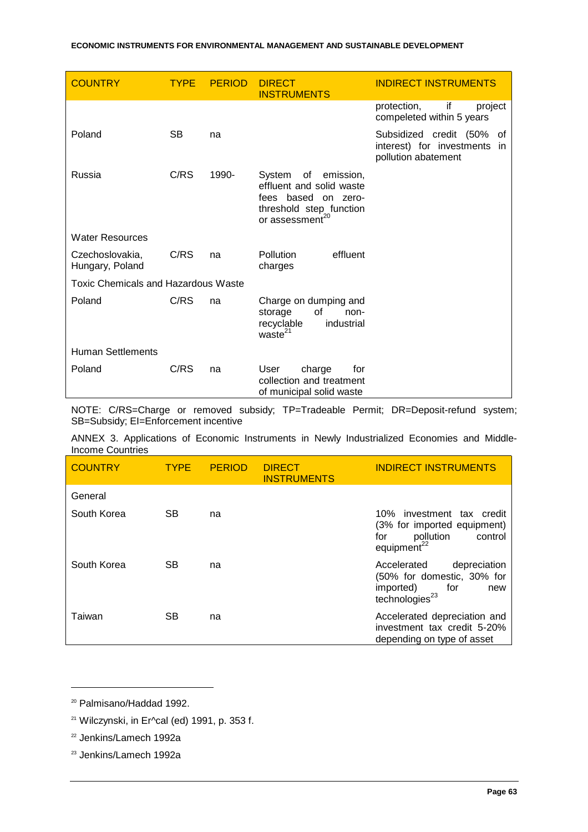| <b>COUNTRY</b>                      | <b>TYPE</b> | <b>PERIOD</b> | <b>DIRECT</b><br><b>INSTRUMENTS</b>                                                                                                 | <b>INDIRECT INSTRUMENTS</b>                                                             |
|-------------------------------------|-------------|---------------|-------------------------------------------------------------------------------------------------------------------------------------|-----------------------------------------------------------------------------------------|
|                                     |             |               |                                                                                                                                     | protection,<br>if<br>project<br>compeleted within 5 years                               |
| Poland                              | <b>SB</b>   | na            |                                                                                                                                     | Subsidized credit (50%<br>0f<br>interest) for investments<br>in.<br>pollution abatement |
| Russia                              | C/RS        | 1990-         | System<br>of emission,<br>effluent and solid waste<br>fees based on zero-<br>threshold step function<br>or assessment <sup>20</sup> |                                                                                         |
| <b>Water Resources</b>              |             |               |                                                                                                                                     |                                                                                         |
| Czechoslovakia,<br>Hungary, Poland  | C/RS        | na            | effluent<br><b>Pollution</b><br>charges                                                                                             |                                                                                         |
| Toxic Chemicals and Hazardous Waste |             |               |                                                                                                                                     |                                                                                         |
| Poland                              | C/RS        | na            | Charge on dumping and<br>of<br>storage<br>non-<br>recyclable<br>industrial<br>waste <sup>21</sup>                                   |                                                                                         |
| <b>Human Settlements</b>            |             |               |                                                                                                                                     |                                                                                         |
| Poland                              | C/RS        | na            | User<br>charge<br>for<br>collection and treatment<br>of municipal solid waste                                                       |                                                                                         |

ANNEX 3. Applications of Economic Instruments in Newly Industrialized Economies and Middle-Income Countries

| <b>COUNTRY</b> | TYPE      | <b>PERIOD</b> | <b>DIRECT</b><br><b>INSTRUMENTS</b> | <b>INDIRECT INSTRUMENTS</b>                                                                                        |
|----------------|-----------|---------------|-------------------------------------|--------------------------------------------------------------------------------------------------------------------|
| General        |           |               |                                     |                                                                                                                    |
| South Korea    | SВ        | na            |                                     | 10% investment tax credit<br>(3% for imported equipment)<br>pollution<br>control<br>for<br>equipment <sup>22</sup> |
| South Korea    | <b>SB</b> | na            |                                     | depreciation<br>Accelerated<br>(50% for domestic, 30% for<br>for<br>imported)<br>new<br>technologies $^{23}$       |
| Taiwan         | SВ        | na            |                                     | Accelerated depreciation and<br>investment tax credit 5-20%<br>depending on type of asset                          |

20 Palmisano/Haddad 1992.

l

 $21$  Wilczynski, in Er^cal (ed) 1991, p. 353 f.

22 Jenkins/Lamech 1992a

23 Jenkins/Lamech 1992a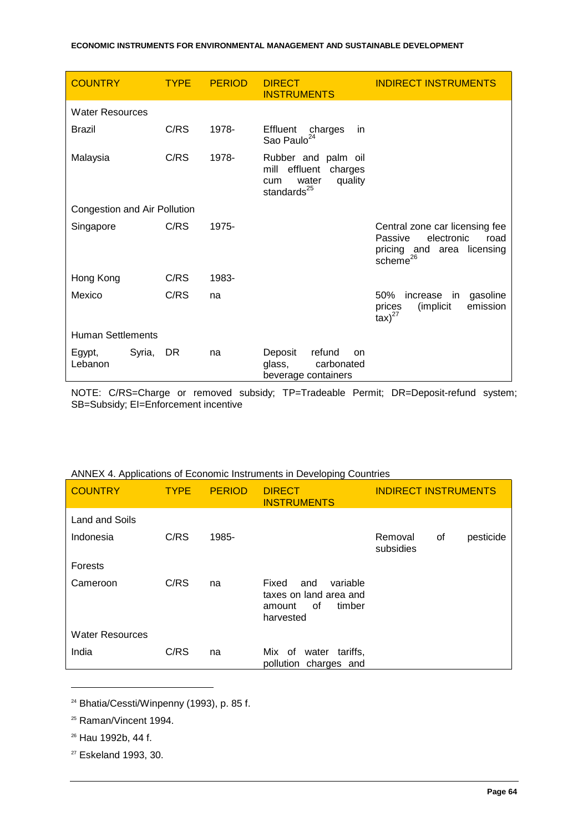| <b>COUNTRY</b>               |        | <b>TYPE</b> | <b>PERIOD</b> | <b>DIRECT</b><br><b>INSTRUMENTS</b>                                                                      | <b>INDIRECT INSTRUMENTS</b>                                                                                    |  |
|------------------------------|--------|-------------|---------------|----------------------------------------------------------------------------------------------------------|----------------------------------------------------------------------------------------------------------------|--|
| <b>Water Resources</b>       |        |             |               |                                                                                                          |                                                                                                                |  |
| Brazil                       |        | C/RS        | 1978-         | Effluent<br>charges<br>in.<br>Sao Paulo <sup>24</sup>                                                    |                                                                                                                |  |
| Malaysia                     |        | C/RS        | 1978-         | Rubber and palm oil<br>effluent<br>charges<br>mill<br>quality<br>water<br>cum<br>standards <sup>25</sup> |                                                                                                                |  |
| Congestion and Air Pollution |        |             |               |                                                                                                          |                                                                                                                |  |
| Singapore                    |        | C/RS        | 1975-         |                                                                                                          | Central zone car licensing fee<br>electronic<br>Passive<br>road<br>pricing and area licensing<br>$scheme^{26}$ |  |
| Hong Kong                    |        | C/RS        | 1983-         |                                                                                                          |                                                                                                                |  |
| Mexico                       |        | C/RS        | na            |                                                                                                          | 50%<br>increase<br>in<br>gasoline<br>emission<br>(implicit)<br>prices<br>$(\text{tax})^{27}$                   |  |
| <b>Human Settlements</b>     |        |             |               |                                                                                                          |                                                                                                                |  |
| Egypt,<br>Lebanon            | Syria, | DR.         | na            | refund<br>Deposit<br>on<br>carbonated<br>glass,<br>beverage containers                                   |                                                                                                                |  |

|                        |             |               | Territory +. Tephodiono or Economic inotramonto in Developing Ocantrico                   |                      |                             |
|------------------------|-------------|---------------|-------------------------------------------------------------------------------------------|----------------------|-----------------------------|
| <b>COUNTRY</b>         | <b>TYPE</b> | <b>PERIOD</b> | <b>DIRECT</b><br><b>INSTRUMENTS</b>                                                       |                      | <b>INDIRECT INSTRUMENTS</b> |
| <b>Land and Soils</b>  |             |               |                                                                                           |                      |                             |
| Indonesia              | C/RS        | 1985-         |                                                                                           | Removal<br>subsidies | οf<br>pesticide             |
| Forests                |             |               |                                                                                           |                      |                             |
| Cameroon               | C/RS        | na            | Fixed<br>variable<br>and<br>taxes on land area and<br>timber<br>of<br>amount<br>harvested |                      |                             |
| <b>Water Resources</b> |             |               |                                                                                           |                      |                             |
| India                  | C/RS        | na            | Mix of water tariffs,<br>pollution charges and                                            |                      |                             |
|                        |             |               |                                                                                           |                      |                             |

# ANNEX 4. Applications of Economic Instruments in Developing Countries

<sup>24</sup> Bhatia/Cessti/Winpenny (1993), p. 85 f.

25 Raman/Vincent 1994.

<sup>26</sup> Hau 1992b, 44 f.

l

27 Eskeland 1993, 30.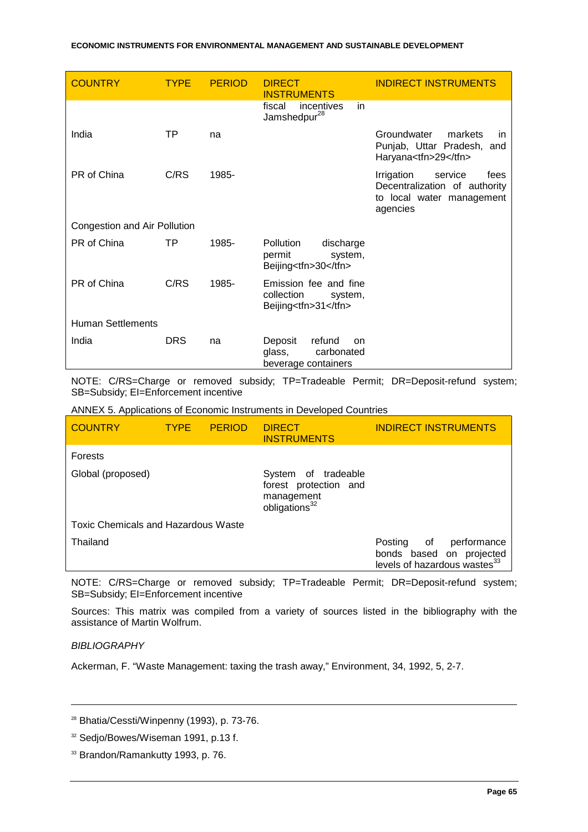| <b>COUNTRY</b>               | <b>TYPE</b> | <b>PERIOD</b> | <b>DIRECT</b><br><b>INSTRUMENTS</b>                                     | <b>INDIRECT INSTRUMENTS</b>                                                                             |
|------------------------------|-------------|---------------|-------------------------------------------------------------------------|---------------------------------------------------------------------------------------------------------|
|                              |             |               | fiscal<br>incentives<br>in<br>Jamshedpur <sup>28</sup>                  |                                                                                                         |
| India                        | ΤP          | na            |                                                                         | Groundwater<br>markets<br><i>in</i><br>Punjab, Uttar Pradesh, and<br>Haryana <tfn>29</tfn>              |
| PR of China                  | C/RS        | 1985-         |                                                                         | Irrigation<br>service<br>fees<br>Decentralization of authority<br>to local water management<br>agencies |
| Congestion and Air Pollution |             |               |                                                                         |                                                                                                         |
| PR of China                  | ТP          | 1985-         | Pollution<br>discharge<br>permit<br>system,<br>Beijing <tfn>30</tfn>    |                                                                                                         |
| PR of China                  | C/RS        | 1985-         | Emission fee and fine<br>collection<br>system,<br>Beijing <tfn>31</tfn> |                                                                                                         |
| <b>Human Settlements</b>     |             |               |                                                                         |                                                                                                         |
| India                        | <b>DRS</b>  | na            | Deposit<br>refund<br>on<br>glass,<br>carbonated<br>beverage containers  |                                                                                                         |

ANNEX 5. Applications of Economic Instruments in Developed Countries

| <b>COUNTRY</b>                      | <b>TYPE</b> | <b>PERIOD</b> | <b>DIRECT</b><br><b>INSTRUMENTS</b>                                                     | <b>INDIRECT INSTRUMENTS</b>                                                                       |
|-------------------------------------|-------------|---------------|-----------------------------------------------------------------------------------------|---------------------------------------------------------------------------------------------------|
| Forests                             |             |               |                                                                                         |                                                                                                   |
| Global (proposed)                   |             |               | System of tradeable<br>forest protection and<br>management<br>obligations <sup>32</sup> |                                                                                                   |
| Toxic Chemicals and Hazardous Waste |             |               |                                                                                         |                                                                                                   |
| Thailand                            |             |               |                                                                                         | Posting of<br>performance<br>bonds based on projected<br>levels of hazardous wastes <sup>33</sup> |

NOTE: C/RS=Charge or removed subsidy; TP=Tradeable Permit; DR=Deposit-refund system; SB=Subsidy; EI=Enforcement incentive

Sources: This matrix was compiled from a variety of sources listed in the bibliography with the assistance of Martin Wolfrum.

### *BIBLIOGRAPHY*

l

Ackerman, F. "Waste Management: taxing the trash away," Environment, 34, 1992, 5, 2-7.

<sup>28</sup> Bhatia/Cessti/Winpenny (1993), p. 73-76.

- <sup>32</sup> Sedjo/Bowes/Wiseman 1991, p.13 f.
- <sup>33</sup> Brandon/Ramankutty 1993, p. 76.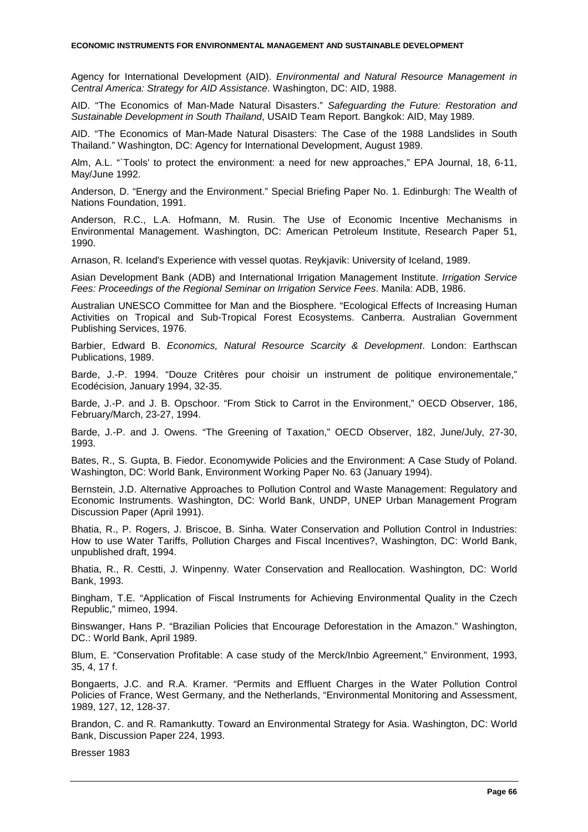Agency for International Development (AID). *Environmental and Natural Resource Management in Central America: Strategy for AID Assistance*. Washington, DC: AID, 1988.

AID. "The Economics of Man-Made Natural Disasters." *Safeguarding the Future: Restoration and Sustainable Development in South Thailand*, USAID Team Report. Bangkok: AID, May 1989.

AID. "The Economics of Man-Made Natural Disasters: The Case of the 1988 Landslides in South Thailand." Washington, DC: Agency for International Development, August 1989.

Alm, A.L. "`Tools' to protect the environment: a need for new approaches," EPA Journal, 18, 6-11, May/June 1992.

Anderson, D. "Energy and the Environment." Special Briefing Paper No. 1. Edinburgh: The Wealth of Nations Foundation, 1991.

Anderson, R.C., L.A. Hofmann, M. Rusin. The Use of Economic Incentive Mechanisms in Environmental Management. Washington, DC: American Petroleum Institute, Research Paper 51, 1990.

Arnason, R. Iceland's Experience with vessel quotas. Reykjavik: University of Iceland, 1989.

Asian Development Bank (ADB) and International Irrigation Management Institute. *Irrigation Service Fees: Proceedings of the Regional Seminar on Irrigation Service Fees*. Manila: ADB, 1986.

Australian UNESCO Committee for Man and the Biosphere. "Ecological Effects of Increasing Human Activities on Tropical and Sub-Tropical Forest Ecosystems. Canberra. Australian Government Publishing Services, 1976.

Barbier, Edward B. *Economics, Natural Resource Scarcity & Development*. London: Earthscan Publications, 1989.

Barde, J.-P. 1994. "Douze Critères pour choisir un instrument de politique environementale," Ecodécision, January 1994, 32-35.

Barde, J.-P. and J. B. Opschoor. "From Stick to Carrot in the Environment," OECD Observer, 186, February/March, 23-27, 1994.

Barde, J.-P. and J. Owens. "The Greening of Taxation," OECD Observer, 182, June/July, 27-30, 1993.

Bates, R., S. Gupta, B. Fiedor. Economywide Policies and the Environment: A Case Study of Poland. Washington, DC: World Bank, Environment Working Paper No. 63 (January 1994).

Bernstein, J.D. Alternative Approaches to Pollution Control and Waste Management: Regulatory and Economic Instruments. Washington, DC: World Bank, UNDP, UNEP Urban Management Program Discussion Paper (April 1991).

Bhatia, R., P. Rogers, J. Briscoe, B. Sinha. Water Conservation and Pollution Control in Industries: How to use Water Tariffs, Pollution Charges and Fiscal Incentives?, Washington, DC: World Bank, unpublished draft, 1994.

Bhatia, R., R. Cestti, J. Winpenny. Water Conservation and Reallocation. Washington, DC: World Bank, 1993.

Bingham, T.E. "Application of Fiscal Instruments for Achieving Environmental Quality in the Czech Republic," mimeo, 1994.

Binswanger, Hans P. "Brazilian Policies that Encourage Deforestation in the Amazon." Washington, DC.: World Bank, April 1989.

Blum, E. "Conservation Profitable: A case study of the Merck/Inbio Agreement," Environment, 1993, 35, 4, 17 f.

Bongaerts, J.C. and R.A. Kramer. "Permits and Effluent Charges in the Water Pollution Control Policies of France, West Germany, and the Netherlands, "Environmental Monitoring and Assessment, 1989, 127, 12, 128-37.

Brandon, C. and R. Ramankutty. Toward an Environmental Strategy for Asia. Washington, DC: World Bank, Discussion Paper 224, 1993.

Bresser 1983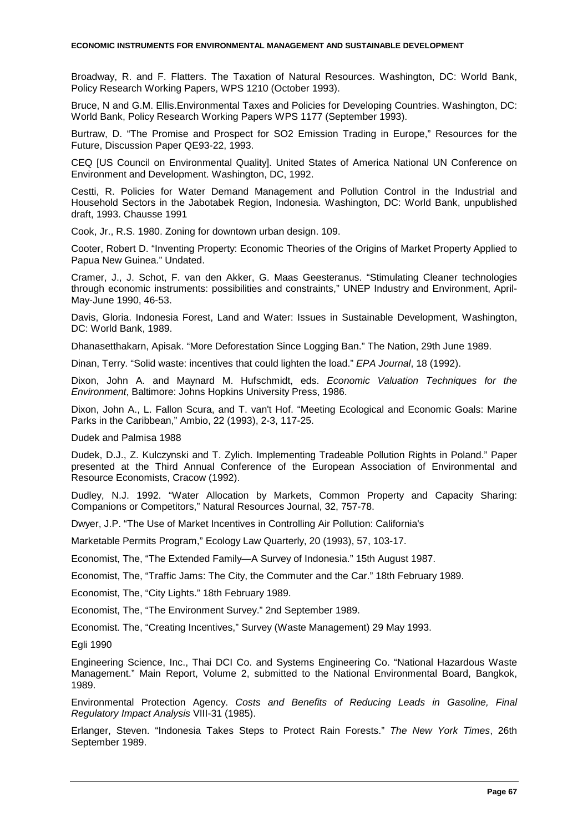Broadway, R. and F. Flatters. The Taxation of Natural Resources. Washington, DC: World Bank, Policy Research Working Papers, WPS 1210 (October 1993).

Bruce, N and G.M. Ellis.Environmental Taxes and Policies for Developing Countries. Washington, DC: World Bank, Policy Research Working Papers WPS 1177 (September 1993).

Burtraw, D. "The Promise and Prospect for SO2 Emission Trading in Europe," Resources for the Future, Discussion Paper QE93-22, 1993.

CEQ [US Council on Environmental Quality]. United States of America National UN Conference on Environment and Development. Washington, DC, 1992.

Cestti, R. Policies for Water Demand Management and Pollution Control in the Industrial and Household Sectors in the Jabotabek Region, Indonesia. Washington, DC: World Bank, unpublished draft, 1993. Chausse 1991

Cook, Jr., R.S. 1980. Zoning for downtown urban design. 109.

Cooter, Robert D. "Inventing Property: Economic Theories of the Origins of Market Property Applied to Papua New Guinea." Undated.

Cramer, J., J. Schot, F. van den Akker, G. Maas Geesteranus. "Stimulating Cleaner technologies through economic instruments: possibilities and constraints," UNEP Industry and Environment, April-May-June 1990, 46-53.

Davis, Gloria. Indonesia Forest, Land and Water: Issues in Sustainable Development, Washington, DC: World Bank, 1989.

Dhanasetthakarn, Apisak. "More Deforestation Since Logging Ban." The Nation, 29th June 1989.

Dinan, Terry. "Solid waste: incentives that could lighten the load." *EPA Journal*, 18 (1992).

Dixon, John A. and Maynard M. Hufschmidt, eds. *Economic Valuation Techniques for the Environment*, Baltimore: Johns Hopkins University Press, 1986.

Dixon, John A., L. Fallon Scura, and T. van't Hof. "Meeting Ecological and Economic Goals: Marine Parks in the Caribbean," Ambio, 22 (1993), 2-3, 117-25.

Dudek and Palmisa 1988

Dudek, D.J., Z. Kulczynski and T. Zylich. Implementing Tradeable Pollution Rights in Poland." Paper presented at the Third Annual Conference of the European Association of Environmental and Resource Economists, Cracow (1992).

Dudley, N.J. 1992. "Water Allocation by Markets, Common Property and Capacity Sharing: Companions or Competitors," Natural Resources Journal, 32, 757-78.

Dwyer, J.P. "The Use of Market Incentives in Controlling Air Pollution: California's

Marketable Permits Program," Ecology Law Quarterly, 20 (1993), 57, 103-17.

Economist, The, "The Extended Family—A Survey of Indonesia." 15th August 1987.

Economist, The, "Traffic Jams: The City, the Commuter and the Car." 18th February 1989.

Economist, The, "City Lights." 18th February 1989.

Economist, The, "The Environment Survey." 2nd September 1989.

Economist. The, "Creating Incentives," Survey (Waste Management) 29 May 1993.

Egli 1990

Engineering Science, Inc., Thai DCI Co. and Systems Engineering Co. "National Hazardous Waste Management." Main Report, Volume 2, submitted to the National Environmental Board, Bangkok, 1989.

Environmental Protection Agency. *Costs and Benefits of Reducing Leads in Gasoline, Final Regulatory Impact Analysis* VIII-31 (1985).

Erlanger, Steven. "Indonesia Takes Steps to Protect Rain Forests." *The New York Times*, 26th September 1989.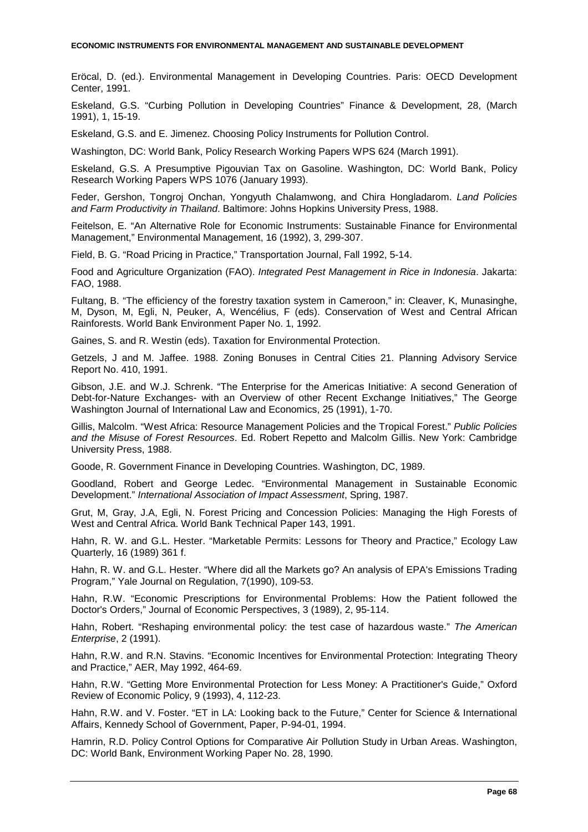Eröcal, D. (ed.). Environmental Management in Developing Countries. Paris: OECD Development Center, 1991.

Eskeland, G.S. "Curbing Pollution in Developing Countries" Finance & Development, 28, (March 1991), 1, 15-19.

Eskeland, G.S. and E. Jimenez. Choosing Policy Instruments for Pollution Control.

Washington, DC: World Bank, Policy Research Working Papers WPS 624 (March 1991).

Eskeland, G.S. A Presumptive Pigouvian Tax on Gasoline. Washington, DC: World Bank, Policy Research Working Papers WPS 1076 (January 1993).

Feder, Gershon, Tongroj Onchan, Yongyuth Chalamwong, and Chira Hongladarom. *Land Policies and Farm Productivity in Thailand*. Baltimore: Johns Hopkins University Press, 1988.

Feitelson, E. "An Alternative Role for Economic Instruments: Sustainable Finance for Environmental Management," Environmental Management, 16 (1992), 3, 299-307.

Field, B. G. "Road Pricing in Practice," Transportation Journal, Fall 1992, 5-14.

Food and Agriculture Organization (FAO). *Integrated Pest Management in Rice in Indonesia*. Jakarta: FAO, 1988.

Fultang, B. "The efficiency of the forestry taxation system in Cameroon," in: Cleaver, K, Munasinghe, M, Dyson, M, Egli, N, Peuker, A, Wencélius, F (eds). Conservation of West and Central African Rainforests. World Bank Environment Paper No. 1, 1992.

Gaines, S. and R. Westin (eds). Taxation for Environmental Protection.

Getzels, J and M. Jaffee. 1988. Zoning Bonuses in Central Cities 21. Planning Advisory Service Report No. 410, 1991.

Gibson, J.E. and W.J. Schrenk. "The Enterprise for the Americas Initiative: A second Generation of Debt-for-Nature Exchanges- with an Overview of other Recent Exchange Initiatives," The George Washington Journal of International Law and Economics, 25 (1991), 1-70.

Gillis, Malcolm. "West Africa: Resource Management Policies and the Tropical Forest." *Public Policies and the Misuse of Forest Resources*. Ed. Robert Repetto and Malcolm Gillis. New York: Cambridge University Press, 1988.

Goode, R. Government Finance in Developing Countries. Washington, DC, 1989.

Goodland, Robert and George Ledec. "Environmental Management in Sustainable Economic Development." *International Association of Impact Assessment*, Spring, 1987.

Grut, M, Gray, J.A, Egli, N. Forest Pricing and Concession Policies: Managing the High Forests of West and Central Africa. World Bank Technical Paper 143, 1991.

Hahn, R. W. and G.L. Hester. "Marketable Permits: Lessons for Theory and Practice," Ecology Law Quarterly, 16 (1989) 361 f.

Hahn, R. W. and G.L. Hester. "Where did all the Markets go? An analysis of EPA's Emissions Trading Program," Yale Journal on Regulation, 7(1990), 109-53.

Hahn, R.W. "Economic Prescriptions for Environmental Problems: How the Patient followed the Doctor's Orders," Journal of Economic Perspectives, 3 (1989), 2, 95-114.

Hahn, Robert. "Reshaping environmental policy: the test case of hazardous waste." *The American Enterprise*, 2 (1991).

Hahn, R.W. and R.N. Stavins. "Economic Incentives for Environmental Protection: Integrating Theory and Practice," AER, May 1992, 464-69.

Hahn, R.W. "Getting More Environmental Protection for Less Money: A Practitioner's Guide," Oxford Review of Economic Policy, 9 (1993), 4, 112-23.

Hahn, R.W. and V. Foster. "ET in LA: Looking back to the Future," Center for Science & International Affairs, Kennedy School of Government, Paper, P-94-01, 1994.

Hamrin, R.D. Policy Control Options for Comparative Air Pollution Study in Urban Areas. Washington, DC: World Bank, Environment Working Paper No. 28, 1990.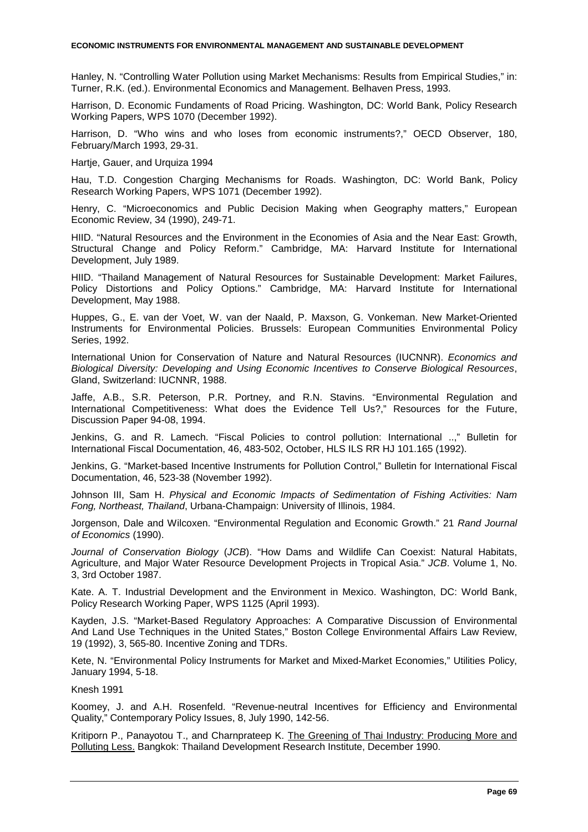Hanley, N. "Controlling Water Pollution using Market Mechanisms: Results from Empirical Studies," in: Turner, R.K. (ed.). Environmental Economics and Management. Belhaven Press, 1993.

Harrison, D. Economic Fundaments of Road Pricing. Washington, DC: World Bank, Policy Research Working Papers, WPS 1070 (December 1992).

Harrison, D. "Who wins and who loses from economic instruments?," OECD Observer, 180, February/March 1993, 29-31.

Hartie, Gauer, and Urquiza 1994

Hau, T.D. Congestion Charging Mechanisms for Roads. Washington, DC: World Bank, Policy Research Working Papers, WPS 1071 (December 1992).

Henry, C. "Microeconomics and Public Decision Making when Geography matters," European Economic Review, 34 (1990), 249-71.

HIID. "Natural Resources and the Environment in the Economies of Asia and the Near East: Growth, Structural Change and Policy Reform." Cambridge, MA: Harvard Institute for International Development, July 1989.

HIID. "Thailand Management of Natural Resources for Sustainable Development: Market Failures, Policy Distortions and Policy Options." Cambridge, MA: Harvard Institute for International Development, May 1988.

Huppes, G., E. van der Voet, W. van der Naald, P. Maxson, G. Vonkeman. New Market-Oriented Instruments for Environmental Policies. Brussels: European Communities Environmental Policy Series, 1992.

International Union for Conservation of Nature and Natural Resources (IUCNNR). *Economics and Biological Diversity: Developing and Using Economic Incentives to Conserve Biological Resources*, Gland, Switzerland: IUCNNR, 1988.

Jaffe, A.B., S.R. Peterson, P.R. Portney, and R.N. Stavins. "Environmental Regulation and International Competitiveness: What does the Evidence Tell Us?," Resources for the Future, Discussion Paper 94-08, 1994.

Jenkins, G. and R. Lamech. "Fiscal Policies to control pollution: International ..," Bulletin for International Fiscal Documentation, 46, 483-502, October, HLS ILS RR HJ 101.165 (1992).

Jenkins, G. "Market-based Incentive Instruments for Pollution Control," Bulletin for International Fiscal Documentation, 46, 523-38 (November 1992).

Johnson III, Sam H. *Physical and Economic Impacts of Sedimentation of Fishing Activities: Nam Fong, Northeast, Thailand*, Urbana-Champaign: University of Illinois, 1984.

Jorgenson, Dale and Wilcoxen. "Environmental Regulation and Economic Growth." 21 *Rand Journal of Economics* (1990).

*Journal of Conservation Biology* (*JCB*). "How Dams and Wildlife Can Coexist: Natural Habitats, Agriculture, and Major Water Resource Development Projects in Tropical Asia." *JCB*. Volume 1, No. 3, 3rd October 1987.

Kate. A. T. Industrial Development and the Environment in Mexico. Washington, DC: World Bank, Policy Research Working Paper, WPS 1125 (April 1993).

Kayden, J.S. "Market-Based Regulatory Approaches: A Comparative Discussion of Environmental And Land Use Techniques in the United States," Boston College Environmental Affairs Law Review, 19 (1992), 3, 565-80. Incentive Zoning and TDRs.

Kete, N. "Environmental Policy Instruments for Market and Mixed-Market Economies," Utilities Policy, January 1994, 5-18.

Knesh 1991

Koomey, J. and A.H. Rosenfeld. "Revenue-neutral Incentives for Efficiency and Environmental Quality," Contemporary Policy Issues, 8, July 1990, 142-56.

Kritiporn P., Panayotou T., and Charnprateep K. The Greening of Thai Industry: Producing More and Polluting Less. Bangkok: Thailand Development Research Institute, December 1990.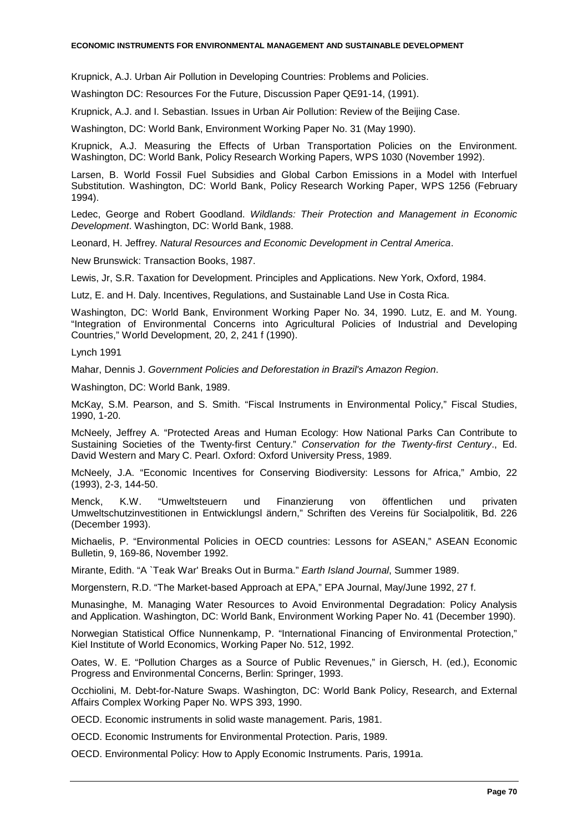Krupnick, A.J. Urban Air Pollution in Developing Countries: Problems and Policies.

Washington DC: Resources For the Future, Discussion Paper QE91-14, (1991).

Krupnick, A.J. and I. Sebastian. Issues in Urban Air Pollution: Review of the Beijing Case.

Washington, DC: World Bank, Environment Working Paper No. 31 (May 1990).

Krupnick, A.J. Measuring the Effects of Urban Transportation Policies on the Environment. Washington, DC: World Bank, Policy Research Working Papers, WPS 1030 (November 1992).

Larsen, B. World Fossil Fuel Subsidies and Global Carbon Emissions in a Model with Interfuel Substitution. Washington, DC: World Bank, Policy Research Working Paper, WPS 1256 (February 1994).

Ledec, George and Robert Goodland. *Wildlands: Their Protection and Management in Economic Development*. Washington, DC: World Bank, 1988.

Leonard, H. Jeffrey. *Natural Resources and Economic Development in Central America*.

New Brunswick: Transaction Books, 1987.

Lewis, Jr, S.R. Taxation for Development. Principles and Applications. New York, Oxford, 1984.

Lutz, E. and H. Daly. Incentives, Regulations, and Sustainable Land Use in Costa Rica.

Washington, DC: World Bank, Environment Working Paper No. 34, 1990. Lutz, E. and M. Young. "Integration of Environmental Concerns into Agricultural Policies of Industrial and Developing Countries," World Development, 20, 2, 241 f (1990).

Lynch 1991

Mahar, Dennis J. *Government Policies and Deforestation in Brazil's Amazon Region*.

Washington, DC: World Bank, 1989.

McKay, S.M. Pearson, and S. Smith. "Fiscal Instruments in Environmental Policy," Fiscal Studies, 1990, 1-20.

McNeely, Jeffrey A. "Protected Areas and Human Ecology: How National Parks Can Contribute to Sustaining Societies of the Twenty-first Century." *Conservation for the Twenty-first Century*., Ed. David Western and Mary C. Pearl. Oxford: Oxford University Press, 1989.

McNeely, J.A. "Economic Incentives for Conserving Biodiversity: Lessons for Africa," Ambio, 22 (1993), 2-3, 144-50.

Menck, K.W. "Umweltsteuern und Finanzierung von öffentlichen und privaten Umweltschutzinvestitionen in Entwicklungsl ändern," Schriften des Vereins für Socialpolitik, Bd. 226 (December 1993).

Michaelis, P. "Environmental Policies in OECD countries: Lessons for ASEAN," ASEAN Economic Bulletin, 9, 169-86, November 1992.

Mirante, Edith. "A `Teak War' Breaks Out in Burma." *Earth Island Journal*, Summer 1989.

Morgenstern, R.D. "The Market-based Approach at EPA," EPA Journal, May/June 1992, 27 f.

Munasinghe, M. Managing Water Resources to Avoid Environmental Degradation: Policy Analysis and Application. Washington, DC: World Bank, Environment Working Paper No. 41 (December 1990).

Norwegian Statistical Office Nunnenkamp, P. "International Financing of Environmental Protection," Kiel Institute of World Economics, Working Paper No. 512, 1992.

Oates, W. E. "Pollution Charges as a Source of Public Revenues," in Giersch, H. (ed.), Economic Progress and Environmental Concerns, Berlin: Springer, 1993.

Occhiolini, M. Debt-for-Nature Swaps. Washington, DC: World Bank Policy, Research, and External Affairs Complex Working Paper No. WPS 393, 1990.

OECD. Economic instruments in solid waste management. Paris, 1981.

OECD. Economic Instruments for Environmental Protection. Paris, 1989.

OECD. Environmental Policy: How to Apply Economic Instruments. Paris, 1991a.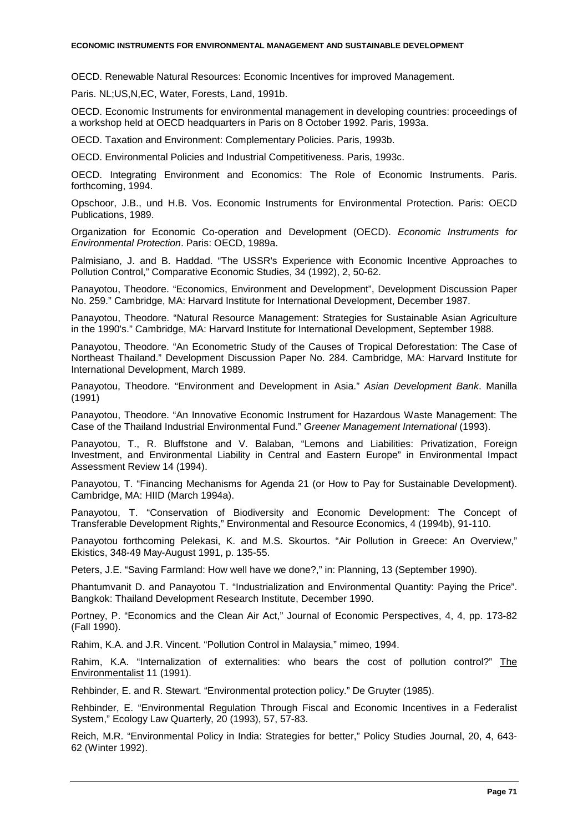OECD. Renewable Natural Resources: Economic Incentives for improved Management.

Paris. NL;US,N,EC, Water, Forests, Land, 1991b.

OECD. Economic Instruments for environmental management in developing countries: proceedings of a workshop held at OECD headquarters in Paris on 8 October 1992. Paris, 1993a.

OECD. Taxation and Environment: Complementary Policies. Paris, 1993b.

OECD. Environmental Policies and Industrial Competitiveness. Paris, 1993c.

OECD. Integrating Environment and Economics: The Role of Economic Instruments. Paris. forthcoming, 1994.

Opschoor, J.B., und H.B. Vos. Economic Instruments for Environmental Protection. Paris: OECD Publications, 1989.

Organization for Economic Co-operation and Development (OECD). *Economic Instruments for Environmental Protection*. Paris: OECD, 1989a.

Palmisiano, J. and B. Haddad. "The USSR's Experience with Economic Incentive Approaches to Pollution Control," Comparative Economic Studies, 34 (1992), 2, 50-62.

Panayotou, Theodore. "Economics, Environment and Development", Development Discussion Paper No. 259." Cambridge, MA: Harvard Institute for International Development, December 1987.

Panayotou, Theodore. "Natural Resource Management: Strategies for Sustainable Asian Agriculture in the 1990's." Cambridge, MA: Harvard Institute for International Development, September 1988.

Panayotou, Theodore. "An Econometric Study of the Causes of Tropical Deforestation: The Case of Northeast Thailand." Development Discussion Paper No. 284. Cambridge, MA: Harvard Institute for International Development, March 1989.

Panayotou, Theodore. "Environment and Development in Asia." *Asian Development Bank*. Manilla (1991)

Panayotou, Theodore. "An Innovative Economic Instrument for Hazardous Waste Management: The Case of the Thailand Industrial Environmental Fund." *Greener Management International* (1993).

Panayotou, T., R. Bluffstone and V. Balaban, "Lemons and Liabilities: Privatization, Foreign Investment, and Environmental Liability in Central and Eastern Europe" in Environmental Impact Assessment Review 14 (1994).

Panayotou, T. "Financing Mechanisms for Agenda 21 (or How to Pay for Sustainable Development). Cambridge, MA: HIID (March 1994a).

Panayotou, T. "Conservation of Biodiversity and Economic Development: The Concept of Transferable Development Rights," Environmental and Resource Economics, 4 (1994b), 91-110.

Panayotou forthcoming Pelekasi, K. and M.S. Skourtos. "Air Pollution in Greece: An Overview," Ekistics, 348-49 May-August 1991, p. 135-55.

Peters, J.E. "Saving Farmland: How well have we done?," in: Planning, 13 (September 1990).

Phantumvanit D. and Panayotou T. "Industrialization and Environmental Quantity: Paying the Price". Bangkok: Thailand Development Research Institute, December 1990.

Portney, P. "Economics and the Clean Air Act," Journal of Economic Perspectives, 4, 4, pp. 173-82 (Fall 1990).

Rahim, K.A. and J.R. Vincent. "Pollution Control in Malaysia," mimeo, 1994.

Rahim, K.A. "Internalization of externalities: who bears the cost of pollution control?" The Environmentalist 11 (1991).

Rehbinder, E. and R. Stewart. "Environmental protection policy." De Gruyter (1985).

Rehbinder, E. "Environmental Regulation Through Fiscal and Economic Incentives in a Federalist System," Ecology Law Quarterly, 20 (1993), 57, 57-83.

Reich, M.R. "Environmental Policy in India: Strategies for better," Policy Studies Journal, 20, 4, 643- 62 (Winter 1992).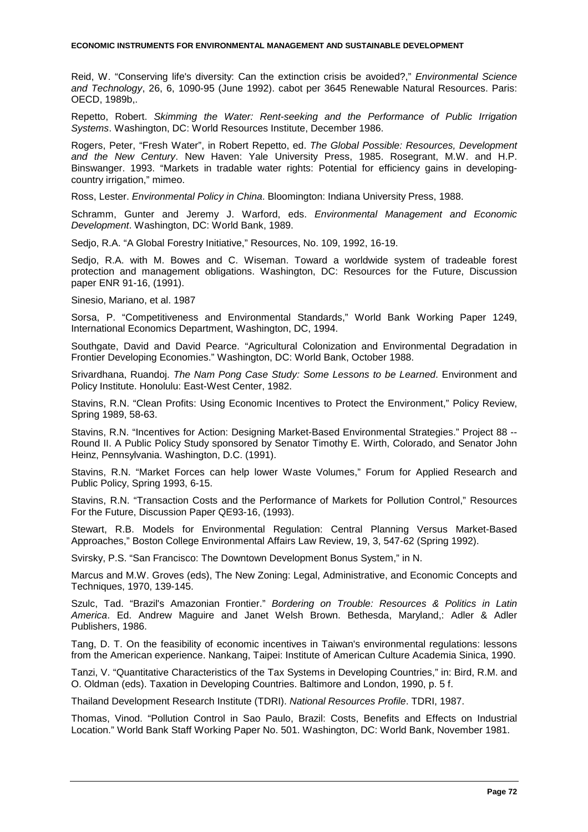Reid, W. "Conserving life's diversity: Can the extinction crisis be avoided?," *Environmental Science and Technology*, 26, 6, 1090-95 (June 1992). cabot per 3645 Renewable Natural Resources. Paris: OECD, 1989b,.

Repetto, Robert. *Skimming the Water: Rent-seeking and the Performance of Public Irrigation Systems*. Washington, DC: World Resources Institute, December 1986.

Rogers, Peter, "Fresh Water", in Robert Repetto, ed. *The Global Possible: Resources, Development and the New Century*. New Haven: Yale University Press, 1985. Rosegrant, M.W. and H.P. Binswanger. 1993. "Markets in tradable water rights: Potential for efficiency gains in developingcountry irrigation," mimeo.

Ross, Lester. *Environmental Policy in China*. Bloomington: Indiana University Press, 1988.

Schramm, Gunter and Jeremy J. Warford, eds. *Environmental Management and Economic Development*. Washington, DC: World Bank, 1989.

Sedjo, R.A. "A Global Forestry Initiative," Resources, No. 109, 1992, 16-19.

Sedjo, R.A. with M. Bowes and C. Wiseman. Toward a worldwide system of tradeable forest protection and management obligations. Washington, DC: Resources for the Future, Discussion paper ENR 91-16, (1991).

Sinesio, Mariano, et al. 1987

Sorsa, P. "Competitiveness and Environmental Standards," World Bank Working Paper 1249, International Economics Department, Washington, DC, 1994.

Southgate, David and David Pearce. "Agricultural Colonization and Environmental Degradation in Frontier Developing Economies." Washington, DC: World Bank, October 1988.

Srivardhana, Ruandoj. *The Nam Pong Case Study: Some Lessons to be Learned*. Environment and Policy Institute. Honolulu: East-West Center, 1982.

Stavins, R.N. "Clean Profits: Using Economic Incentives to Protect the Environment," Policy Review, Spring 1989, 58-63.

Stavins, R.N. "Incentives for Action: Designing Market-Based Environmental Strategies." Project 88 -- Round II. A Public Policy Study sponsored by Senator Timothy E. Wirth, Colorado, and Senator John Heinz, Pennsylvania. Washington, D.C. (1991).

Stavins, R.N. "Market Forces can help lower Waste Volumes," Forum for Applied Research and Public Policy, Spring 1993, 6-15.

Stavins, R.N. "Transaction Costs and the Performance of Markets for Pollution Control," Resources For the Future, Discussion Paper QE93-16, (1993).

Stewart, R.B. Models for Environmental Regulation: Central Planning Versus Market-Based Approaches," Boston College Environmental Affairs Law Review, 19, 3, 547-62 (Spring 1992).

Svirsky, P.S. "San Francisco: The Downtown Development Bonus System," in N.

Marcus and M.W. Groves (eds), The New Zoning: Legal, Administrative, and Economic Concepts and Techniques, 1970, 139-145.

Szulc, Tad. "Brazil's Amazonian Frontier." *Bordering on Trouble: Resources & Politics in Latin America*. Ed. Andrew Maguire and Janet Welsh Brown. Bethesda, Maryland,: Adler & Adler Publishers, 1986.

Tang, D. T. On the feasibility of economic incentives in Taiwan's environmental regulations: lessons from the American experience. Nankang, Taipei: Institute of American Culture Academia Sinica, 1990.

Tanzi, V. "Quantitative Characteristics of the Tax Systems in Developing Countries," in: Bird, R.M. and O. Oldman (eds). Taxation in Developing Countries. Baltimore and London, 1990, p. 5 f.

Thailand Development Research Institute (TDRI). *National Resources Profile*. TDRI, 1987.

Thomas, Vinod. "Pollution Control in Sao Paulo, Brazil: Costs, Benefits and Effects on Industrial Location." World Bank Staff Working Paper No. 501. Washington, DC: World Bank, November 1981.